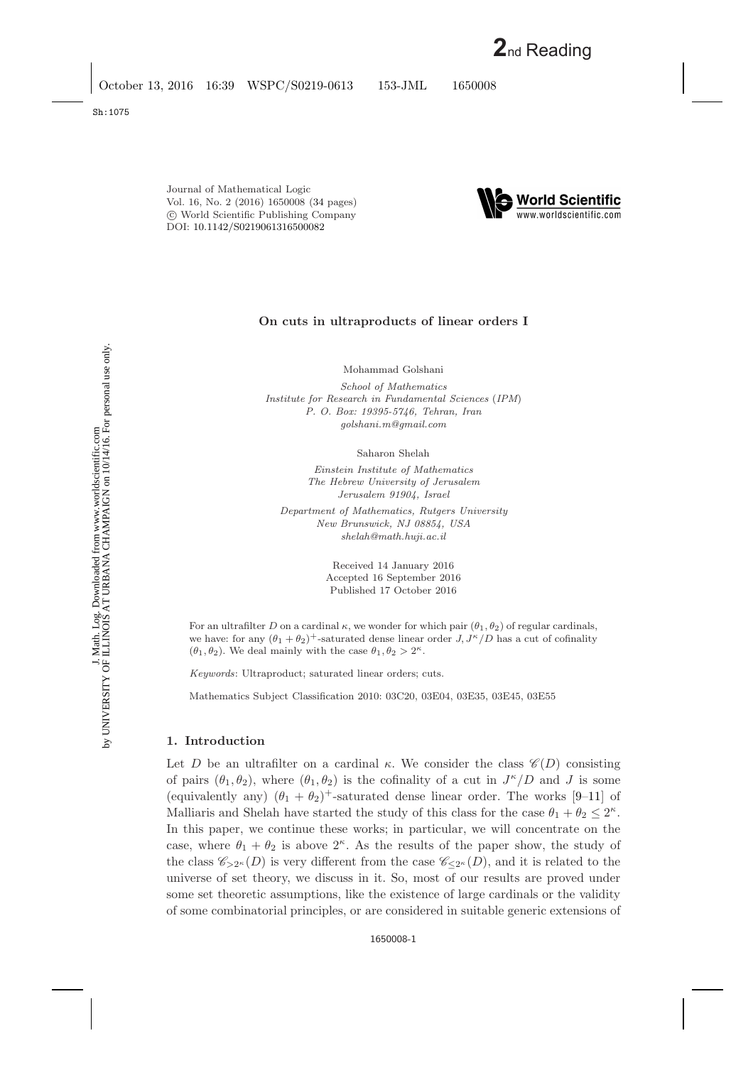Journal of Mathematical Logic Vol. 16, No. 2 (2016) 1650008 [\(34](#page-33-0) pages) c World Scientific Publishing Company DOI: [10.1142/S0219061316500082](http://dx.doi.org/10.1142/S0219061316500082)

# **On cuts in ultraproducts of linear orders I**

Mohammad Golshani

*School of Mathematics Institute for Research in Fundamental Sciences* (*IPM*) *P. O. Box: 19395-5746, Tehran, Iran golshani.m@gmail.com*

Saharon Shelah

*Einstein Institute of Mathematics The Hebrew University of Jerusalem Jerusalem 91904, Israel*

*Department of Mathematics, Rutgers University New Brunswick, NJ 08854, USA shelah@math.huji.ac.il*

> Received 14 January 2016 Accepted 16 September 2016 Published 17 October 2016

For an ultrafilter D on a cardinal  $\kappa$ , we wonder for which pair  $(\theta_1, \theta_2)$  of regular cardinals, we have: for any  $(\theta_1 + \theta_2)^+$ -saturated dense linear order  $J, J^{\kappa}/D$  has a cut of cofinality  $(\theta_1, \theta_2)$ . We deal mainly with the case  $\theta_1, \theta_2 > 2^{\kappa}$ .

*Keywords*: Ultraproduct; saturated linear orders; cuts.

Mathematics Subject Classification 2010: 03C20, 03E04, 03E35, 03E45, 03E55

## **1. Introduction**

Let D be an ultrafilter on a cardinal  $\kappa$ . We consider the class  $\mathscr{C}(D)$  consisting of pairs  $(\theta_1, \theta_2)$ , where  $(\theta_1, \theta_2)$  is the cofinality of a cut in  $J^{\kappa}/D$  and J is some (equivalently any)  $(\theta_1 + \theta_2)^+$ -saturated dense linear order. The works [\[9–](#page-33-1)[11\]](#page-33-2) of Malliaris and Shelah have started the study of this class for the case  $\theta_1 + \theta_2 \leq 2^{\kappa}$ . In this paper, we continue these works; in particular, we will concentrate on the case, where  $\theta_1 + \theta_2$  is above  $2^{\kappa}$ . As the results of the paper show, the study of the class  $\mathscr{C}_{\geq 2^{\kappa}}(D)$  is very different from the case  $\mathscr{C}_{\leq 2^{\kappa}}(D)$ , and it is related to the universe of set theory, we discuss in it. So, most of our results are proved under some set theoretic assumptions, like the existence of large cardinals or the validity of some combinatorial principles, or are considered in suitable generic extensions of

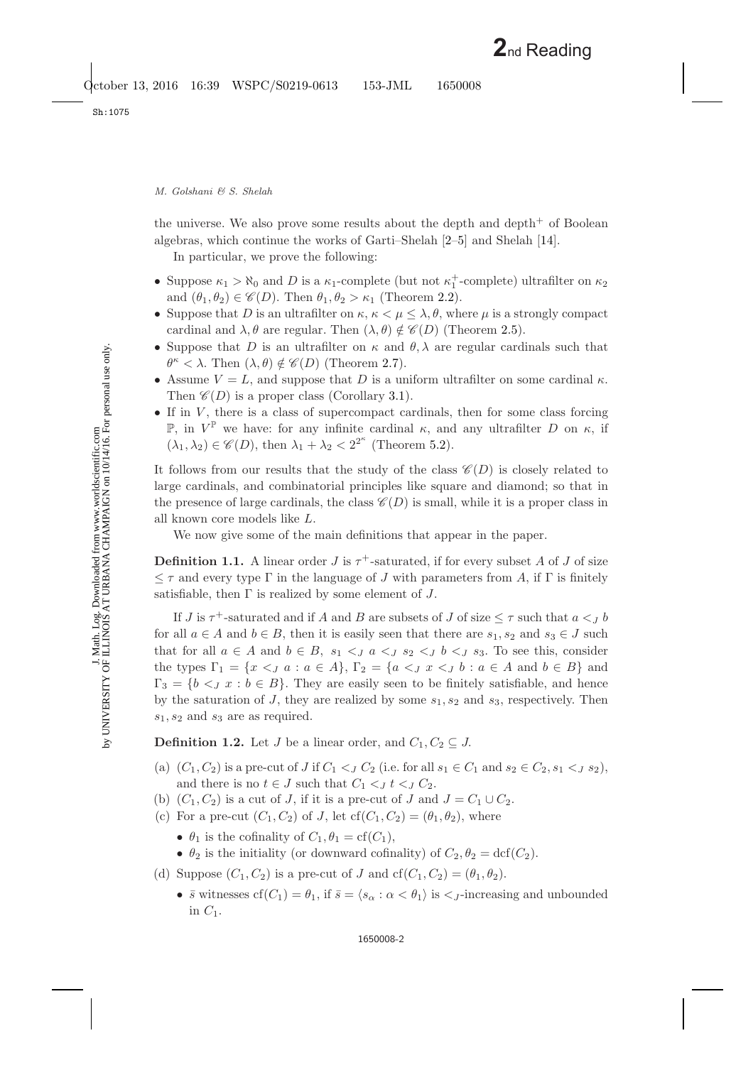the universe. We also prove some results about the depth and depth<sup> $+$ </sup> of Boolean algebras, which continue the works of Garti–Shelah [\[2–](#page-33-3)[5\]](#page-33-4) and Shelah [\[14\]](#page-33-5).

In particular, we prove the following:

- Suppose  $\kappa_1 > \aleph_0$  and D is a  $\kappa_1$ -complete (but not  $\kappa_1^+$ -complete) ultrafilter on  $\kappa_2$ and  $(\theta_1, \theta_2) \in \mathscr{C}(D)$ . Then  $\theta_1, \theta_2 > \kappa_1$  (Theorem [2.2\)](#page-4-0).
- Suppose that D is an ultrafilter on  $\kappa, \kappa < \mu \leq \lambda, \theta$ , where  $\mu$  is a strongly compact cardinal and  $\lambda$ ,  $\theta$  are regular. Then  $(\lambda, \theta) \notin \mathscr{C}(D)$  (Theorem [2.5\)](#page-7-0).
- Suppose that D is an ultrafilter on  $\kappa$  and  $\theta$ ,  $\lambda$  are regular cardinals such that  $\theta^{\kappa} < \lambda$ . Then  $(\lambda, \theta) \notin \mathscr{C}(D)$  (Theorem [2.7\)](#page-8-0).
- Assume  $V = L$ , and suppose that D is a uniform ultrafilter on some cardinal  $\kappa$ . Then  $\mathscr{C}(D)$  is a proper class (Corollary [3.1\)](#page-9-0).
- $\bullet$  If in  $V$ , there is a class of supercompact cardinals, then for some class forcing P, in  $V^{\mathbb{P}}$  we have: for any infinite cardinal  $\kappa$ , and any ultrafilter D on  $\kappa$ , if  $(\lambda_1, \lambda_2) \in \mathscr{C}(D)$ , then  $\lambda_1 + \lambda_2 < 2^{2^{\kappa}}$  (Theorem [5.2\)](#page-31-0).

It follows from our results that the study of the class  $\mathscr{C}(D)$  is closely related to large cardinals, and combinatorial principles like square and diamond; so that in the presence of large cardinals, the class  $\mathscr{C}(D)$  is small, while it is a proper class in all known core models like L.

We now give some of the main definitions that appear in the paper.

<span id="page-1-0"></span>**Definition 1.1.** A linear order J is  $\tau^+$ -saturated, if for every subset A of J of size  $\leq \tau$  and every type  $\Gamma$  in the language of J with parameters from A, if  $\Gamma$  is finitely satisfiable, then  $\Gamma$  is realized by some element of  $J$ .

If J is  $\tau^+$ -saturated and if A and B are subsets of J of size  $\leq \tau$  such that  $a <_J b$ for all  $a \in A$  and  $b \in B$ , then it is easily seen that there are  $s_1, s_2$  and  $s_3 \in J$  such that for all  $a \in A$  and  $b \in B$ ,  $s_1 \leq a \leq a \leq s_2 \leq b \leq s_3$ . To see this, consider the types  $\Gamma_1 = \{x \leq J \mid a : a \in A\}$ ,  $\Gamma_2 = \{a \leq J \mid x \leq J \mid b : a \in A \text{ and } b \in B\}$  and  $\Gamma_3 = \{b \leq J \; x : b \in B\}$ . They are easily seen to be finitely satisfiable, and hence by the saturation of J, they are realized by some  $s_1, s_2$  and  $s_3$ , respectively. Then  $s_1, s_2$  and  $s_3$  are as required.

**Definition 1.2.** Let J be a linear order, and  $C_1, C_2 \subseteq J$ .

- (a)  $(C_1, C_2)$  is a pre-cut of J if  $C_1 < J_2$  (i.e. for all  $s_1 \in C_1$  and  $s_2 \in C_2$ ,  $s_1 < J_3$ ), and there is no  $t \in J$  such that  $C_1 \lt_J t \lt_J C_2$ .
- (b)  $(C_1, C_2)$  is a cut of J, if it is a pre-cut of J and  $J = C_1 \cup C_2$ .
- (c) For a pre-cut  $(C_1, C_2)$  of J, let  $cf(C_1, C_2)=(\theta_1, \theta_2)$ , where
	- $\theta_1$  is the cofinality of  $C_1, \theta_1 = \text{cf}(C_1)$ ,
	- $\theta_2$  is the initiality (or downward cofinality) of  $C_2$ ,  $\theta_2 = \text{def}(C_2)$ .

(d) Suppose  $(C_1, C_2)$  is a pre-cut of J and  $cf(C_1, C_2)=(\theta_1, \theta_2)$ .

•  $\bar{s}$  witnesses  $cf(C_1) = \theta_1$ , if  $\bar{s} = \langle s_\alpha : \alpha < \theta_1 \rangle$  is  $\langle s_\beta \rangle$ -increasing and unbounded in  $C_1$ .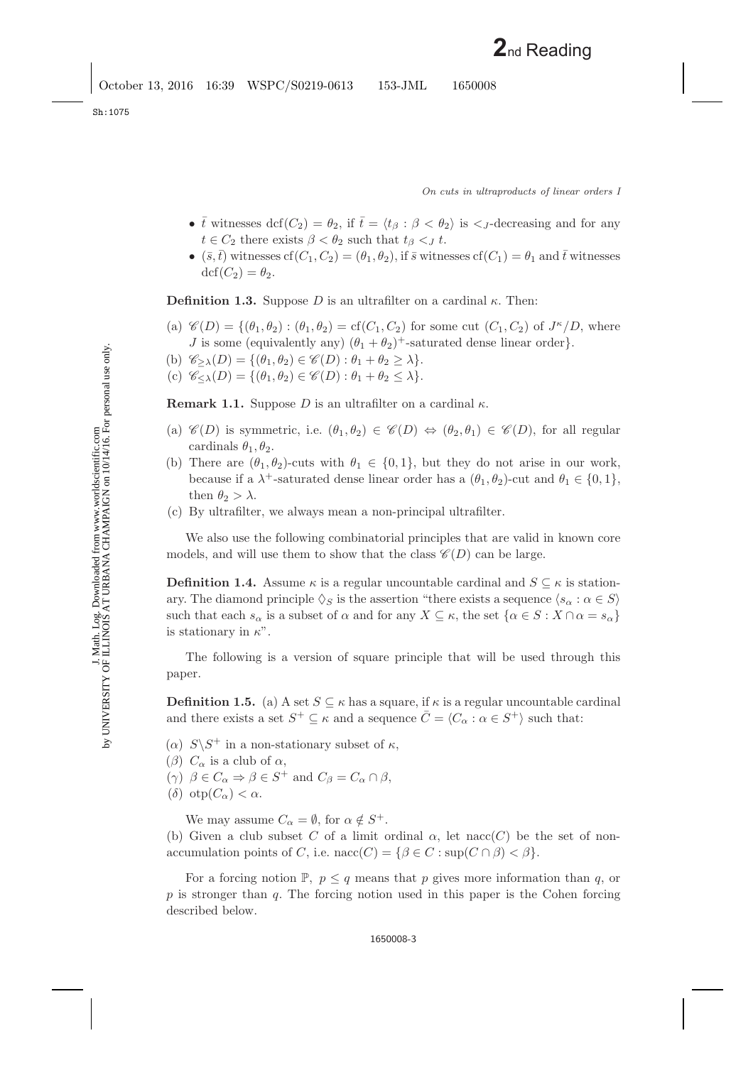Sh:1075

- $\bar{t}$  witnesses  $\text{dcf}(C_2) = \theta_2$ , if  $\bar{t} = \langle t_\beta : \beta < \theta_2 \rangle$  is  $\langle t_\beta t_\beta \rangle$  is  $\langle t_\beta t_\beta \rangle$  $t \in C_2$  there exists  $\beta < \theta_2$  such that  $t_{\beta} < t$ .
- $(\bar{s}, \bar{t})$  witnesses cf $(C_1, C_2) = (\theta_1, \theta_2)$ , if  $\bar{s}$  witnesses cf $(C_1) = \theta_1$  and  $\bar{t}$  witnesses  $\text{dcf}(C_2) = \theta_2.$

**Definition 1.3.** Suppose D is an ultrafilter on a cardinal  $\kappa$ . Then:

- (a)  $\mathscr{C}(D) = \{(\theta_1, \theta_2) : (\theta_1, \theta_2) = \text{cf}(C_1, C_2) \text{ for some cut } (C_1, C_2) \text{ of } J^{\kappa}/D, \text{ where }$ J is some (equivalently any)  $(\theta_1 + \theta_2)^+$ -saturated dense linear order.
- (b)  $\mathscr{C}_{\geq \lambda}(D) = \{(\theta_1, \theta_2) \in \mathscr{C}(D) : \theta_1 + \theta_2 \geq \lambda\}.$
- (c)  $\mathcal{C}_{\leq \lambda}(D) = \{(\theta_1, \theta_2) \in \mathcal{C}(D) : \theta_1 + \theta_2 \leq \lambda\}.$

**Remark 1.1.** Suppose D is an ultrafilter on a cardinal  $\kappa$ .

- (a)  $\mathscr{C}(D)$  is symmetric, i.e.  $(\theta_1, \theta_2) \in \mathscr{C}(D) \Leftrightarrow (\theta_2, \theta_1) \in \mathscr{C}(D)$ , for all regular cardinals  $\theta_1, \theta_2$ .
- (b) There are  $(\theta_1, \theta_2)$ -cuts with  $\theta_1 \in \{0, 1\}$ , but they do not arise in our work, because if a  $\lambda^+$ -saturated dense linear order has a  $(\theta_1, \theta_2)$ -cut and  $\theta_1 \in \{0, 1\},$ then  $\theta_2 > \lambda$ .
- (c) By ultrafilter, we always mean a non-principal ultrafilter.

We also use the following combinatorial principles that are valid in known core models, and will use them to show that the class  $\mathscr{C}(D)$  can be large.

**Definition 1.4.** Assume  $\kappa$  is a regular uncountable cardinal and  $S \subseteq \kappa$  is stationary. The diamond principle  $\Diamond_S$  is the assertion "there exists a sequence  $\langle s_\alpha : \alpha \in S \rangle$ such that each  $s_{\alpha}$  is a subset of  $\alpha$  and for any  $X \subseteq \kappa$ , the set  $\{\alpha \in S : X \cap \alpha = s_{\alpha}\}\$ is stationary in  $\kappa$ ".

The following is a version of square principle that will be used through this paper.

**Definition 1.5.** (a) A set  $S \subseteq \kappa$  has a square, if  $\kappa$  is a regular uncountable cardinal and there exists a set  $S^+ \subseteq \kappa$  and a sequence  $\overline{C} = \langle C_\alpha : \alpha \in S^+ \rangle$  such that:

- ( $\alpha$ )  $S\backslash S^+$  in a non-stationary subset of  $\kappa$ ,
- ( $\beta$ )  $C_{\alpha}$  is a club of  $\alpha$ ,
- (γ)  $\beta \in C_{\alpha} \Rightarrow \beta \in S^+$  and  $C_{\beta} = C_{\alpha} \cap \beta$ ,
- (δ) otp $(C_{\alpha}) < \alpha$ .

We may assume  $C_{\alpha} = \emptyset$ , for  $\alpha \notin S^+$ .

(b) Given a club subset C of a limit ordinal  $\alpha$ , let nacc(C) be the set of nonaccumulation points of C, i.e.  $n\text{acc}(C) = \{ \beta \in C : \text{sup}(C \cap \beta) < \beta \}.$ 

For a forcing notion  $\mathbb{P}, p \leq q$  means that p gives more information than q, or  $p$  is stronger than  $q$ . The forcing notion used in this paper is the Cohen forcing described below.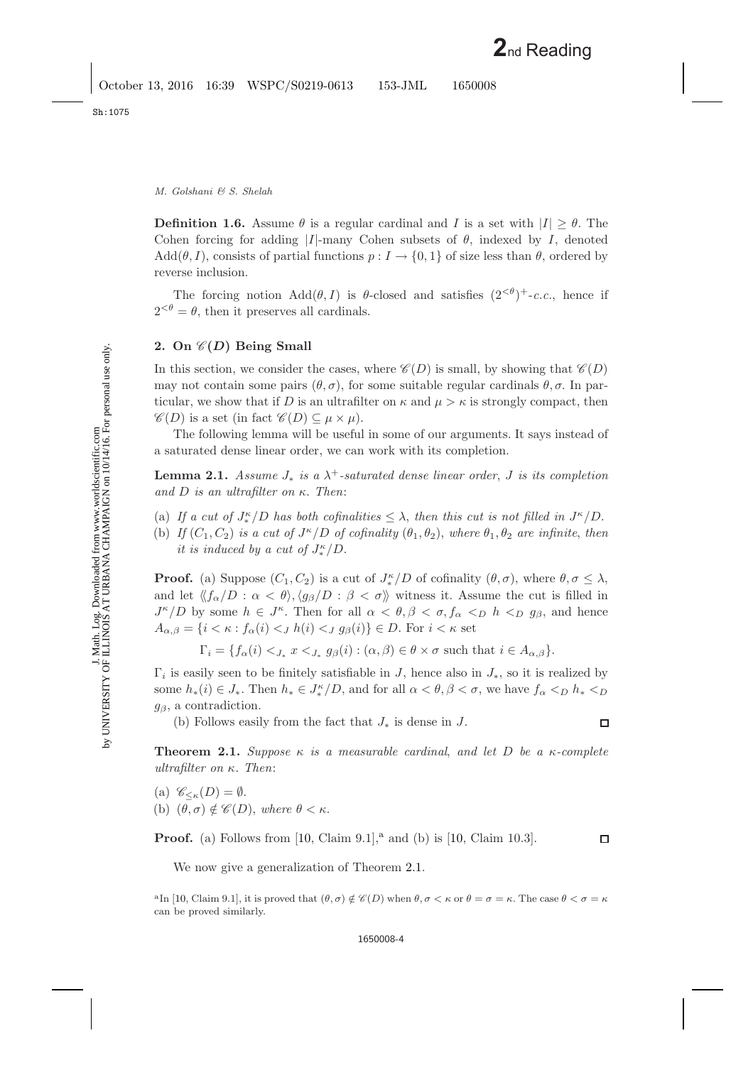J. Math. Log. Downloaded from www.worldscientific.com by UNIVERSITY OF ILLINOIS AT URBANA CHAMPAIGN on 10/14/16. For personal use only.

J. Math. Log. Downloaded from www.worldscientific.com<br>by UNIVERSITY OF ILLINOIS AT URBANA CHAMPAIGN on 10/14/16. For personal use only.

## *M. Golshani & S. Shelah*

**Definition 1.6.** Assume  $\theta$  is a regular cardinal and I is a set with  $|I| \ge \theta$ . The Cohen forcing for adding |I|-many Cohen subsets of  $\theta$ , indexed by I, denoted  $Add(\theta, I)$ , consists of partial functions  $p: I \to \{0, 1\}$  of size less than  $\theta$ , ordered by reverse inclusion.

The forcing notion  $Add(\theta, I)$  is  $\theta$ -closed and satisfies  $(2<sup>{\epsilon}\theta</sup>)$ <sup>+</sup>-*c.c.*, hence if  $2^{<\theta} = \theta$ , then it preserves all cardinals.

# 2. On  $\mathscr{C}(D)$  Being Small

In this section, we consider the cases, where  $\mathscr{C}(D)$  is small, by showing that  $\mathscr{C}(D)$ may not contain some pairs  $(\theta, \sigma)$ , for some suitable regular cardinals  $\theta, \sigma$ . In particular, we show that if D is an ultrafilter on  $\kappa$  and  $\mu > \kappa$  is strongly compact, then  $\mathscr{C}(D)$  is a set (in fact  $\mathscr{C}(D) \subseteq \mu \times \mu$ ).

<span id="page-3-2"></span>The following lemma will be useful in some of our arguments. It says instead of a saturated dense linear order, we can work with its completion.

**Lemma 2.1.** *Assume*  $J_*$  *is a*  $\lambda^+$ -saturated dense linear order,  $J$  *is its completion and* D *is an ultrafilter on* κ. *Then*:

- (a) If a cut of  $J^{\kappa}_{*}/D$  has both cofinalities  $\leq \lambda$ , then this cut is not filled in  $J^{\kappa}/D$ .
- (b) *If*  $(C_1, C_2)$  *is a cut of*  $J^{\kappa}/D$  *of cofinality*  $(\theta_1, \theta_2)$ *, where*  $\theta_1, \theta_2$  *are infinite, then it is induced by a cut of*  $J^{\kappa}_{*}/D$ .

**Proof.** (a) Suppose  $(C_1, C_2)$  is a cut of  $J^{\kappa}_*/D$  of cofinality  $(\theta, \sigma)$ , where  $\theta, \sigma \leq \lambda$ , and let  $\langle f_\alpha/D : \alpha < \theta \rangle$ ,  $\langle g_\beta/D : \beta < \sigma \rangle$  witness it. Assume the cut is filled in  $J^{\kappa}/D$  by some  $h \in J^{\kappa}$ . Then for all  $\alpha < \theta, \beta < \sigma, f_{\alpha} <_{D} h <_{D} g_{\beta}$ , and hence  $A_{\alpha,\beta} = \{i \leq \kappa : f_{\alpha}(i) \leq J \mid h(i) \leq J \mid g_{\beta}(i)\}\in D$ . For  $i \leq \kappa$  set

$$
\Gamma_i = \{ f_{\alpha}(i) <_{J_*} x <_{J_*} g_{\beta}(i) : (\alpha, \beta) \in \theta \times \sigma \text{ such that } i \in A_{\alpha, \beta} \}.
$$

 $\Gamma_i$  is easily seen to be finitely satisfiable in J, hence also in  $J_*$ , so it is realized by some  $h_*(i) \in J_*$ . Then  $h_* \in J_*^{\kappa}/D$ , and for all  $\alpha < \theta, \beta < \sigma$ , we have  $f_\alpha <_D h_* <_D$  $g_{\beta}$ , a contradiction.

(b) Follows easily from the fact that  $J_*$  is dense in  $J$ .

<span id="page-3-1"></span>**Theorem 2.1.** *Suppose*  $\kappa$  *is a measurable cardinal, and let* D *be a*  $\kappa$ -complete *ultrafilter on* κ*. Then*:

 $\Box$ 

 $\Box$ 

(a)  $\mathscr{C}_{\leq \kappa}(D) = \emptyset$ .

(b)  $(\theta, \sigma) \notin \mathscr{C}(D)$ , *where*  $\theta < \kappa$ .

**Proof.** ([a](#page-3-0)) Follows from  $[10, Claim 9.1]$  $[10, Claim 9.1]$ , and (b) is  $[10, Claim 10.3]$ .

We now give a generalization of Theorem [2.1.](#page-3-1)

<span id="page-3-0"></span><sup>a</sup>In [\[10,](#page-33-6) Claim 9.1], it is proved that  $(\theta, \sigma) \notin \mathscr{C}(D)$  when  $\theta, \sigma < \kappa$  or  $\theta = \sigma = \kappa$ . The case  $\theta < \sigma = \kappa$ can be proved similarly.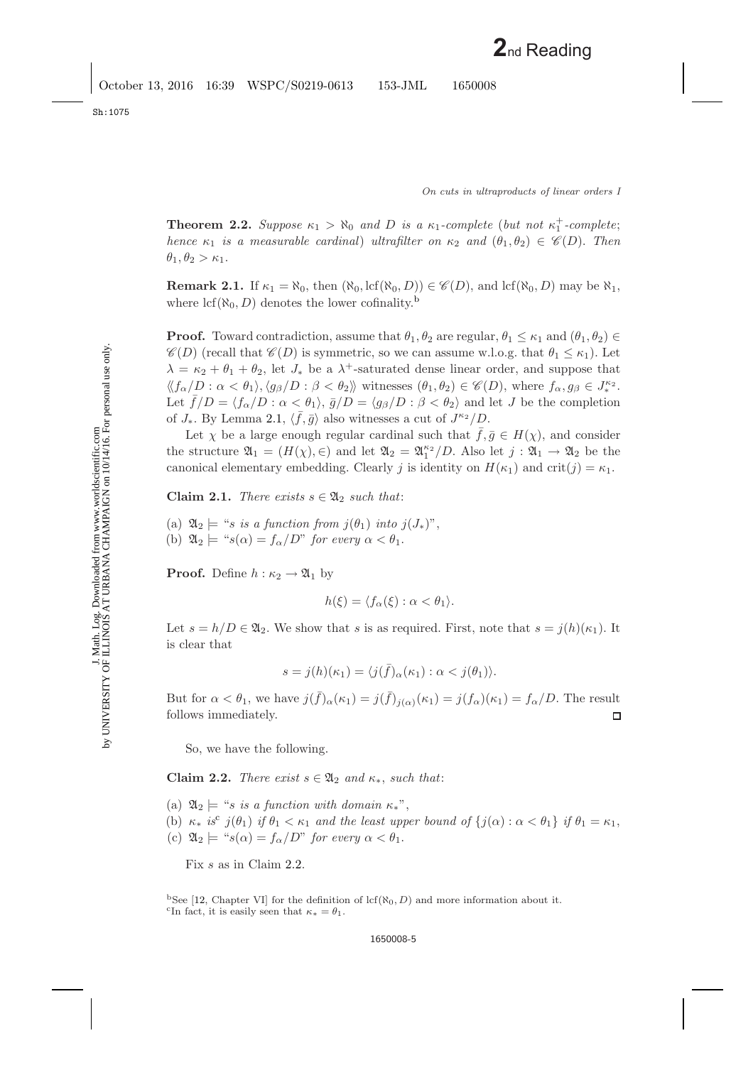Sh:1075

<span id="page-4-0"></span>**Theorem 2.2.** *Suppose*  $\kappa_1 > \aleph_0$  *and D is a*  $\kappa_1$ *-complete* (*but not*  $\kappa_1^+$ *-complete*; *hence*  $\kappa_1$  *is a measurable cardinal*) *ultrafilter on*  $\kappa_2$  *and*  $(\theta_1, \theta_2) \in \mathcal{C}(D)$ . *Then*  $\theta_1, \theta_2 > \kappa_1.$ 

**Remark 2.1.** If  $\kappa_1 = \aleph_0$ , then  $(\aleph_0, \text{lcf}(\aleph_0, D)) \in \mathcal{C}(D)$ , and  $\text{lcf}(\aleph_0, D)$  may be  $\aleph_1$ , where  $\text{lcf}(\aleph_0, D)$  denotes the lower cofinality.<sup>[b](#page-4-1)</sup>

**Proof.** Toward contradiction, assume that  $\theta_1, \theta_2$  are regular,  $\theta_1 \leq \kappa_1$  and  $(\theta_1, \theta_2) \in$  $\mathscr{C}(D)$  (recall that  $\mathscr{C}(D)$  is symmetric, so we can assume w.l.o.g. that  $\theta_1 \leq \kappa_1$ ). Let  $\lambda = \kappa_2 + \theta_1 + \theta_2$ , let  $J_*$  be a  $\lambda^+$ -saturated dense linear order, and suppose that  $\langle \langle f_\alpha/D : \alpha < \theta_1 \rangle, \langle g_\beta/D : \beta < \theta_2 \rangle \rangle$  witnesses  $(\theta_1, \theta_2) \in \mathscr{C}(D)$ , where  $f_\alpha, g_\beta \in J_*^{\kappa_2}$ . Let  $\bar{f}/D = \langle f_{\alpha}/D : \alpha < \theta_1 \rangle$ ,  $\bar{g}/D = \langle g_{\beta}/D : \beta < \theta_2 \rangle$  and let J be the completion of  $J_*$ . By Lemma [2.1,](#page-3-2)  $\langle \bar{f}, \bar{g} \rangle$  also witnesses a cut of  $J^{\kappa_2}/D$ .

Let  $\chi$  be a large enough regular cardinal such that  $\bar{f}, \bar{g} \in H(\chi)$ , and consider the structure  $\mathfrak{A}_1 = (H(\chi), \in)$  and let  $\mathfrak{A}_2 = \mathfrak{A}_1^{\kappa_2}/D$ . Also let  $j : \mathfrak{A}_1 \to \mathfrak{A}_2$  be the canonical elementary embedding. Clearly j is identity on  $H(\kappa_1)$  and  $\text{crit}(j) = \kappa_1$ .

<span id="page-4-4"></span>**Claim 2.1.** *There exists*  $s \in \mathfrak{A}_2$  *such that:* 

- (a)  $\mathfrak{A}_2 \models$  "*s is a function from*  $j(\theta_1)$  *into*  $j(J_*)$ ",
- (b)  $\mathfrak{A}_2 \models ``s(\alpha) = f_{\alpha}/D"$  *for every*  $\alpha < \theta_1$ .

**Proof.** Define  $h : \kappa_2 \to \mathfrak{A}_1$  by

$$
h(\xi) = \langle f_{\alpha}(\xi) : \alpha < \theta_1 \rangle.
$$

Let  $s = h/D \in \mathfrak{A}_2$ . We show that s is as required. First, note that  $s = j(h)(\kappa_1)$ . It is clear that

$$
s = j(h)(\kappa_1) = \langle j(\bar{f})_{\alpha}(\kappa_1) : \alpha < j(\theta_1) \rangle.
$$

But for  $\alpha < \theta_1$ , we have  $j(\bar{f})_{\alpha}(\kappa_1) = j(\bar{f})_{j(\alpha)}(\kappa_1) = j(f_{\alpha})(\kappa_1) = f_{\alpha}/D$ . The result follows immediately. 口

<span id="page-4-3"></span>So, we have the following.

**Claim 2.2.** *There exist*  $s \in \mathfrak{A}_2$  *and*  $\kappa_*,$  *such that:* 

(a)  $\mathfrak{A}_2 \models$  "*s is a function with domain*  $\kappa_*$ ",

(b)  $\kappa_*$  *is*<sup>[c](#page-4-2)</sup>  $j(\theta_1)$  *if*  $\theta_1 < \kappa_1$  *and the least upper bound of*  $\{j(\alpha): \alpha < \theta_1\}$  *if*  $\theta_1 = \kappa_1$ , (c)  $\mathfrak{A}_2 \models {\text{``}} s(\alpha) = f_\alpha/D^{\text{''}}$  *for every*  $\alpha < \theta_1$ .

Fix s as in Claim [2.2.](#page-4-3)

<span id="page-4-2"></span><span id="page-4-1"></span>bSee [\[12,](#page-33-7) Chapter VI] for the definition of lcf( $\aleph_0$ , D) and more information about it. <sup>c</sup>In fact, it is easily seen that  $\kappa_* = \theta_1$ .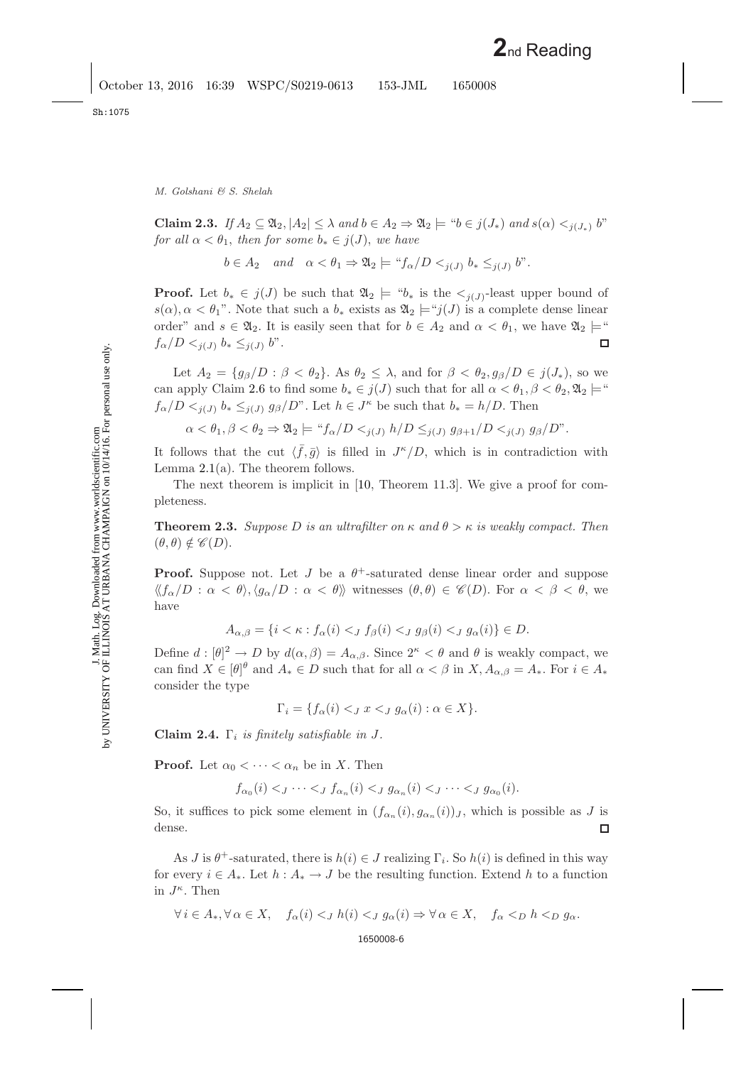**Claim 2.3.** *If*  $A_2 \subseteq \mathfrak{A}_2$ ,  $|A_2| \leq \lambda$  *and*  $b \in A_2 \Rightarrow \mathfrak{A}_2 \models \text{``} b \in j(J_*)$  *and*  $s(\alpha) \leq i(J_*)$  b" *for all*  $\alpha < \theta_1$ *, then for some*  $b_* \in j(J)$ *, we have* 

$$
b \in A_2
$$
 and  $\alpha < \theta_1 \Rightarrow \mathfrak{A}_2 \models ``f_\alpha/D <_{j(J)} b_* \leq_{j(J)} b''$ .

**Proof.** Let  $b_* \in j(J)$  be such that  $\mathfrak{A}_2 \models {\mathfrak{a}}_k$  is the  $\lt_{j(J)}$ -least upper bound of  $s(\alpha)$ ,  $\alpha < \theta_1$ ". Note that such a  $b_*$  exists as  $\mathfrak{A}_2 \models "j(J)$  is a complete dense linear order" and  $s \in \mathfrak{A}_2$ . It is easily seen that for  $b \in A_2$  and  $\alpha < \theta_1$ , we have  $\mathfrak{A}_2 \models$ "  $f_{\alpha}/D \lt_{j(J)} b_* \leq_{j(J)} b$ ".  $\Box$ 

Let  $A_2 = \{g_\beta/D : \beta < \theta_2\}$ . As  $\theta_2 \leq \lambda$ , and for  $\beta < \theta_2$ ,  $g_\beta/D \in j(J_*)$ , so we can apply Claim [2.6](#page-8-1) to find some  $b_* \in j(J)$  such that for all  $\alpha < \theta_1, \beta < \theta_2, \mathfrak{A}_2 \models$ "  $f_{\alpha}/D \lt_{j(J)} b_* \leq_{j(J)} g_{\beta}/D^{\nu}$ . Let  $h \in J^{\kappa}$  be such that  $b_* = h/D$ . Then

$$
\alpha < \theta_1, \beta < \theta_2 \Rightarrow \mathfrak{A}_2 \models \text{``} f_\alpha/D <_{j(J)} h/D \leq_{j(J)} g_{\beta+1}/D <_{j(J)} g_\beta/D\text{''}.
$$

It follows that the cut  $\langle \bar{f}, \bar{g} \rangle$  is filled in  $J^{\kappa}/D$ , which is in contradiction with Lemma [2.1\(](#page-3-2)a). The theorem follows.

The next theorem is implicit in [\[10,](#page-33-6) Theorem 11.3]. We give a proof for completeness.

**Theorem 2.3.** *Suppose* D *is an ultrafilter on*  $\kappa$  *and*  $\theta > \kappa$  *is weakly compact. Then*  $(\theta, \theta) \notin \mathscr{C}(D)$ .

**Proof.** Suppose not. Let J be a  $\theta^+$ -saturated dense linear order and suppose  $\langle f_{\alpha}/D : \alpha < \theta \rangle, \langle g_{\alpha}/D : \alpha < \theta \rangle$  witnesses  $(\theta, \theta) \in \mathscr{C}(D)$ . For  $\alpha < \beta < \theta$ , we have

$$
A_{\alpha,\beta} = \{i < \kappa : f_{\alpha}(i) <_{J} f_{\beta}(i) <_{J} g_{\beta}(i) <_{J} g_{\alpha}(i)\} \in D.
$$

Define  $d : [\theta]^2 \to D$  by  $d(\alpha, \beta) = A_{\alpha, \beta}$ . Since  $2^{\kappa} < \theta$  and  $\theta$  is weakly compact, we can find  $X \in [\theta]^\theta$  and  $A_* \in D$  such that for all  $\alpha < \beta$  in  $X, A_{\alpha,\beta} = A_*$ . For  $i \in A_*$ consider the type

 $\Gamma_i = \{f_{\alpha}(i) < \iota \; x < \iota \; q_{\alpha}(i) : \alpha \in X\}.$ 

<span id="page-5-0"></span>**Claim 2.4.**  $\Gamma_i$  *is finitely satisfiable in J.* 

**Proof.** Let  $\alpha_0 < \cdots < \alpha_n$  be in X. Then

$$
f_{\alpha_0}(i) <_J \cdots <_J f_{\alpha_n}(i) <_J g_{\alpha_n}(i) <_J \cdots <_J g_{\alpha_0}(i).
$$

So, it suffices to pick some element in  $(f_{\alpha_n}(i), g_{\alpha_n}(i))_J$ , which is possible as J is dense.  $\Box$ 

As J is  $\theta^+$ -saturated, there is  $h(i) \in J$  realizing  $\Gamma_i$ . So  $h(i)$  is defined in this way for every  $i \in A_*$ . Let  $h : A_* \to J$  be the resulting function. Extend h to a function in  $J^{\kappa}$ . Then

$$
\forall i \in A_*, \forall \alpha \in X, \quad f_\alpha(i) <_J h(i) <_J g_\alpha(i) \Rightarrow \forall \alpha \in X, \quad f_\alpha <_D h <_D g_\alpha.
$$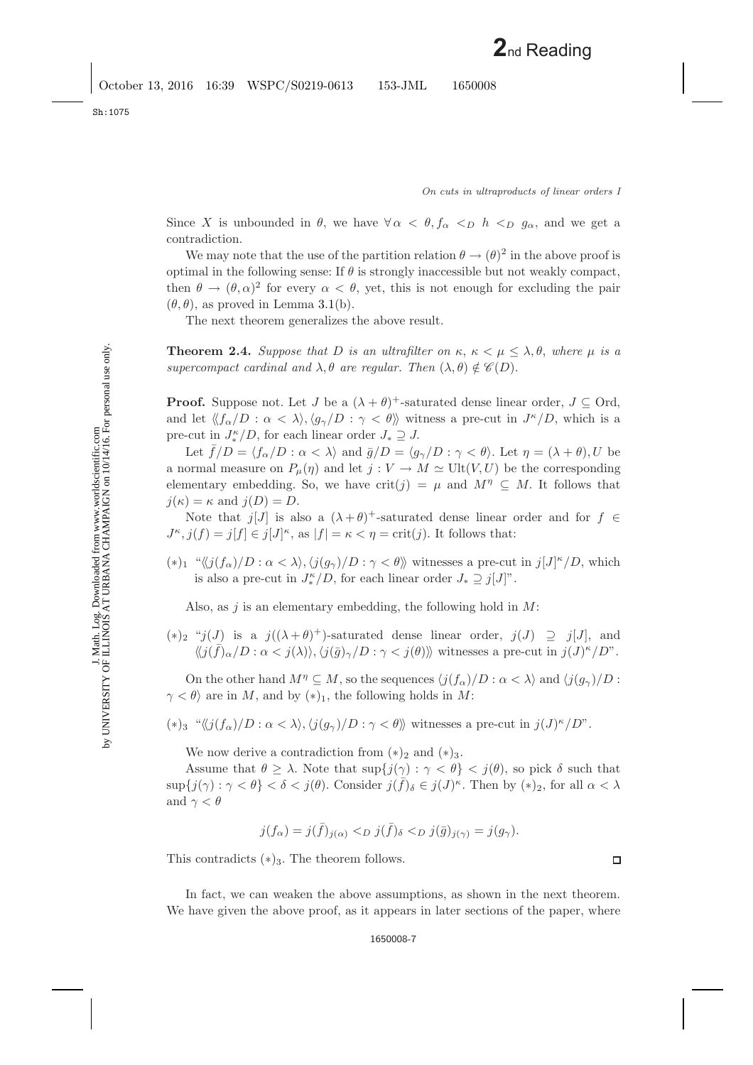Sh:1075

Since X is unbounded in  $\theta$ , we have  $\forall \alpha < \theta, f_{\alpha} < D \ h \leq D \ g_{\alpha}$ , and we get a contradiction.

We may note that the use of the partition relation  $\theta \to (\theta)^2$  in the above proof is optimal in the following sense: If  $\theta$  is strongly inaccessible but not weakly compact, then  $\theta \to (\theta, \alpha)^2$  for every  $\alpha < \theta$ , yet, this is not enough for excluding the pair  $(\theta, \theta)$ , as proved in Lemma [3.1\(](#page-3-2)b).

The next theorem generalizes the above result.

**Theorem 2.4.** *Suppose that* D *is an ultrafilter on*  $\kappa$ ,  $\kappa < \mu \leq \lambda$ ,  $\theta$ , *where*  $\mu$  *is a supercompact cardinal and*  $\lambda$ ,  $\theta$  *are regular. Then*  $(\lambda, \theta) \notin \mathscr{C}(D)$ .

**Proof.** Suppose not. Let J be a  $(\lambda + \theta)^+$ -saturated dense linear order,  $J \subseteq$  Ord, and let  $\langle f_{\alpha}/D : \alpha < \lambda \rangle$ ,  $\langle g_{\gamma}/D : \gamma < \theta \rangle$  witness a pre-cut in  $J^{\kappa}/D$ , which is a pre-cut in  $J_{\kappa}^{\kappa}/D$ , for each linear order  $J_{\kappa} \supseteq J$ .

Let  $\bar{f}/D = \langle f_{\alpha}/D : \alpha < \lambda \rangle$  and  $\bar{g}/D = \langle g_{\gamma}/D : \gamma < \theta \rangle$ . Let  $\eta = (\lambda + \theta), U$  be a normal measure on  $P_{\mu}(\eta)$  and let  $j: V \to M \simeq \text{Ult}(V,U)$  be the corresponding elementary embedding. So, we have crit(j) =  $\mu$  and  $M^{\eta} \subseteq M$ . It follows that  $j(\kappa) = \kappa$  and  $j(D) = D$ .

Note that  $j[J]$  is also a  $(\lambda + \theta)^+$ -saturated dense linear order and for  $f \in$  $J^{\kappa}, j(f) = j[f] \in j[J]^{\kappa}, \text{ as } |f| = \kappa < \eta = \text{crit}(j).$  It follows that:

 $(*)_1$  " $\langle j(f_\alpha)/D : \alpha < \lambda \rangle$ ,  $\langle j(g_\gamma)/D : \gamma < \theta \rangle$  witnesses a pre-cut in  $j[J]^{\kappa}/D$ , which is also a pre-cut in  $J^{\kappa}_{\ast}/D$ , for each linear order  $J_{\ast} \supseteq j[J]$ ".

Also, as j is an elementary embedding, the following hold in  $M$ :

(\*)<sub>2</sub> "j(J) is a j(( $\lambda$ + $\theta$ )<sup>+</sup>)-saturated dense linear order, j(J) ⊇ j[J], and  $\langle\!\langle j(\bar f)_\alpha/D : \alpha < j(\lambda) \rangle, \langle j(\bar g)_\gamma/D : \gamma < j(\theta) \rangle\!\rangle$  witnesses a pre-cut in  $j(J)^\kappa/D$ ".

On the other hand  $M^{\eta} \subseteq M$ , so the sequences  $\langle j(f_{\alpha})/D : \alpha < \lambda \rangle$  and  $\langle j(g_{\gamma})/D :$  $\gamma < \theta$  are in M, and by  $(*)_1$ , the following holds in M:

(\*)<sub>3</sub> " $\langle j(f_\alpha)/D : \alpha < \lambda \rangle$ ,  $\langle j(g_\gamma)/D : \gamma < \theta \rangle$  witnesses a pre-cut in  $j(J)^\kappa/D$ ".

We now derive a contradiction from  $(*)_2$  and  $(*)_3$ .

Assume that  $\theta \geq \lambda$ . Note that  $\sup\{j(\gamma) : \gamma < \theta\} < j(\theta)$ , so pick  $\delta$  such that  $\sup\{j(\gamma): \gamma < \theta\} < \delta < j(\theta)$ . Consider  $j(\bar{f})_\delta \in j(\bar{J})^\kappa$ . Then by  $(*)_2$ , for all  $\alpha < \lambda$ and  $\gamma < \theta$ 

$$
j(f_{\alpha}) = j(\bar{f})_{j(\alpha)} <_{D} j(\bar{f})_{\delta} <_{D} j(\bar{g})_{j(\gamma)} = j(g_{\gamma}).
$$

This contradicts  $(*)_3$ . The theorem follows.

In fact, we can weaken the above assumptions, as shown in the next theorem. We have given the above proof, as it appears in later sections of the paper, where

 $\Box$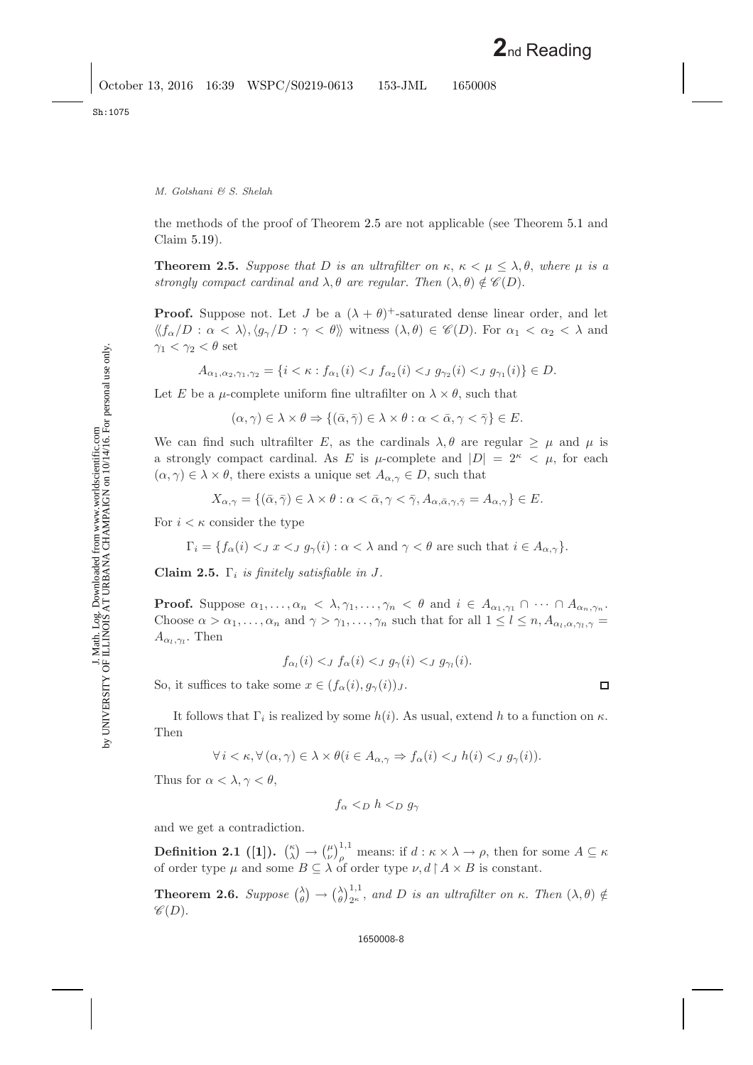<span id="page-7-0"></span>the methods of the proof of Theorem [2.5](#page-7-0) are not applicable (see Theorem [5.1](#page-27-0) and Claim [5.19\)](#page-31-1).

**Theorem 2.5.** *Suppose that* D *is an ultrafilter on*  $\kappa$ ,  $\kappa < \mu \leq \lambda$ ,  $\theta$ , *where*  $\mu$  *is a strongly compact cardinal and*  $\lambda$ ,  $\theta$  *are regular. Then*  $(\lambda, \theta) \notin \mathcal{C}(D)$ .

**Proof.** Suppose not. Let J be a  $(\lambda + \theta)^+$ -saturated dense linear order, and let  $\langle f_{\alpha}/D : \alpha < \lambda \rangle, \langle g_{\gamma}/D : \gamma < \theta \rangle$  witness  $(\lambda, \theta) \in \mathscr{C}(D)$ . For  $\alpha_1 < \alpha_2 < \lambda$  and  $\gamma_1 < \gamma_2 < \theta$  set

$$
A_{\alpha_1,\alpha_2,\gamma_1,\gamma_2} = \{i < \kappa : f_{\alpha_1}(i) <_{J} f_{\alpha_2}(i) <_{J} g_{\gamma_2}(i) <_{J} g_{\gamma_1}(i)\} \in D.
$$

Let E be a  $\mu$ -complete uniform fine ultrafilter on  $\lambda \times \theta$ , such that

$$
(\alpha, \gamma) \in \lambda \times \theta \Rightarrow \{(\bar{\alpha}, \bar{\gamma}) \in \lambda \times \theta : \alpha < \bar{\alpha}, \gamma < \bar{\gamma}\} \in E.
$$

We can find such ultrafilter E, as the cardinals  $\lambda, \theta$  are regular  $\geq \mu$  and  $\mu$  is a strongly compact cardinal. As E is  $\mu$ -complete and  $|D| = 2^{\kappa} < \mu$ , for each  $(\alpha, \gamma) \in \lambda \times \theta$ , there exists a unique set  $A_{\alpha, \gamma} \in D$ , such that

$$
X_{\alpha,\gamma} = \{(\bar{\alpha}, \bar{\gamma}) \in \lambda \times \theta : \alpha < \bar{\alpha}, \gamma < \bar{\gamma}, A_{\alpha, \bar{\alpha}, \gamma, \bar{\gamma}} = A_{\alpha, \gamma}\} \in E.
$$

For  $i < \kappa$  consider the type

$$
\Gamma_i = \{ f_{\alpha}(i) <_{J} x <_{J} g_{\gamma}(i) : \alpha < \lambda \text{ and } \gamma < \theta \text{ are such that } i \in A_{\alpha, \gamma} \}.
$$

<span id="page-7-1"></span>**Claim 2.5.**  $\Gamma_i$  *is finitely satisfiable in J.* 

**Proof.** Suppose  $\alpha_1, \ldots, \alpha_n < \lambda, \gamma_1, \ldots, \gamma_n < \theta$  and  $i \in A_{\alpha_1, \gamma_1} \cap \cdots \cap A_{\alpha_n, \gamma_n}$ . Choose  $\alpha > \alpha_1, \ldots, \alpha_n$  and  $\gamma > \gamma_1, \ldots, \gamma_n$  such that for all  $1 \leq l \leq n, A_{\alpha_l, \alpha, \gamma_l, \gamma} =$  $A_{\alpha_l,\gamma_l}$ . Then

$$
f_{\alpha_l}(i) <_J f_\alpha(i) <_J g_\gamma(i) <_J g_{\gamma_l}(i).
$$

 $\Box$ 

So, it suffices to take some  $x \in (f_{\alpha}(i), g_{\gamma}(i))_J$ .

It follows that  $\Gamma_i$  is realized by some  $h(i)$ . As usual, extend h to a function on  $\kappa$ . Then

$$
\forall i < \kappa, \forall (\alpha, \gamma) \in \lambda \times \theta (i \in A_{\alpha, \gamma} \Rightarrow f_{\alpha}(i) <_{J} h(i) <_{J} g_{\gamma}(i)).
$$

Thus for  $\alpha < \lambda, \gamma < \theta$ ,

$$
f_{\alpha} <_{D} h <_{D} g_{\gamma}
$$

and we get a contradiction.

 $\text{Definition 2.1 ([1]).} \text{ } \binom{\kappa}{\lambda} \rightarrow \binom{\mu}{\nu}_{\rho}^{1,1}$  $\text{Definition 2.1 ([1]).} \text{ } \binom{\kappa}{\lambda} \rightarrow \binom{\mu}{\nu}_{\rho}^{1,1}$  $\text{Definition 2.1 ([1]).} \text{ } \binom{\kappa}{\lambda} \rightarrow \binom{\mu}{\nu}_{\rho}^{1,1}$ <sup>1,1</sup> means: if  $d : \kappa \times \lambda \to \rho$ , then for some  $A \subseteq \kappa$ of order type  $\mu$  and some  $B \subseteq \lambda$  of order type  $\nu$ ,  $d \upharpoonright A \times B$  is constant.

**Theorem 2.6.** *Suppose*  $\begin{pmatrix} \lambda \\ \theta \end{pmatrix} \rightarrow \begin{pmatrix} \lambda \\ \theta \end{pmatrix}^{1,1}_{2^{\kappa}},$  and D is an ultrafilter on  $\kappa$ . Then  $(\lambda, \theta) \notin$  $\mathscr{C}(D)$ .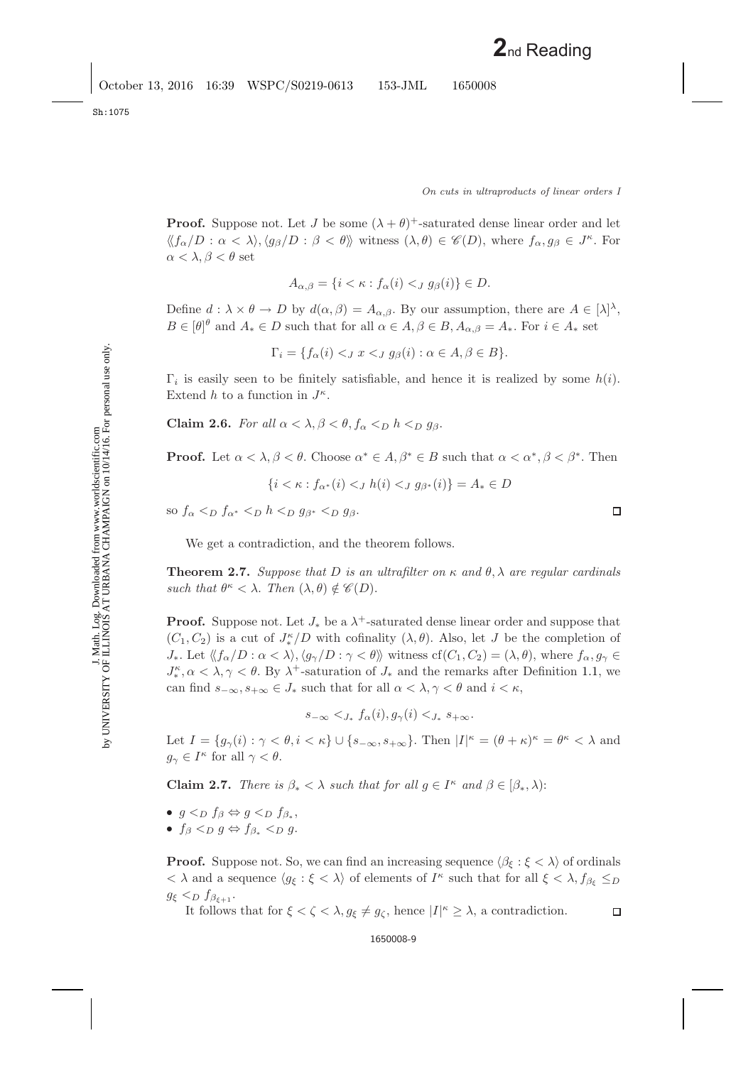<span id="page-8-1"></span>J. Math. Log. Downloaded from www.worldscientific.com by UNIVERSITY OF ILLINOIS AT URBANA CHAMPAIGN on 10/14/16. For personal use only.

J. Math. Log. Downloaded from www.worldscientific.com<br>by UNIVERSITY OF ILLINOIS AT URBANA CHAMPAIGN on 10/14/16. For personal use only.

**Proof.** Suppose not. Let J be some  $(\lambda + \theta)^+$ -saturated dense linear order and let  $\langle f_{\alpha}/D : \alpha < \lambda \rangle, \langle g_{\beta}/D : \beta < \theta \rangle$  witness  $(\lambda, \theta) \in \mathscr{C}(D)$ , where  $f_{\alpha}, g_{\beta} \in J^{\kappa}$ . For  $\alpha < \lambda, \beta < \theta$  set

$$
A_{\alpha,\beta} = \{ i < \kappa : f_\alpha(i) <_{J} g_\beta(i) \} \in D.
$$

Define  $d : \lambda \times \theta \to D$  by  $d(\alpha, \beta) = A_{\alpha, \beta}$ . By our assumption, there are  $A \in [\lambda]^{\lambda}$ ,  $B \in [\theta]^\theta$  and  $A_* \in D$  such that for all  $\alpha \in A, \beta \in B, A_{\alpha,\beta} = A_*$ . For  $i \in A_*$  set

$$
\Gamma_i = \{ f_\alpha(i) <_J x <_J g_\beta(i) : \alpha \in A, \beta \in B \}.
$$

 $\Gamma_i$  is easily seen to be finitely satisfiable, and hence it is realized by some  $h(i)$ . Extend h to a function in  $J^{\kappa}$ .

**Claim 2.6.** *For all*  $\alpha < \lambda, \beta < \theta, f_{\alpha} < D h \leq D g_{\beta}$ .

**Proof.** Let  $\alpha < \lambda, \beta < \theta$ . Choose  $\alpha^* \in A, \beta^* \in B$  such that  $\alpha < \alpha^*, \beta < \beta^*$ . Then

$$
\{i < \kappa : f_{\alpha^*}(i) <_{J} h(i) <_{J} g_{\beta^*}(i)\} = A_* \in D
$$

so  $f_{\alpha} \lt_{D} f_{\alpha^*} \lt_{D} h \lt_{D} g_{\beta^*} \lt_{D} g_{\beta}.$ 

We get a contradiction, and the theorem follows.

<span id="page-8-0"></span>**Theorem 2.7.** *Suppose that* D *is an ultrafilter on*  $\kappa$  *and*  $\theta$ ,  $\lambda$  *are regular cardinals such that*  $\theta^{\kappa} < \lambda$ . *Then*  $(\lambda, \theta) \notin \mathscr{C}(D)$ .

**Proof.** Suppose not. Let  $J_*$  be a  $\lambda^+$ -saturated dense linear order and suppose that  $(C_1, C_2)$  is a cut of  $J^{\kappa}_*/D$  with cofinality  $(\lambda, \theta)$ . Also, let J be the completion of J<sub>\*</sub>. Let  $\langle f_{\alpha}/D : \alpha < \lambda \rangle$ ,  $\langle g_{\gamma}/D : \gamma < \theta \rangle$  witness cf( $C_1, C_2 = (\lambda, \theta)$ , where  $f_{\alpha}, g_{\gamma} \in$  $J_{*}^{\kappa}$ ,  $\alpha < \lambda$ ,  $\gamma < \theta$ . By  $\lambda^{+}$ -saturation of  $J_{*}$  and the remarks after Definition [1.1,](#page-1-0) we can find  $s_{-\infty}, s_{+\infty} \in J_*$  such that for all  $\alpha < \lambda, \gamma < \theta$  and  $i < \kappa$ ,

$$
s_{-\infty} <_{J_*} f_\alpha(i), g_\gamma(i) <_{J_*} s_{+\infty}.
$$

<span id="page-8-2"></span>Let  $I = \{g_\gamma(i) : \gamma < \theta, i < \kappa\} \cup \{s_{-\infty}, s_{+\infty}\}\$ . Then  $|I|^\kappa = (\theta + \kappa)^\kappa = \theta^\kappa < \lambda$  and  $g_{\gamma} \in I^{\kappa}$  for all  $\gamma < \theta$ .

**Claim 2.7.** *There is*  $\beta_* < \lambda$  *such that for all*  $g \in I^{\kappa}$  *and*  $\beta \in [\beta_*, \lambda)$ :

- $q \leq_D f_\beta \Leftrightarrow q \leq_D f_{\beta_*},$
- $f_{\beta} <_{D} g \Leftrightarrow f_{\beta_*} <_{D} g$ .

**Proof.** Suppose not. So, we can find an increasing sequence  $\langle \beta_{\xi} : \xi \langle \lambda \rangle$  of ordinals  $\langle \lambda \rangle$  and a sequence  $\langle g_{\xi} : \xi \langle \lambda \rangle$  of elements of  $I^{\kappa}$  such that for all  $\xi \langle \lambda, f_{\beta_{\xi}} \rangle \leq D$  $g_{\xi} <_{D} f_{\beta_{\xi+1}}.$ 

It follows that for  $\xi < \zeta < \lambda, g_{\xi} \neq g_{\zeta}$ , hence  $|I|^{\kappa} \geq \lambda$ , a contradiction.

 $\Box$ 

 $\Box$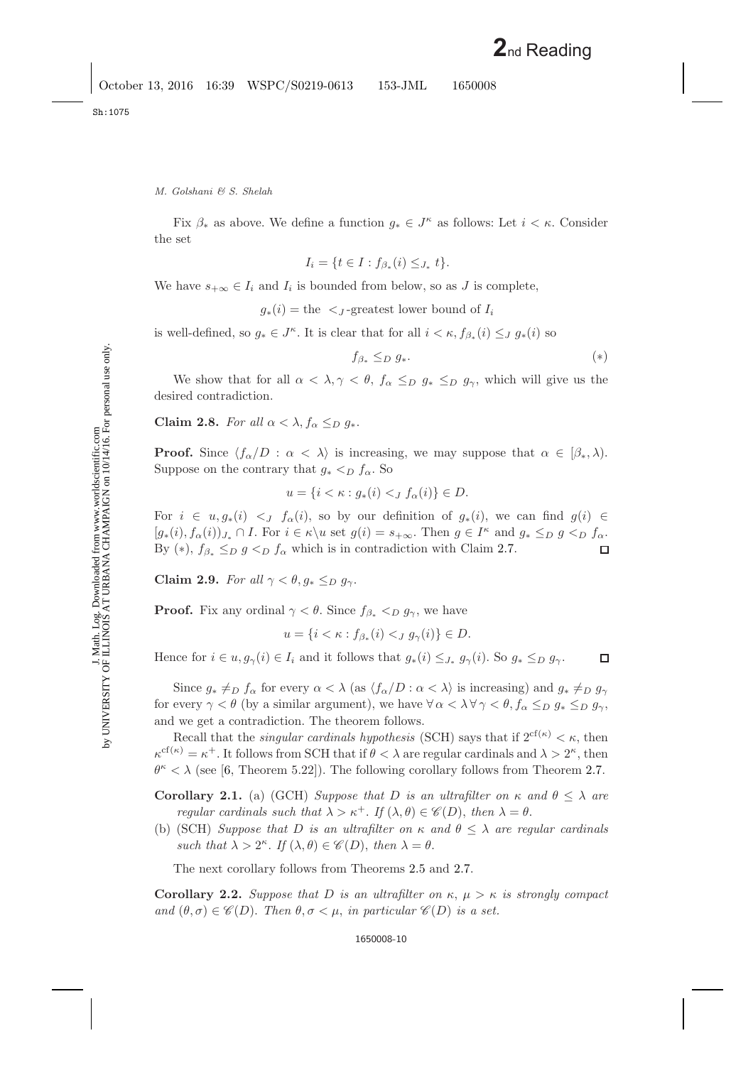Fix  $\beta_*$  as above. We define a function  $g_* \in J^{\kappa}$  as follows: Let  $i < \kappa$ . Consider the set

$$
I_i = \{ t \in I : f_{\beta_*}(i) \leq_{J_*} t \}.
$$

We have  $s_{+\infty} \in I_i$  and  $I_i$  is bounded from below, so as J is complete,

 $g_*(i) =$  the  $\lt,$  -greatest lower bound of  $I_i$ 

is well-defined, so  $g_* \in J^{\kappa}$ . It is clear that for all  $i < \kappa$ ,  $f_{\beta_*}(i) \leq J_{\beta_*}(i)$  so

$$
f_{\beta*} \leq_D g_*.\tag{*}
$$

We show that for all  $\alpha < \lambda, \gamma < \theta$ ,  $f_{\alpha} \leq_{D} g_{*} \leq_{D} g_{\gamma}$ , which will give us the desired contradiction.

**Claim 2.8.** *For all*  $\alpha < \lambda$ ,  $f_{\alpha} \leq_D g_*$ .

**Proof.** Since  $\langle f_\alpha/D : \alpha < \lambda \rangle$  is increasing, we may suppose that  $\alpha \in [\beta_*, \lambda)$ . Suppose on the contrary that  $g_* <_{D} f_{\alpha}$ . So

$$
u = \{i < \kappa : g_*(i) <_J f_\alpha(i)\} \in D.
$$

For  $i \in u, g_*(i) \leq J$   $f_\alpha(i)$ , so by our definition of  $g_*(i)$ , we can find  $g(i) \in$  $[g_*(i), f_\alpha(i)]_{J_*} \cap I$ . For  $i \in \kappa \setminus u$  set  $g(i) = s_{+\infty}$ . Then  $g \in I^{\kappa}$  and  $g_* \leq_D g \leq_D f_\alpha$ . By (\*),  $f_{\beta_*} \leq_D g \leq_D f_{\alpha}$  which is in contradiction with Claim [2.7.](#page-8-2)  $\Box$ 

**Claim 2.9.** *For all*  $\gamma < \theta, g_* \leq_D g_\gamma$ .

**Proof.** Fix any ordinal  $\gamma < \theta$ . Since  $f_{\beta_*} <_{D} g_{\gamma}$ , we have

$$
u = \{i < \kappa : f_{\beta_*}(i) <_{J} g_{\gamma}(i)\} \in D.
$$

Hence for  $i \in u, g_{\gamma}(i) \in I_i$  and it follows that  $g_*(i) \leq_{J_*} g_{\gamma}(i)$ . So  $g_* \leq_{D} g_{\gamma}$ .  $\Box$ 

Since  $g_* \neq_D f_\alpha$  for every  $\alpha < \lambda$  (as  $\langle f_\alpha/D : \alpha < \lambda \rangle$  is increasing) and  $g_* \neq_D g_\gamma$ for every  $\gamma < \theta$  (by a similar argument), we have  $\forall \alpha < \lambda \,\forall \gamma < \theta, f_{\alpha} \leq_D g_* \leq_D g_{\gamma}$ , and we get a contradiction. The theorem follows.

Recall that the *singular cardinals hypothesis* (SCH) says that if  $2^{cf(\kappa)} < \kappa$ , then  $\kappa^{\text{cf}(\kappa)} = \kappa^+$ . It follows from SCH that if  $\theta < \lambda$  are regular cardinals and  $\lambda > 2^{\kappa}$ , then  $\theta^{\kappa} < \lambda$  (see [\[6,](#page-33-9) Theorem 5.22]). The following corollary follows from Theorem [2.7.](#page-8-0)

<span id="page-9-0"></span>**Corollary 2.1.** (a) (GCH) *Suppose that* D *is an ultrafilter on*  $\kappa$  *and*  $\theta \leq \lambda$  *are regular cardinals such that*  $\lambda > \kappa^+$ . *If*  $(\lambda, \theta) \in \mathscr{C}(D)$ , *then*  $\lambda = \theta$ .

(b) (SCH) *Suppose that* D *is an ultrafilter on*  $\kappa$  *and*  $\theta \leq \lambda$  *are regular cardinals such that*  $\lambda > 2^{\kappa}$ . *If*  $(\lambda, \theta) \in \mathscr{C}(D)$ , *then*  $\lambda = \theta$ .

The next corollary follows from Theorems [2.5](#page-7-0) and [2.7.](#page-8-0)

<span id="page-9-1"></span>**Corollary 2.2.** *Suppose that* D *is an ultrafilter on*  $\kappa$ ,  $\mu > \kappa$  *is strongly compact and*  $(\theta, \sigma) \in \mathcal{C}(D)$ . *Then*  $\theta, \sigma \lt \mu$ , *in particular*  $\mathcal{C}(D)$  *is a set.*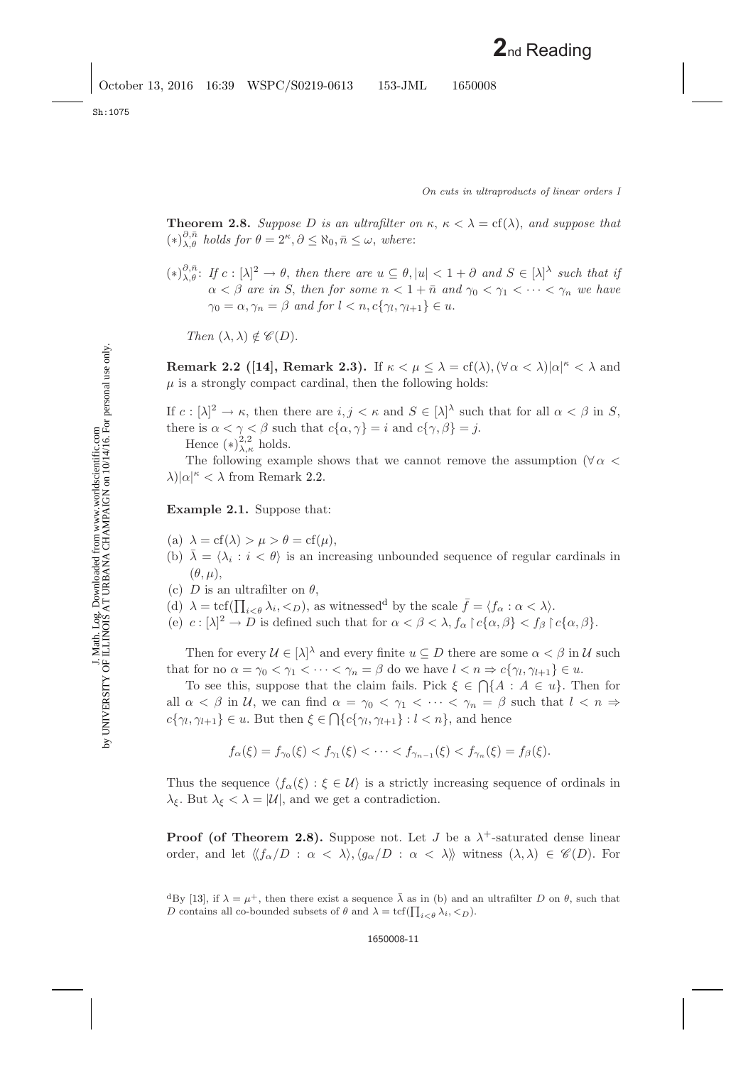<span id="page-10-2"></span>**Theorem 2.8.** *Suppose* D *is an ultrafilter on*  $\kappa$ ,  $\kappa < \lambda = \text{cf}(\lambda)$ , and suppose that  $(*\r{ $\lambda,\bar{\theta}}^{\partial,\bar{n}}$  *holds for*  $\theta = 2^{\kappa}, \partial \leq \aleph_0, \bar{n} \leq \omega$ , *where:*$ 

 $(*)\_{\lambda,\theta}^{\partial,\bar{n}}$ : *If*  $c: [\lambda]^2 \to \theta$ , *then there are*  $u \subseteq \theta, |u| < 1 + \partial$  *and*  $S \in [\lambda]^{\lambda}$  *such that if*  $\alpha < \beta$  are in S, then for some  $n < 1 + \bar{n}$  and  $\gamma_0 < \gamma_1 < \cdots < \gamma_n$  we have  $\gamma_0 = \alpha, \gamma_n = \beta$  and for  $l < n, c\{\gamma_l, \gamma_{l+1}\} \in u$ .

*Then*  $(\lambda, \lambda) \notin \mathscr{C}(D)$ .

<span id="page-10-0"></span>**Remark 2.2 ([\[14\]](#page-33-5), Remark 2.3).** If  $\kappa < \mu \leq \lambda = \text{cf}(\lambda)$ ,  $(\forall \alpha < \lambda) | \alpha |^{\kappa} < \lambda$  and  $\mu$  is a strongly compact cardinal, then the following holds:

If  $c : [\lambda]^2 \to \kappa$ , then there are  $i, j < \kappa$  and  $S \in [\lambda]^\lambda$  such that for all  $\alpha < \beta$  in S, there is  $\alpha < \gamma < \beta$  such that  $c\{\alpha, \gamma\} = i$  and  $c\{\gamma, \beta\} = j$ .

Hence  $(*)_{\lambda,\kappa}^{2,2}$  holds.

The following example shows that we cannot remove the assumption ( $\forall \alpha$  $\lambda$ | $\alpha$ |<sup> $\kappa$ </sup> <  $\lambda$  from Remark [2.2.](#page-10-0)

**Example 2.1.** Suppose that:

- (a)  $\lambda = cf(\lambda) > \mu > \theta = cf(\mu)$ ,
- (b)  $\bar{\lambda} = \langle \lambda_i : i \langle \theta \rangle$  is an increasing unbounded sequence of regular cardinals in  $(\theta, \mu),$
- (c) D is an ultrafilter on  $\theta$ ,
- ([d](#page-10-1))  $\lambda = \text{tcf}(\prod_{i < \theta} \lambda_i, \langle D \rangle)$ , as witnessed<sup>d</sup> by the scale  $\bar{f} = \langle f_{\alpha} : \alpha < \lambda \rangle$ .
- (e)  $c: [\lambda]^2 \to D$  is defined such that for  $\alpha < \beta < \lambda$ ,  $f_\alpha \restriction c\{\alpha, \beta\} < f_\beta \restriction c\{\alpha, \beta\}.$

Then for every  $\mathcal{U} \in [\lambda]^\lambda$  and every finite  $u \subseteq D$  there are some  $\alpha < \beta$  in  $\mathcal{U}$  such that for no  $\alpha = \gamma_0 < \gamma_1 < \cdots < \gamma_n = \beta$  do we have  $l < n \Rightarrow c\{\gamma_l, \gamma_{l+1}\} \in u$ .

To see this, suppose that the claim fails. Pick  $\xi \in \bigcap \{A : A \in u\}$ . Then for all  $\alpha < \beta$  in U, we can find  $\alpha = \gamma_0 < \gamma_1 < \cdots < \gamma_n = \beta$  such that  $l < n \Rightarrow$  $c\{\gamma_l, \gamma_{l+1}\}\in u$ . But then  $\xi\in \bigcap\{c\{\gamma_l, \gamma_{l+1}\}: l < n\}$ , and hence

$$
f_{\alpha}(\xi) = f_{\gamma_0}(\xi) < f_{\gamma_1}(\xi) < \cdots < f_{\gamma_{n-1}}(\xi) < f_{\gamma_n}(\xi) = f_{\beta}(\xi).
$$

Thus the sequence  $\langle f_\alpha(\xi) : \xi \in U \rangle$  is a strictly increasing sequence of ordinals in  $\lambda_{\xi}$ . But  $\lambda_{\xi} < \lambda = |\mathcal{U}|$ , and we get a contradiction.

**Proof (of Theorem [2.8\)](#page-10-2).** Suppose not. Let J be a  $\lambda^+$ -saturated dense linear order, and let  $\langle f_{\alpha}/D : \alpha < \lambda \rangle$ ,  $\langle g_{\alpha}/D : \alpha < \lambda \rangle$  witness  $(\lambda, \lambda) \in \mathscr{C}(D)$ . For

<span id="page-10-1"></span><sup>d</sup>By [\[13\]](#page-33-10), if  $\lambda = \mu^+$ , then there exist a sequence  $\bar{\lambda}$  as in (b) and an ultrafilter D on  $\theta$ , such that D contains all co-bounded subsets of  $\theta$  and  $\lambda = \text{tcf}(\prod_{i < \theta} \lambda_i, \langle D \rangle)$ .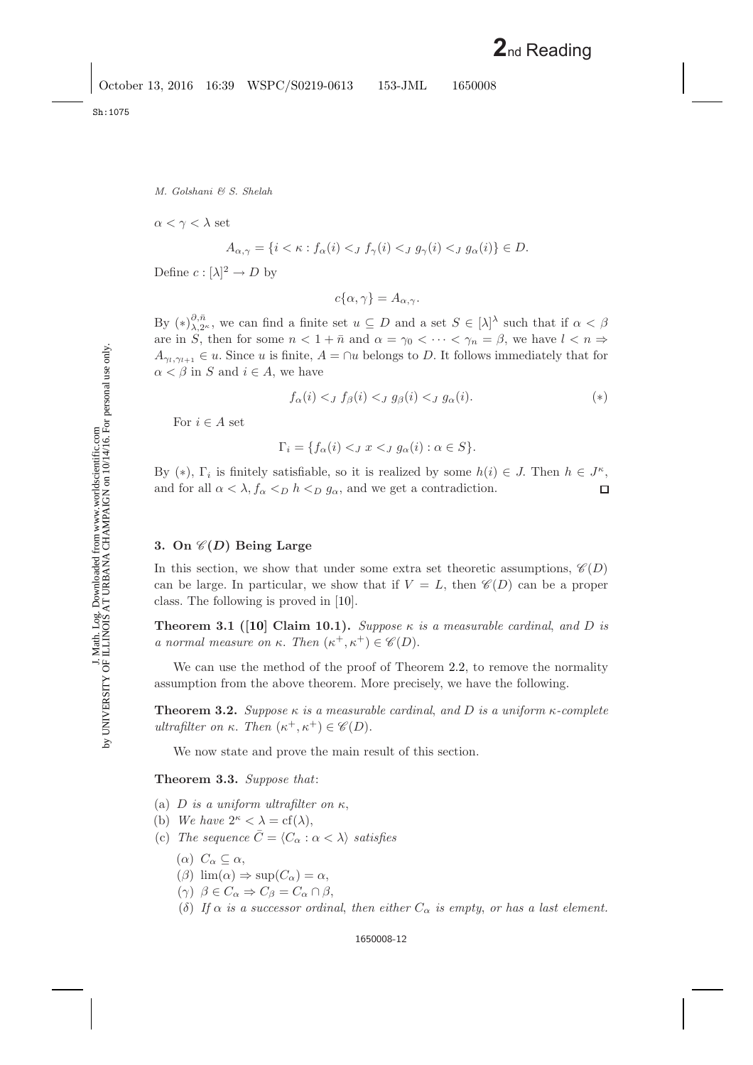$\alpha < \gamma < \lambda$  set

$$
A_{\alpha,\gamma} = \{i < \kappa : f_\alpha(i) <_J f_\gamma(i) <_J g_\gamma(i) <_J g_\alpha(i)\} \in D.
$$

Define  $c: [\lambda]^2 \to D$  by

$$
c\{\alpha,\gamma\}=A_{\alpha,\gamma}.
$$

By  $(\ast)^{\partial,\bar{n}}_{\lambda,2^{\kappa}}$ , we can find a finite set  $u \subseteq D$  and a set  $S \in [\lambda]^{\lambda}$  such that if  $\alpha < \beta$ are in S, then for some  $n < 1 + \bar{n}$  and  $\alpha = \gamma_0 < \cdots < \gamma_n = \beta$ , we have  $l < n \Rightarrow$  $A_{\gamma_l,\gamma_{l+1}} \in u$ . Since u is finite,  $A = \cap u$  belongs to D. It follows immediately that for  $\alpha < \beta$  in S and  $i \in A$ , we have

$$
f_{\alpha}(i) <_{J} f_{\beta}(i) <_{J} g_{\beta}(i) <_{J} g_{\alpha}(i). \tag{*}
$$

For  $i \in A$  set

$$
\Gamma_i = \{ f_\alpha(i) <_J x <_J g_\alpha(i) : \alpha \in S \}.
$$

By (\*),  $\Gamma_i$  is finitely satisfiable, so it is realized by some  $h(i) \in J$ . Then  $h \in J^{\kappa}$ , and for all  $\alpha < \lambda$ ,  $f_{\alpha} < D h < D g_{\alpha}$ , and we get a contradiction. П

# **3. On** *C***(***D***) Being Large**

In this section, we show that under some extra set theoretic assumptions,  $\mathscr{C}(D)$ can be large. In particular, we show that if  $V = L$ , then  $\mathscr{C}(D)$  can be a proper class. The following is proved in [\[10\]](#page-33-6).

**Theorem 3.1 ([\[10\]](#page-33-6) Claim 10.1).** *Suppose* κ *is a measurable cardinal*, *and* D *is a normal measure on*  $\kappa$ . *Then*  $(\kappa^+, \kappa^+) \in \mathscr{C}(D)$ .

We can use the method of the proof of Theorem [2.2,](#page-4-0) to remove the normality assumption from the above theorem. More precisely, we have the following.

**Theorem 3.2.** *Suppose* κ *is a measurable cardinal*, *and* D *is a uniform* κ*-complete ultrafilter on*  $\kappa$ . *Then*  $(\kappa^+, \kappa^+) \in \mathcal{C}(D)$ .

<span id="page-11-0"></span>We now state and prove the main result of this section.

**Theorem 3.3.** *Suppose that*:

- (a) D *is a uniform ultrafilter on* κ,
- (b) We have  $2^{\kappa} < \lambda = cf(\lambda)$ ,
- (c) *The sequence*  $\overline{C} = \langle C_{\alpha} : \alpha < \lambda \rangle$  *satisfies* 
	- (α)  $C_\alpha \subseteq \alpha$ ,
	- $(\beta)$  lim $(\alpha) \Rightarrow \sup(C_{\alpha}) = \alpha$ ,
	- $(\gamma)$   $\beta \in C_{\alpha} \Rightarrow C_{\beta} = C_{\alpha} \cap \beta,$
	- (δ) If  $\alpha$  *is a successor ordinal, then either*  $C_{\alpha}$  *is empty, or has a last element.*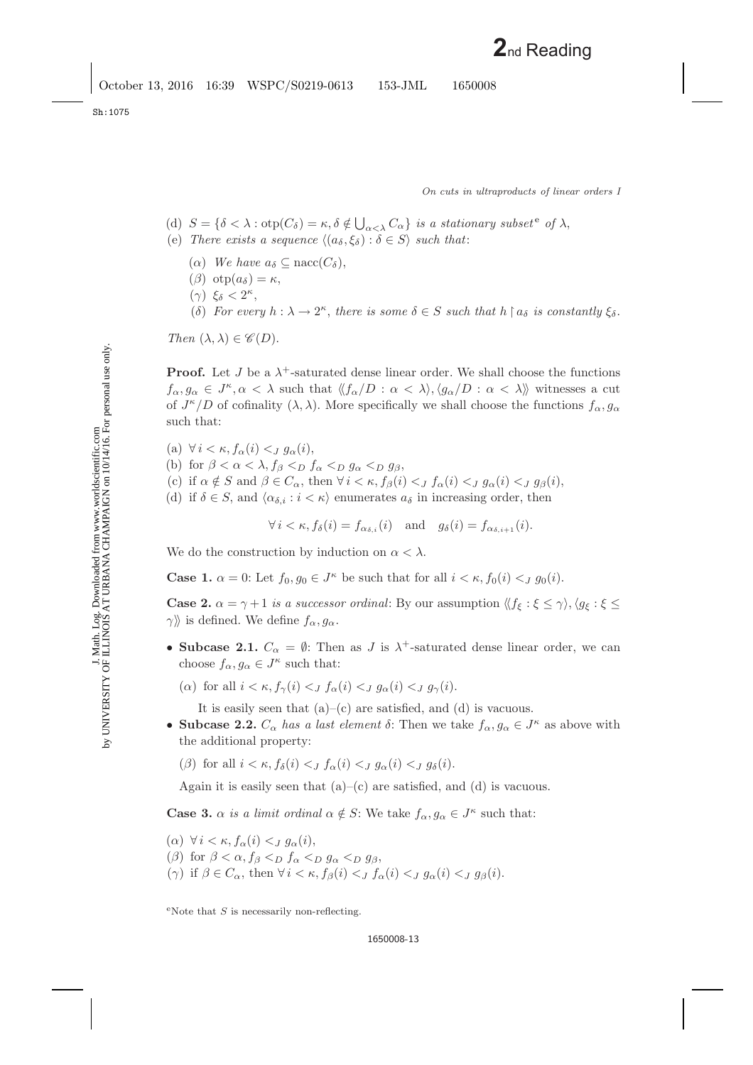*On cuts in ultraproducts of linear orders I*

- (d)  $S = \{ \delta < \lambda : \text{otp}(C_{\delta}) = \kappa, \delta \notin \bigcup_{\alpha < \lambda} C_{\alpha} \}$  $S = \{ \delta < \lambda : \text{otp}(C_{\delta}) = \kappa, \delta \notin \bigcup_{\alpha < \lambda} C_{\alpha} \}$  $S = \{ \delta < \lambda : \text{otp}(C_{\delta}) = \kappa, \delta \notin \bigcup_{\alpha < \lambda} C_{\alpha} \}$  *is a stationary subset<sup>e</sup> of*  $\lambda$ ,
- (e) *There exists a sequence*  $\langle (a_{\delta}, \xi_{\delta}) : \delta \in S \rangle$  *such that:* 
	- ( $\alpha$ ) *We have*  $a_{\delta} \subset \text{nacc}(C_{\delta})$ ,
	- ( $\beta$ ) otp $(a_{\delta}) = \kappa$ ,
	- (γ)  $\xi_\delta < 2^\kappa$ ,
	- (δ) *For every*  $h : \lambda \to 2^{\kappa}$ , *there is some*  $\delta \in S$  *such that*  $h \restriction a_{\delta}$  *is constantly*  $\xi_{\delta}$ .

*Then*  $(\lambda, \lambda) \in \mathscr{C}(D)$ .

**Proof.** Let J be a  $\lambda^+$ -saturated dense linear order. We shall choose the functions  $f_{\alpha}, g_{\alpha} \in J^{\kappa}, \alpha < \lambda$  such that  $\langle f_{\alpha}/D : \alpha < \lambda \rangle, \langle g_{\alpha}/D : \alpha < \lambda \rangle$  witnesses a cut of  $J^{\kappa}/D$  of cofinality  $(\lambda, \lambda)$ . More specifically we shall choose the functions  $f_{\alpha}, g_{\alpha}$ such that:

- (a)  $\forall i \leq \kappa, f_{\alpha}(i) \leq J g_{\alpha}(i),$
- (b) for  $\beta < \alpha < \lambda$ ,  $f_{\beta} < D$   $f_{\alpha} < D$   $g_{\alpha} < D$   $g_{\beta}$ ,
- (c) if  $\alpha \notin S$  and  $\beta \in C_{\alpha}$ , then  $\forall i < \kappa$ ,  $f_{\beta}(i) < J$   $f_{\alpha}(i) < J$   $g_{\alpha}(i) < J$   $g_{\beta}(i)$ ,
- (d) if  $\delta \in S$ , and  $\langle \alpha_{\delta,i} : i \lt \kappa \rangle$  enumerates  $a_{\delta}$  in increasing order, then

 $\forall i \leq \kappa, f_{\delta}(i) = f_{\alpha_{\delta,i}}(i)$  and  $g_{\delta}(i) = f_{\alpha_{\delta,i+1}}(i)$ .

We do the construction by induction on  $\alpha < \lambda$ .

**Case 1.**  $\alpha = 0$ : Let  $f_0, g_0 \in J^{\kappa}$  be such that for all  $i < \kappa$ ,  $f_0(i) < J g_0(i)$ .

**Case 2.**  $\alpha = \gamma + 1$  *is a successor ordinal*: By our assumption  $\langle f_{\xi} : \xi \leq \gamma \rangle$ ,  $\langle g_{\xi} : \xi \leq \gamma \rangle$  $\gamma \rangle$  is defined. We define  $f_{\alpha}, g_{\alpha}$ .

- **Subcase 2.1.**  $C_{\alpha} = \emptyset$ : Then as J is  $\lambda^{+}$ -saturated dense linear order, we can choose  $f_{\alpha}, g_{\alpha} \in J^{\kappa}$  such that:
	- ( $\alpha$ ) for all  $i < \kappa$ ,  $f_{\gamma}(i) < J$   $f_{\alpha}(i) < J$   $g_{\alpha}(i) < J$   $g_{\gamma}(i)$ .

It is easily seen that  $(a)$ – $(c)$  are satisfied, and  $(d)$  is vacuous.

- **Subcase 2.2.**  $C_{\alpha}$  *has a last element*  $\delta$ : Then we take  $f_{\alpha}, g_{\alpha} \in J^{\kappa}$  as above with the additional property:
	- ( $\beta$ ) for all  $i < \kappa$ ,  $f_{\delta}(i) < J f_{\alpha}(i) < J g_{\alpha}(i) < J g_{\delta}(i)$ .

Again it is easily seen that  $(a)$ – $(c)$  are satisfied, and  $(d)$  is vacuous.

**Case 3.**  $\alpha$  *is a limit ordinal*  $\alpha \notin S$ : We take  $f_{\alpha}, g_{\alpha} \in J^{\kappa}$  such that:

- (α)  $\forall i \leq \kappa$ ,  $f_{\alpha}(i) \leq J g_{\alpha}(i)$ ,
- ( $\beta$ ) for  $\beta < \alpha$ ,  $f_{\beta} < D$   $f_{\alpha} < D$   $g_{\alpha} < D$   $g_{\beta}$ ,
- (γ) if  $\beta \in C_\alpha$ , then  $\forall i < \kappa$ ,  $f_\beta(i) < J$   $f_\alpha(i) < J$   $g_\alpha(i) < J$   $g_\beta(i)$ .

<span id="page-12-0"></span> $e^{\text{e}}$ Note that S is necessarily non-reflecting.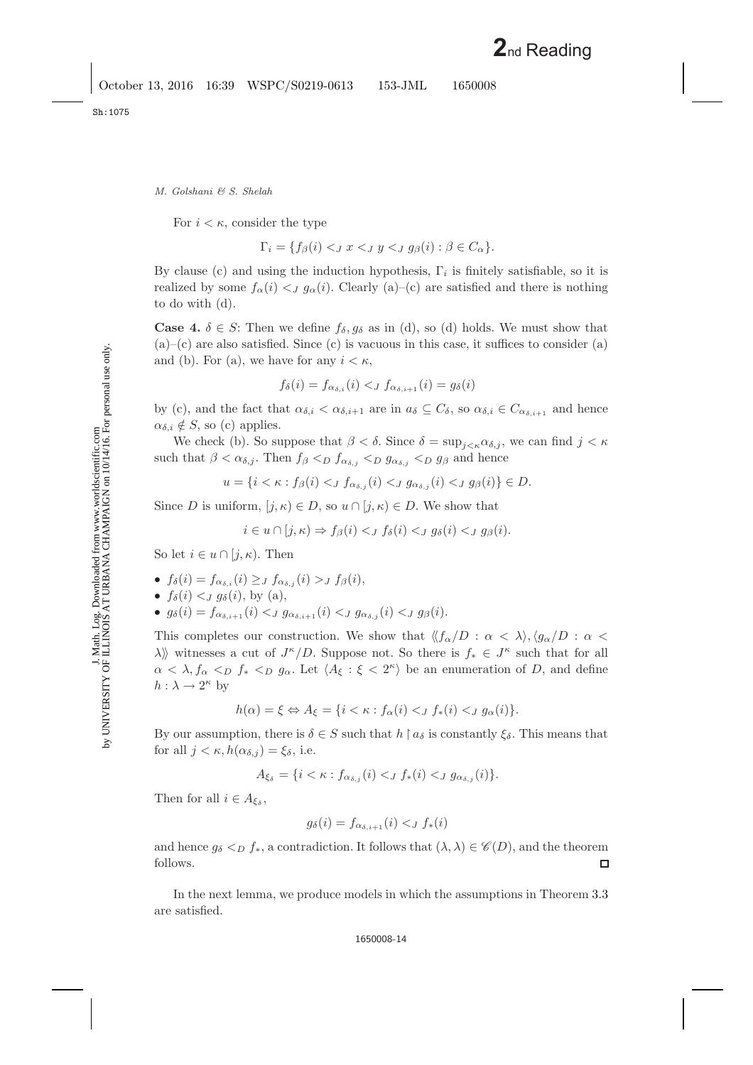For  $i < \kappa$ , consider the type

$$
\Gamma_i = \{ f_\beta(i) <_J x <_J y <_J g_\beta(i) : \beta \in C_\alpha \}.
$$

By clause (c) and using the induction hypothesis,  $\Gamma_i$  is finitely satisfiable, so it is realized by some  $f_{\alpha}(i) \leq J g_{\alpha}(i)$ . Clearly (a)–(c) are satisfied and there is nothing to do with (d).

**Case 4.**  $\delta \in S$ : Then we define  $f_{\delta}, g_{\delta}$  as in (d), so (d) holds. We must show that  $(a)$ –(c) are also satisfied. Since (c) is vacuous in this case, it suffices to consider (a) and (b). For (a), we have for any  $i < \kappa$ ,

$$
f_{\delta}(i) = f_{\alpha_{\delta,i}}(i) <_{J} f_{\alpha_{\delta,i+1}}(i) = g_{\delta}(i)
$$

by (c), and the fact that  $\alpha_{\delta,i} < \alpha_{\delta,i+1}$  are in  $a_{\delta} \subseteq C_{\delta}$ , so  $\alpha_{\delta,i} \in C_{\alpha_{\delta,i+1}}$  and hence  $\alpha_{\delta,i} \notin S$ , so (c) applies.

We check (b). So suppose that  $\beta < \delta$ . Since  $\delta = \sup_{i \le \kappa} \alpha_{\delta,i}$ , we can find  $j < \kappa$ such that  $\beta < \alpha_{\delta,j}$ . Then  $f_{\beta} <_{D} f_{\alpha_{\delta,j}} <_{D} g_{\alpha_{\delta,j}} <_{D} g_{\beta}$  and hence

 $u = \{i \leq \kappa : f_{\beta}(i) \leq J \}$   $f_{\alpha\delta,i}(i) \leq J \}$   $g_{\alpha\delta,i}(i) \leq J \}$   $g_{\beta}(i)$  } ∈ D.

Since D is uniform,  $[j, \kappa) \in D$ , so  $u \cap [j, \kappa) \in D$ . We show that

$$
i \in u \cap [j, \kappa) \Rightarrow f_{\beta}(i) <_{J} f_{\delta}(i) <_{J} g_{\delta}(i) <_{J} g_{\beta}(i).
$$

So let  $i \in u \cap [j, \kappa)$ . Then

- $f_{\delta}(i) = f_{\alpha_{\delta,i}}(i) \geq J \ f_{\alpha_{\delta,j}}(i) > J \ f_{\beta}(i),$
- $f_{\delta}(i) <_{J} g_{\delta}(i)$ , by (a),
- $g_\delta(i) = f_{\alpha_{\delta,i+1}}(i) <_j g_{\alpha_{\delta,i+1}}(i) <_j g_{\alpha_{\delta,j}}(i) <_j g_{\beta}(i)$ .

This completes our construction. We show that  $\langle f_{\alpha}/D : \alpha < \lambda \rangle$ ,  $\langle q_{\alpha}/D : \alpha < \lambda \rangle$  $\lambda$ ) witnesses a cut of  $J^{\kappa}/D$ . Suppose not. So there is  $f_* \in J^{\kappa}$  such that for all  $\alpha < \lambda, f_{\alpha} <_{D} f_{*} <_{D} g_{\alpha}$ . Let  $\langle A_{\xi} : \xi < 2^{\kappa} \rangle$  be an enumeration of D, and define  $h: \lambda \to 2^{\kappa}$  by

$$
h(\alpha) = \xi \Leftrightarrow A_{\xi} = \{i < \kappa : f_{\alpha}(i) <_{J} f_{*}(i) <_{J} g_{\alpha}(i)\}.
$$

By our assumption, there is  $\delta \in S$  such that  $h \restriction a_{\delta}$  is constantly  $\xi_{\delta}$ . This means that for all  $j < \kappa$ ,  $h(\alpha_{\delta,i}) = \xi_{\delta}$ , i.e.

$$
A_{\xi_{\delta}} = \{i < \kappa : f_{\alpha_{\delta,j}}(i) <_{J} f_*(i) <_{J} g_{\alpha_{\delta,j}}(i)\}.
$$

Then for all  $i \in A_{\xi_{\delta}}$ ,

$$
g_{\delta}(i) = f_{\alpha_{\delta,i+1}}(i) <_{J} f_{*}(i)
$$

and hence  $g_{\delta} <_{D} f_{*}$ , a contradiction. It follows that  $(\lambda, \lambda) \in \mathscr{C}(D)$ , and the theorem follows.  $\Box$ 

In the next lemma, we produce models in which the assumptions in Theorem [3.3](#page-11-0) are satisfied.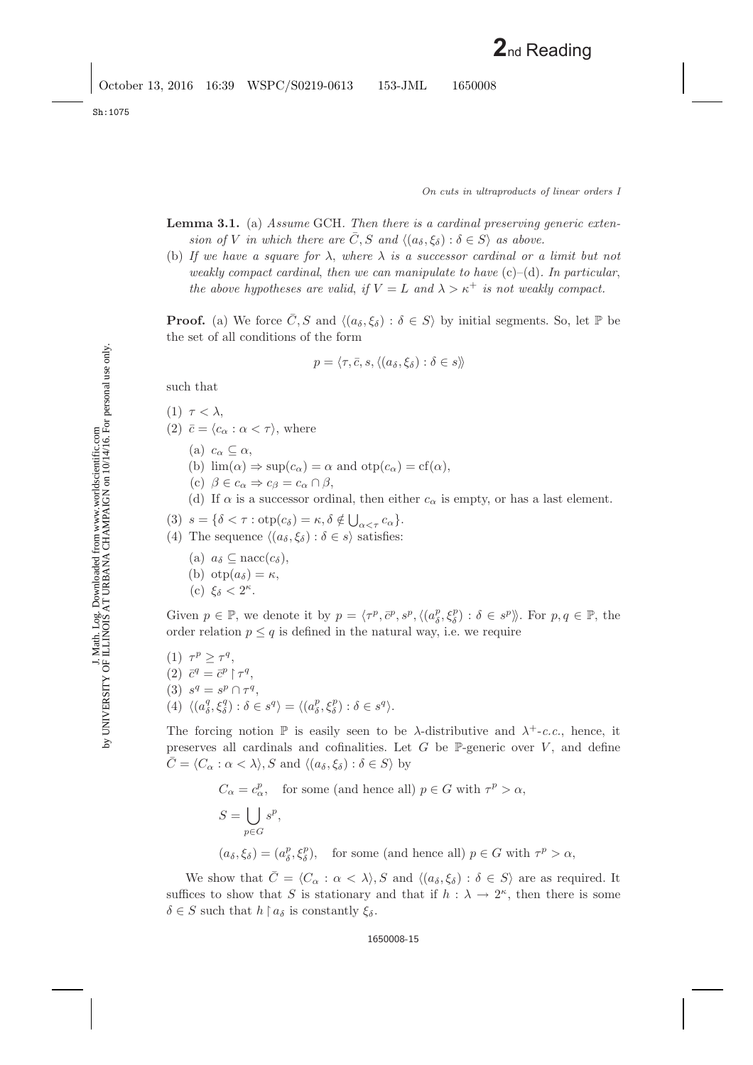- **Lemma 3.1.** (a) *Assume* GCH*. Then there is a cardinal preserving generic extension of* V *in which there are*  $\overline{C}$ , S and  $\langle (a_{\delta}, \xi_{\delta}) : \delta \in S \rangle$  *as above.*
- (b) *If we have a square for* λ, *where* λ *is a successor cardinal or a limit but not weakly compact cardinal*, *then we can manipulate to have* (c)–(d)*. In particular*, *the above hypotheses are valid, if*  $V = L$  *and*  $\lambda > \kappa^+$  *is not weakly compact.*

**Proof.** (a) We force  $\overline{C}$ , S and  $\langle (a_{\delta}, \xi_{\delta}) : \delta \in S \rangle$  by initial segments. So, let P be the set of all conditions of the form

$$
p = \langle \tau, \bar{c}, s, \langle (a_{\delta}, \xi_{\delta}) : \delta \in s \rangle \rangle
$$

such that

- (1)  $\tau < \lambda$ , (2)  $\bar{c} = \langle c_{\alpha} : \alpha < \tau \rangle$ , where
- (a)  $c_{\alpha} \subseteq \alpha$ ,
	- (b)  $\lim(\alpha) \Rightarrow \sup(c_{\alpha}) = \alpha$  and  $\text{otp}(c_{\alpha}) = \text{cf}(\alpha)$ ,
	- (c)  $\beta \in c_{\alpha} \Rightarrow c_{\beta} = c_{\alpha} \cap \beta$ ,
	- (d) If  $\alpha$  is a successor ordinal, then either  $c_{\alpha}$  is empty, or has a last element.
- (3)  $s = \{ \delta < \tau : \text{otp}(c_{\delta}) = \kappa, \delta \notin \bigcup_{\alpha < \tau} c_{\alpha} \}.$
- (4) The sequence  $\langle (a_{\delta}, \xi_{\delta}) : \delta \in s \rangle$  satisfies:
	- (a)  $a_{\delta} \subseteq \text{nacc}(c_{\delta}),$
	- (b)  $otp(a_{\delta}) = \kappa$ ,
	- (c)  $\xi_{\delta} < 2^{\kappa}$ .

Given  $p \in \mathbb{P}$ , we denote it by  $p = \langle \tau^p, \bar{c}^p, s^p, \langle (a_\delta^p, \xi_\delta^p) : \delta \in s^p \rangle \rangle$ . For  $p, q \in \mathbb{P}$ , the order relation  $p \leq q$  is defined in the natural way, i.e. we require

(1)  $\tau^p \geq \tau^q$ , (2)  $\bar{c}^q = \bar{c}^p \upharpoonright \tau^q$ , (3)  $s^q = s^p \cap \tau^q$ , (4)  $\langle (a_\delta^q, \xi_\delta^q) : \delta \in s^q \rangle = \langle (a_\delta^p, \xi_\delta^p) : \delta \in s^q \rangle.$ 

The forcing notion  $\mathbb P$  is easily seen to be  $\lambda$ -distributive and  $\lambda^+$ -*c.c.*, hence, it preserves all cardinals and cofinalities. Let  $G$  be P-generic over  $V$ , and define  $\overline{C} = \langle C_{\alpha} : \alpha < \lambda \rangle, S$  and  $\langle (a_{\delta}, \xi_{\delta}) : \delta \in S \rangle$  by

$$
C_{\alpha} = c_{\alpha}^{p}, \text{ for some (and hence all) } p \in G \text{ with } \tau^{p} > \alpha,
$$
  

$$
S = \bigcup_{p \in G} s^{p},
$$
  

$$
(a_{\delta}, \xi_{\delta}) = (a_{\delta}^{p}, \xi_{\delta}^{p}), \text{ for some (and hence all) } p \in G \text{ with } \tau^{p} > \alpha,
$$

We show that  $\bar{C} = \langle C_{\alpha} : \alpha \langle \lambda \rangle, S$  and  $\langle (a_{\delta}, \xi_{\delta}) : \delta \in S \rangle$  are as required. It suffices to show that S is stationary and that if  $h : \lambda \to 2^{\kappa}$ , then there is some  $\delta \in S$  such that  $h \restriction a_{\delta}$  is constantly  $\xi_{\delta}$ .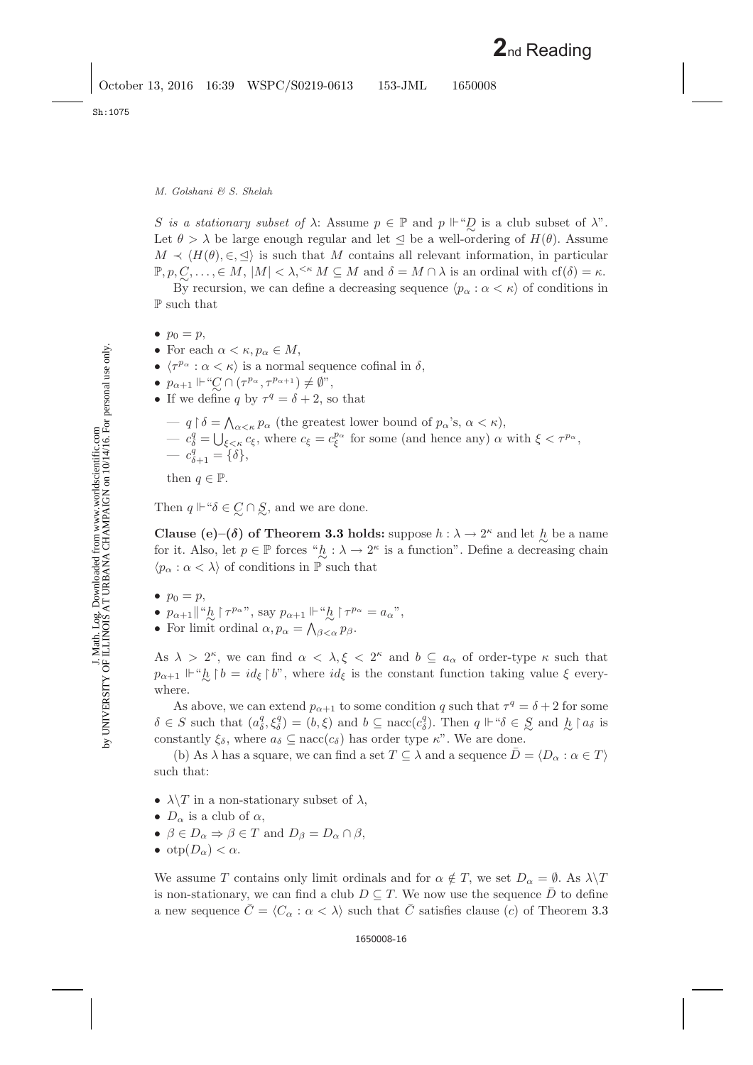S is a stationary subset of  $\lambda$ : Assume  $p \in \mathbb{P}$  and  $p \Vdash \omega_D$  is a club subset of  $\lambda$ ". Let  $\theta > \lambda$  be large enough regular and let  $\leq$  be a well-ordering of  $H(\theta)$ . Assume  $M \prec \langle H(\theta), \in, \leq \rangle$  is such that M contains all relevant information, in particular  $\mathbb{P}, p, C, \ldots \in M, |M| < \lambda$ ,  $\leq K M \subseteq M$  and  $\delta = M \cap \lambda$  is an ordinal with  $cf(\delta) = \kappa$ .

By recursion, we can define a decreasing sequence  $\langle p_{\alpha} : \alpha < \kappa \rangle$  of conditions in P such that

- $p_0 = p$ ,
- For each  $\alpha < \kappa, p_{\alpha} \in M$ ,
- $\langle \tau^{p_{\alpha}} : \alpha < \kappa \rangle$  is a normal sequence cofinal in  $\delta$ ,
- $p_{\alpha+1} \Vdash \llcorner C \cap (\tau^{p_{\alpha}}, \tau^{p_{\alpha+1}}) \neq \emptyset$ ",
- If we define q by  $\tau^q = \delta + 2$ , so that

$$
- q \upharpoonright \delta = \bigwedge_{\alpha < \kappa} p_{\alpha}
$$
 (the greatest lower bound of  $p_{\alpha}$ 's,  $\alpha < \kappa$ ),  
\n
$$
- c_{\delta}^q = \bigcup_{\xi < \kappa} c_{\xi}
$$
, where  $c_{\xi} = c_{\xi}^{p_{\alpha}}$  for some (and hence any)  $\alpha$  with  $\xi < \tau^{p_{\alpha}}$ ,  
\n
$$
- c_{\delta+1}^q = \{\delta\},
$$

then  $q \in \mathbb{P}$ .

Then  $q \Vdash ``\delta \in \mathcal{C} \cap \mathcal{S}$ , and we are done.

**Clause (e)–(** $\delta$ **) of Theorem [3.3](#page-11-0) holds:** suppose  $h : \lambda \to 2^{\kappa}$  and let  $h \geq 0$  be a name for it. Also, let  $p \in \mathbb{P}$  forces " $h : \lambda \to 2^{\kappa}$  is a function". Define a decreasing chain  $\langle p_{\alpha} : \alpha < \lambda \rangle$  of conditions in  $\mathbb{P}$  such that

- $p_0 = p$ ,
- $p_{\alpha+1} \parallel \bigwedge_{\alpha=1}^{\infty} \uparrow \tau^{p_{\alpha}}$ , say  $p_{\alpha+1} \parallel \biguparrow \biguparrow_{\alpha} \uparrow \tau^{p_{\alpha}} = a_{\alpha}$ ",
- For limit ordinal  $\alpha, p_{\alpha} = \bigwedge_{\beta < \alpha} p_{\beta}.$

As  $\lambda > 2^{\kappa}$ , we can find  $\alpha < \lambda, \xi < 2^{\kappa}$  and  $b \subseteq a_{\alpha}$  of order-type  $\kappa$  such that  $p_{\alpha+1} \Vdash ``b_{\alpha} \upharpoonright b = id_{\xi} \upharpoonright b",$  where  $id_{\xi}$  is the constant function taking value  $\xi$  everywhere.

As above, we can extend  $p_{\alpha+1}$  to some condition q such that  $\tau^q = \delta + 2$  for some  $\delta \in S$  such that  $(a_{\delta}^q, \xi_{\delta}^q) = (b, \xi)$  and  $b \subseteq \text{nacc}(c_{\delta}^q)$ . Then  $q \Vdash \delta \in S$  and  $\underline{h} \upharpoonright a_{\delta}$  is constantly  $\xi_{\delta}$ , where  $a_{\delta} \subseteq \text{nacc}(c_{\delta})$  has order type  $\kappa$ ". We are done.

(b) As  $\lambda$  has a square, we can find a set  $T \subseteq \lambda$  and a sequence  $\overline{D} = \langle D_{\alpha} : \alpha \in T \rangle$ such that:

- $\lambda \backslash T$  in a non-stationary subset of  $\lambda$ ,
- $D_{\alpha}$  is a club of  $\alpha$ ,
- $\beta \in D_{\alpha} \Rightarrow \beta \in T$  and  $D_{\beta} = D_{\alpha} \cap \beta$ ,
- $otp(D_{\alpha}) < \alpha$ .

We assume T contains only limit ordinals and for  $\alpha \notin T$ , we set  $D_{\alpha} = \emptyset$ . As  $\lambda \backslash T$ is non-stationary, we can find a club  $D \subseteq T$ . We now use the sequence D to define a new sequence  $\bar{C} = \langle C_{\alpha} : \alpha \langle \lambda \rangle$  such that  $\bar{C}$  satisfies clause (c) of Theorem [3.3](#page-11-0)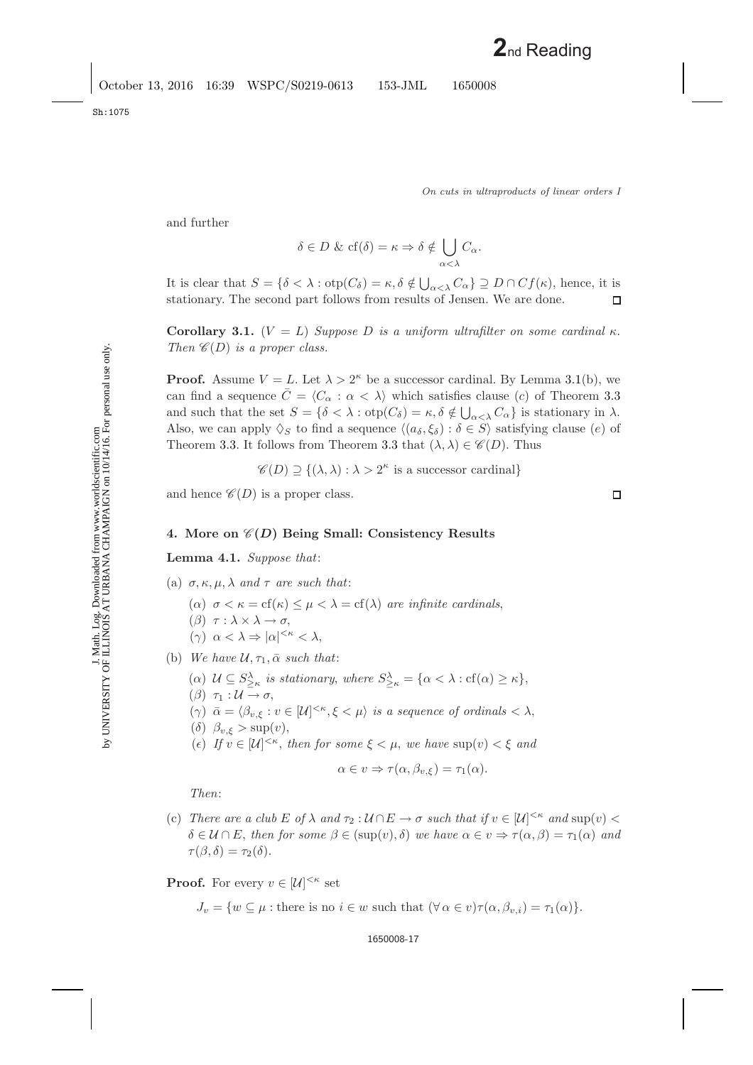*On cuts in ultraproducts of linear orders I*

and further

$$
\delta \in D \& \text{cf}(\delta) = \kappa \Rightarrow \delta \notin \bigcup_{\alpha < \lambda} C_{\alpha}.
$$

It is clear that  $S = \{ \delta < \lambda : \text{otp}(C_{\delta}) = \kappa, \delta \notin \bigcup_{\alpha < \lambda} C_{\alpha} \} \supseteq D \cap Cf(\kappa)$ , hence, it is stationary. The second part follows from results of Jensen. We are done.  $\Box$ 

**Corollary 3.1.** ( $V = L$ ) *Suppose* D *is a uniform ultrafilter on some cardinal*  $\kappa$ . *Then*  $\mathscr{C}(D)$  *is a proper class.* 

**Proof.** Assume  $V = L$ . Let  $\lambda > 2^{\kappa}$  be a successor cardinal. By Lemma [3.1\(](#page-3-2)b), we can find a sequence  $\overline{C} = \langle C_{\alpha} : \alpha \langle \lambda \rangle$  which satisfies clause (c) of Theorem [3.3](#page-11-0) and such that the set  $S = \{ \delta < \lambda : \text{otp}(C_{\delta}) = \kappa, \delta \notin \bigcup_{\alpha < \lambda} C_{\alpha} \}$  is stationary in  $\lambda$ . Also, we can apply  $\Diamond_S$  to find a sequence  $\langle (a_{\delta}, \xi_{\delta}) : \delta \in S \rangle$  satisfying clause  $(e)$  of Theorem [3.3.](#page-11-0) It follows from Theorem [3.3](#page-11-0) that  $(\lambda, \lambda) \in \mathscr{C}(D)$ . Thus

$$
\mathscr{C}(D) \supseteq \{(\lambda, \lambda) : \lambda > 2^{\kappa} \text{ is a successor cardinal}\}\
$$

and hence  $\mathscr{C}(D)$  is a proper class.

## **4. More on** *C***(***D***) Being Small: Consistency Results**

**Lemma 4.1.** *Suppose that*:

- (a)  $\sigma, \kappa, \mu, \lambda$  *and*  $\tau$  *are such that*:
	- ( $\alpha$ )  $\sigma < \kappa = \text{cf}(\kappa) \leq \mu < \lambda = \text{cf}(\lambda)$  *are infinite cardinals,* (*β*)  $\tau : \lambda \times \lambda \rightarrow \sigma$ , (γ)  $\alpha < \lambda \Rightarrow |\alpha|^{<\kappa} < \lambda$ ,
- (b) We have  $\mathcal{U}, \tau_1, \bar{\alpha}$  such that:
	- $(\alpha)$   $\mathcal{U} \subseteq S^{\lambda}_{\geq \kappa}$  *is stationary, where*  $S^{\lambda}_{\geq \kappa} = {\alpha < \lambda : \text{cf}(\alpha) \geq \kappa},$
	- ( $\beta$ )  $\tau_1 : \mathcal{U} \to \sigma$ ,
	- ( $\gamma$ )  $\bar{\alpha} = \langle \beta_{v,\xi} : v \in [\mathcal{U}]^{<\kappa}, \xi < \mu \rangle$  *is a sequence of ordinals*  $< \lambda$ ,
	- (δ)  $\beta_{v,\xi} > \sup(v)$ ,
	- (e) If  $v \in [\mathcal{U}]^{<\kappa}$ , then for some  $\xi < \mu$ , we have  $\sup(v) < \xi$  and

$$
\alpha \in v \Rightarrow \tau(\alpha, \beta_{v,\xi}) = \tau_1(\alpha).
$$

*Then*:

(c) *There are a club*  $E$  *of*  $\lambda$  *and*  $\tau_2$  :  $\mathcal{U} \cap E \to \sigma$  *such that if*  $v \in [\mathcal{U}]^{<\kappa}$  *and*  $\sup(v) <$  $\delta \in \mathcal{U} \cap E$ , then for some  $\beta \in (\sup(v), \delta)$  we have  $\alpha \in v \Rightarrow \tau(\alpha, \beta) = \tau_1(\alpha)$  and  $\tau(\beta,\delta)=\tau_2(\delta).$ 

**Proof.** For every  $v \in [\mathcal{U}]^{<\kappa}$  set

 $J_v = \{w \subseteq \mu : \text{there is no } i \in w \text{ such that } (\forall \alpha \in v) \tau(\alpha, \beta_{v,i}) = \tau_1(\alpha) \}.$ 

 $\Box$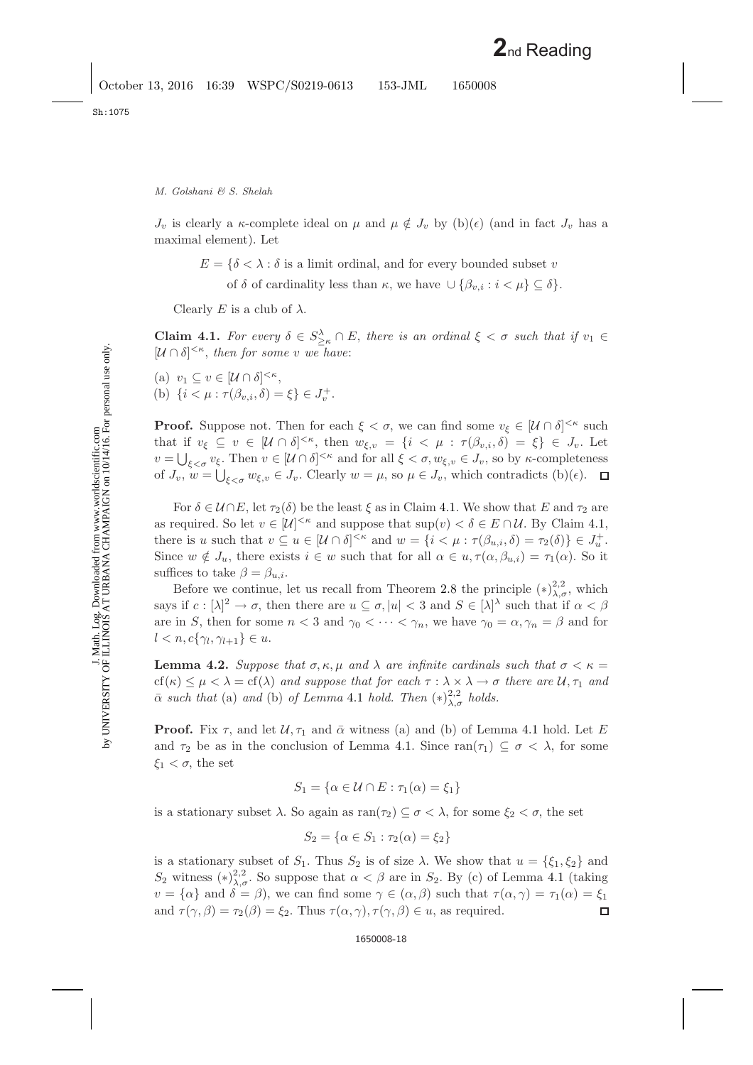$J_v$  is clearly a  $\kappa$ -complete ideal on  $\mu$  and  $\mu \notin J_v$  by (b)( $\epsilon$ ) (and in fact  $J_v$  has a maximal element). Let

 $E = \{\delta \leq \lambda : \delta \text{ is a limit ordinal, and for every bounded subset } v$ 

of  $\delta$  of cardinality less than  $\kappa$ , we have  $\cup \{\beta_{v,i} : i < \mu\} \subseteq \delta\}.$ 

Clearly E is a club of  $\lambda$ .

**Claim 4.1.** *For every*  $\delta \in S^{\lambda}_{\geq \kappa} \cap E$ , *there is an ordinal*  $\xi < \sigma$  *such that if*  $v_1 \in$  $[\mathcal{U} \cap \delta]^{<\kappa}$ , then for some v we have:

(a)  $v_1 \subseteq v \in [\mathcal{U} \cap \delta]^{<\kappa},$ (b)  $\{i < \mu : \tau(\beta_{v,i}, \delta) = \xi\} \in J_v^+$ .

**Proof.** Suppose not. Then for each  $\xi < \sigma$ , we can find some  $v_{\xi} \in [\mathcal{U} \cap \delta]^{<\kappa}$  such that if  $v_{\xi} \subseteq v \in [\mathcal{U} \cap \delta]^{<\kappa}$ , then  $w_{\xi,v} = \{i \langle \mu : \tau(\beta_{v,i}, \delta) = \xi\} \in J_v$ . Let  $v = \bigcup_{\xi < \sigma} v_{\xi}$ . Then  $v \in [\mathcal{U} \cap \delta]^{<\kappa}$  and for all  $\xi < \sigma, w_{\xi,v} \in J_v$ , so by  $\kappa$ -completeness of  $J_v$ ,  $w = \bigcup_{\xi < \sigma} w_{\xi,v} \in J_v$ . Clearly  $w = \mu$ , so  $\mu \in J_v$ , which contradicts  $(b)(\epsilon)$ .

For  $\delta \in \mathcal{U} \cap E$ , let  $\tau_2(\delta)$  be the least  $\xi$  as in Claim [4.1.](#page-4-4) We show that E and  $\tau_2$  are as required. So let  $v \in [\mathcal{U}]^{<\kappa}$  and suppose that  $\sup(v) < \delta \in E \cap \mathcal{U}$ . By Claim [4.1,](#page-4-4) there is u such that  $v \subseteq u \in [\mathcal{U} \cap \delta]^{<\kappa}$  and  $w = \{i \in \mu : \tau(\beta_{u,i}, \delta) = \tau_2(\delta)\} \in J_u^+$ . Since  $w \notin J_u$ , there exists  $i \in w$  such that for all  $\alpha \in u, \tau(\alpha, \beta_{u,i}) = \tau_1(\alpha)$ . So it suffices to take  $\beta = \beta_{u,i}$ .

Before we continue, let us recall from Theorem [2.8](#page-10-2) the principle  $(*)^{2,2}_{\lambda,\sigma}$ , which says if  $c : [\lambda]^2 \to \sigma$ , then there are  $u \subseteq \sigma, |u| < 3$  and  $S \in [\lambda]^{\lambda}$  such that if  $\alpha < \beta$ are in S, then for some  $n < 3$  and  $\gamma_0 < \cdots < \gamma_n$ , we have  $\gamma_0 = \alpha, \gamma_n = \beta$  and for  $l < n, c\{\gamma_l, \gamma_{l+1}\} \in u.$ 

<span id="page-17-0"></span>**Lemma 4.2.** *Suppose that*  $\sigma, \kappa, \mu$  *and*  $\lambda$  *are infinite cardinals such that*  $\sigma < \kappa$  $cf(\kappa) \leq \mu < \lambda = cf(\lambda)$  *and suppose that for each*  $\tau : \lambda \times \lambda \to \sigma$  *there are*  $\mathcal{U}, \tau_1$  *and*  $\bar{\alpha}$  *such that* (a) *and* (b) *of Lemma* [4.1](#page-3-2) *hold. Then*  $(*)_{\lambda,\sigma}^{2,2}$  *holds.* 

**Proof.** Fix  $\tau$ , and let  $\mathcal{U}, \tau_1$  and  $\bar{\alpha}$  witness (a) and (b) of Lemma [4.1](#page-3-2) hold. Let E and  $\tau_2$  be as in the conclusion of Lemma [4.1.](#page-3-2) Since ran( $\tau_1$ )  $\subseteq \sigma < \lambda$ , for some  $\xi_1 < \sigma$ , the set

$$
S_1 = \{ \alpha \in \mathcal{U} \cap E : \tau_1(\alpha) = \xi_1 \}
$$

is a stationary subset  $\lambda$ . So again as  $ran(\tau_2) \subseteq \sigma < \lambda$ , for some  $\xi_2 < \sigma$ , the set

$$
S_2 = \{ \alpha \in S_1 : \tau_2(\alpha) = \xi_2 \}
$$

is a stationary subset of  $S_1$ . Thus  $S_2$  is of size  $\lambda$ . We show that  $u = \{\xi_1, \xi_2\}$  and S<sub>2</sub> witness  $(*)_{\lambda,\sigma}^{2,2}$ . So suppose that  $\alpha < \beta$  are in S<sub>2</sub>. By (c) of Lemma [4.1](#page-3-2) (taking  $v = {\alpha}$  and  $\delta = \beta$ , we can find some  $\gamma \in (\alpha, \beta)$  such that  $\tau(\alpha, \gamma) = \tau_1(\alpha) = \xi_1$ and  $\tau(\gamma,\beta) = \tau_2(\beta) = \xi_2$ . Thus  $\tau(\alpha,\gamma), \tau(\gamma,\beta) \in u$ , as required. П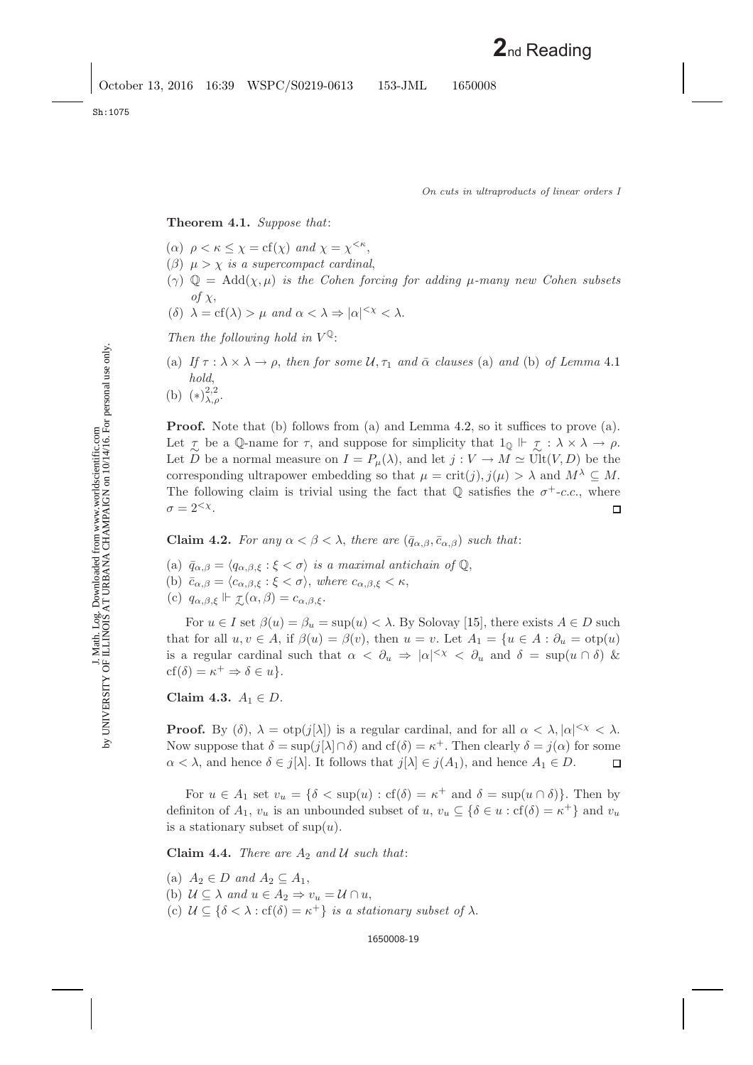Sh:1075

<span id="page-18-0"></span>**Theorem 4.1.** *Suppose that*:

- ( $\alpha$ )  $\rho < \kappa \leq \chi = \text{cf}(\chi)$  and  $\chi = \chi^{<\kappa}$ ,
- ( $\beta$ )  $\mu > \chi$  *is a supercompact cardinal*,
- (γ)  $\mathbb{Q} = \text{Add}(\chi, \mu)$  *is the Cohen forcing for adding*  $\mu$ -many new Cohen subsets  $of \chi$ ,
- (δ)  $\lambda = cf(\lambda) > \mu$  and  $\alpha < \lambda \Rightarrow |\alpha|^{<\chi} < \lambda$ .

*Then the following hold in*  $V^{\mathbb{Q}}$ :

- (a) *If*  $\tau : \lambda \times \lambda \to \rho$ , *then for some*  $\mathcal{U}, \tau_1$  *and*  $\bar{\alpha}$  *clauses* (a) *and* (b) *of Lemma* [4.1](#page-3-2) *hold*,
- (b)  $(*)_{\lambda,\rho}^{2,2}$ .

**Proof.** Note that (b) follows from (a) and Lemma [4.2,](#page-17-0) so it suffices to prove (a). Let  $\tau$  be a Q-name for  $\tau$ , and suppose for simplicity that  $1_{\mathbb{Q}} \Vdash \tau : \lambda \times \lambda \to \rho$ . Let D be a normal measure on  $I = P_{\mu}(\lambda)$ , and let  $j: V \to M \simeq \text{Ult}(V,D)$  be the corresponding ultrapower embedding so that  $\mu = \text{crit}(j), j(\mu) > \lambda$  and  $M^{\lambda} \subseteq M$ . The following claim is trivial using the fact that Q satisfies the  $\sigma^+$ -c.c., where  $\sigma = 2^{< \chi}$ . 口

**Claim 4.2.** *For any*  $\alpha < \beta < \lambda$ , *there are*  $(\bar{q}_{\alpha,\beta}, \bar{c}_{\alpha,\beta})$  *such that:* 

- (a)  $\bar{q}_{\alpha,\beta} = \langle q_{\alpha,\beta,\xi} : \xi < \sigma \rangle$  *is a maximal antichain of*  $\mathbb{Q}$ ,
- (b)  $\bar{c}_{\alpha,\beta} = \langle c_{\alpha,\beta,\xi} : \xi < \sigma \rangle$ , where  $c_{\alpha,\beta,\xi} < \kappa$ ,
- (c)  $q_{\alpha,\beta,\xi} \Vdash \mathcal{I}(\alpha,\beta) = c_{\alpha,\beta,\xi}$ .

For  $u \in I$  set  $\beta(u) = \beta_u = \sup(u) < \lambda$ . By Solovay [\[15\]](#page-33-11), there exists  $A \in D$  such that for all  $u, v \in A$ , if  $\beta(u) = \beta(v)$ , then  $u = v$ . Let  $A_1 = \{u \in A : \partial_u = \text{otp}(u)\}$ is a regular cardinal such that  $\alpha < \partial_u \Rightarrow |\alpha|^{<\chi} < \partial_u$  and  $\delta = \sup(u \cap \delta)$  &  $cf(\delta) = \kappa^+ \Rightarrow \delta \in u$ .

**Claim 4.3.**  $A_1 \in D$ .

**Proof.** By  $(\delta)$ ,  $\lambda = \text{otp}(j[\lambda])$  is a regular cardinal, and for all  $\alpha < \lambda, |\alpha|^{<\chi} < \lambda$ . Now suppose that  $\delta = \sup(j[\lambda] \cap \delta)$  and  $cf(\delta) = \kappa^+$ . Then clearly  $\delta = j(\alpha)$  for some  $\alpha < \lambda$ , and hence  $\delta \in j[\lambda]$ . It follows that  $j[\lambda] \in j(A_1)$ , and hence  $A_1 \in D$ .  $\Box$ 

For  $u \in A_1$  set  $v_u = \{\delta < \sup(u) : cf(\delta) = \kappa^+ \text{ and } \delta = \sup(u \cap \delta)\}.$  Then by definiton of  $A_1$ ,  $v_u$  is an unbounded subset of  $u, v_u \subseteq {\delta \in u : cf(\delta) = \kappa^+}$  and  $v_u$ is a stationary subset of  $\text{sup}(u)$ .

**Claim 4.4.** *There are*  $A_2$  *and*  $U$  *such that:* 

- (a)  $A_2 \in D$  *and*  $A_2 \subseteq A_1$ ,
- (b)  $\mathcal{U} \subseteq \lambda$  *and*  $u \in A_2 \Rightarrow v_u = \mathcal{U} \cap u$ ,
- (c)  $\mathcal{U} \subseteq \{ \delta < \lambda : \text{cf}(\delta) = \kappa^+ \}$  *is a stationary subset of*  $\lambda$ .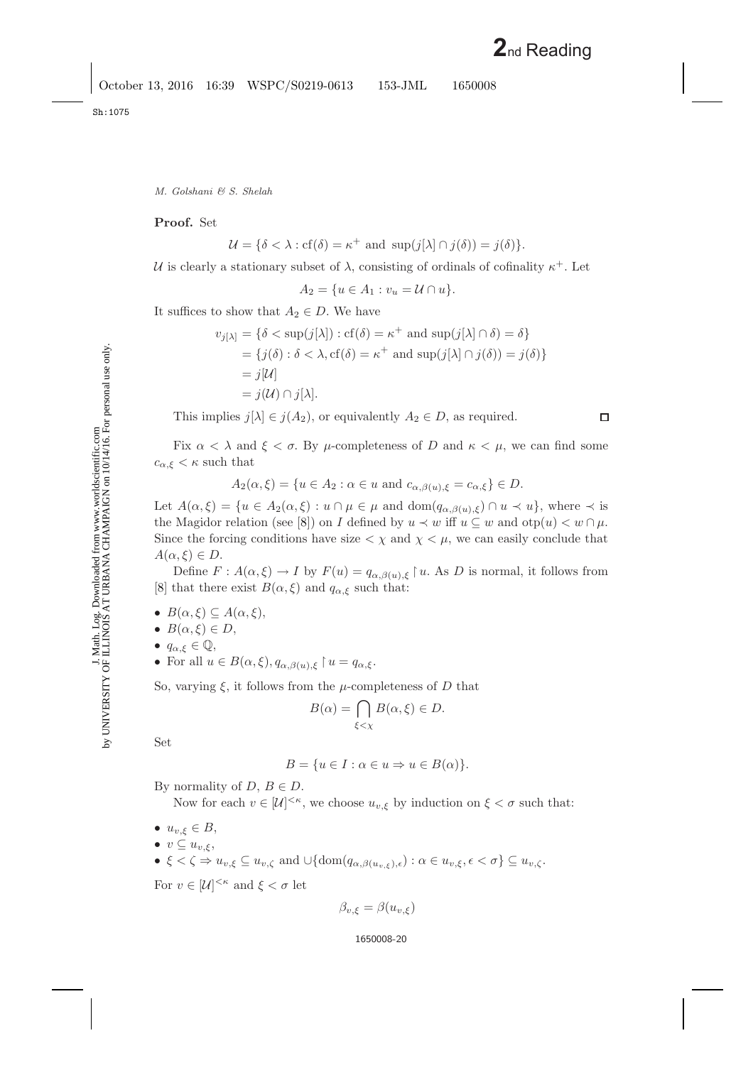**Proof.** Set

$$
\mathcal{U} = \{ \delta < \lambda : \text{cf}(\delta) = \kappa^+ \text{ and } \sup(j[\lambda] \cap j(\delta)) = j(\delta) \}.
$$

U is clearly a stationary subset of  $\lambda$ , consisting of ordinals of cofinality  $\kappa^+$ . Let

$$
A_2 = \{u \in A_1 : v_u = \mathcal{U} \cap u\}.
$$

It suffices to show that  $A_2 \in D$ . We have

$$
v_{j[\lambda]} = \{\delta < \sup(j[\lambda]) : \text{cf}(\delta) = \kappa^+ \text{ and } \sup(j[\lambda] \cap \delta) = \delta\}
$$
\n
$$
= \{j(\delta) : \delta < \lambda, \text{cf}(\delta) = \kappa^+ \text{ and } \sup(j[\lambda] \cap j(\delta)) = j(\delta)\}
$$
\n
$$
= j[\mathcal{U}]
$$
\n
$$
= j(\mathcal{U}) \cap j[\lambda].
$$

This implies  $j[\lambda] \in j(A_2)$ , or equivalently  $A_2 \in D$ , as required.

 $\Box$ 

Fix  $\alpha < \lambda$  and  $\xi < \sigma$ . By  $\mu$ -completeness of D and  $\kappa < \mu$ , we can find some  $c_{\alpha,\xi} < \kappa$  such that

$$
A_2(\alpha,\xi) = \{ u \in A_2 : \alpha \in u \text{ and } c_{\alpha,\beta(u),\xi} = c_{\alpha,\xi} \} \in D.
$$

Let  $A(\alpha,\xi) = \{u \in A_2(\alpha,\xi) : u \cap \mu \in \mu \text{ and } \text{dom}(q_{\alpha,\beta(u),\xi}) \cap u \prec u\}$ , where  $\prec$  is the Magidor relation (see [\[8\]](#page-33-12)) on I defined by  $u \lt w$  iff  $u \subseteq w$  and  $\text{otp}(u) \lt w \cap \mu$ . Since the forcing conditions have size  $\langle \chi \rangle$  and  $\chi \langle \mu \rangle$ , we can easily conclude that  $A(\alpha,\xi)\in D$ .

Define  $F: A(\alpha,\xi) \to I$  by  $F(u) = q_{\alpha,\beta(u),\xi} \upharpoonright u$ . As D is normal, it follows from [\[8\]](#page-33-12) that there exist  $B(\alpha, \xi)$  and  $q_{\alpha, \xi}$  such that:

- $B(\alpha,\xi) \subseteq A(\alpha,\xi)$ ,
- $B(\alpha,\xi) \in D$ ,
- $q_{\alpha,\xi} \in \mathbb{Q}$ ,
- For all  $u \in B(\alpha,\xi), q_{\alpha,\beta(u),\xi} \restriction u = q_{\alpha,\xi}.$

So, varying  $\xi$ , it follows from the  $\mu$ -completeness of D that

$$
B(\alpha) = \bigcap_{\xi < \chi} B(\alpha, \xi) \in D.
$$

Set

$$
B = \{ u \in I : \alpha \in u \Rightarrow u \in B(\alpha) \}.
$$

By normality of  $D, B \in D$ .

Now for each  $v \in [\mathcal{U}]^{<\kappa}$ , we choose  $u_{v,\xi}$  by induction on  $\xi < \sigma$  such that:

- $u_{v,\xi} \in B$ ,
- $v \subseteq u_{v,\xi}$ ,
- $\xi < \zeta \Rightarrow u_{v,\xi} \subseteq u_{v,\zeta}$  and  $\cup \{ \text{dom}(q_{\alpha,\beta(u_{v,\xi}),\epsilon}) : \alpha \in u_{v,\xi}, \epsilon < \sigma \} \subseteq u_{v,\zeta}$ .

For  $v \in [\mathcal{U}]^{<\kappa}$  and  $\xi < \sigma$  let

$$
\beta_{v,\xi} = \beta(u_{v,\xi})
$$

#### 1650008-20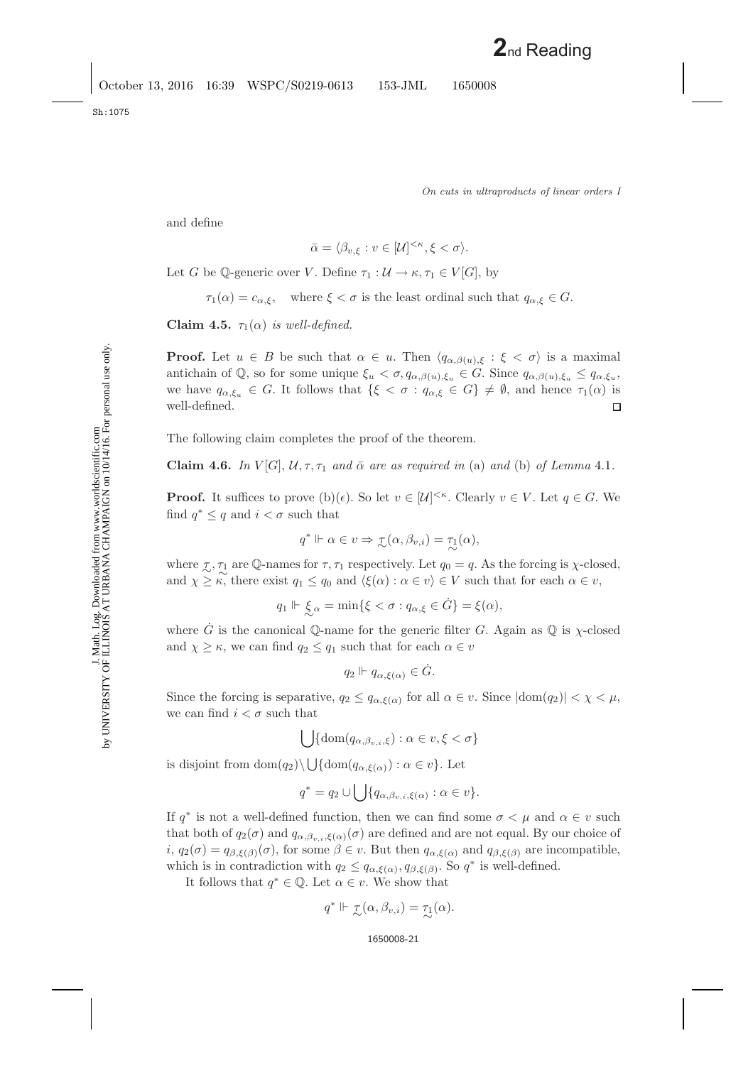J. Math. Log. Downloaded from www.worldscientific.com by UNIVERSITY OF ILLINOIS AT URBANA CHAMPAIGN on 10/14/16. For personal use only.

J. Math. Log. Downloaded from www.worldscientific.com<br>by UNIVERSITY OF ILLINOIS AT URBANA CHAMPAIGN on 10/14/16. For personal use only.

and define

$$
\bar{\alpha} = \langle \beta_{v,\xi} : v \in [\mathcal{U}]^{<\kappa}, \xi < \sigma \rangle.
$$

Let G be Q-generic over V. Define  $\tau_1 : \mathcal{U} \to \kappa, \tau_1 \in V[G],$  by

$$
\tau_1(\alpha) = c_{\alpha,\xi}, \quad \text{where } \xi < \sigma \text{ is the least ordinal such that } q_{\alpha,\xi} \in G.
$$

**Claim 4.5.**  $\tau_1(\alpha)$  *is well-defined.* 

**Proof.** Let  $u \in B$  be such that  $\alpha \in u$ . Then  $\langle q_{\alpha,\beta(u),\xi} : \xi \langle \sigma \rangle$  is a maximal antichain of Q, so for some unique  $\xi_u < \sigma, q_{\alpha,\beta(u),\xi_u} \in G$ . Since  $q_{\alpha,\beta(u),\xi_u} \leq q_{\alpha,\xi_u}$ , we have  $q_{\alpha,\xi_u} \in G$ . It follows that  $\{\xi < \sigma : q_{\alpha,\xi} \in G\} \neq \emptyset$ , and hence  $\tau_1(\alpha)$  is well-defined.  $\Box$ 

The following claim completes the proof of the theorem.

**Claim 4.6.** *In*  $V[G], U, \tau, \tau_1$  *and*  $\bar{\alpha}$  *are as required in* (a) *and* (b) *of Lemma* [4.1](#page-3-2)*.* 

**Proof.** It suffices to prove (b)( $\epsilon$ ). So let  $v \in [\mathcal{U}]^{<\kappa}$ . Clearly  $v \in V$ . Let  $q \in G$ . We find  $q^* \leq q$  and  $i < \sigma$  such that

$$
q^* \Vdash \alpha \in v \Rightarrow \mathcal{I}(\alpha, \beta_{v,i}) = \mathcal{T}_1(\alpha),
$$

where  $\mathcal{I}, \mathcal{T}_1$  are Q-names for  $\mathcal{T}, \mathcal{T}_1$  respectively. Let  $q_0 = q$ . As the forcing is  $\chi$ -closed, and  $\chi \geq \kappa$ , there exist  $q_1 \leq q_0$  and  $\langle \xi(\alpha) : \alpha \in v \rangle \in V$  such that for each  $\alpha \in v$ ,

$$
q_1 \Vdash \xi_\alpha = \min\{\xi < \sigma : q_{\alpha,\xi} \in \dot{G}\} = \xi(\alpha),
$$

where G is the canonical Q-name for the generic filter G. Again as Q is  $\chi$ -closed and  $\chi \geq \kappa$ , we can find  $q_2 \leq q_1$  such that for each  $\alpha \in v$ 

$$
q_2 \Vdash q_{\alpha,\xi(\alpha)} \in \dot{G}.
$$

Since the forcing is separative,  $q_2 \leq q_{\alpha,\xi(\alpha)}$  for all  $\alpha \in v$ . Since  $|\text{dom}(q_2)| < \chi < \mu$ , we can find  $i < \sigma$  such that

 $\bigcup \{\text{dom}(q_{\alpha,\beta_v,i},\xi) : \alpha \in v, \xi < \sigma\}$ 

is disjoint from  $\text{dom}(q_2) \setminus \bigcup \{\text{dom}(q_{\alpha,\xi(\alpha)}) : \alpha \in v\}.$  Let

$$
q^* = q_2 \cup \bigcup \{q_{\alpha,\beta_v,i,\xi(\alpha)} : \alpha \in v\}.
$$

If  $q^*$  is not a well-defined function, then we can find some  $\sigma < \mu$  and  $\alpha \in v$  such that both of  $q_2(\sigma)$  and  $q_{\alpha,\beta_v,i,\xi(\alpha)}(\sigma)$  are defined and are not equal. By our choice of  $i, q_2(\sigma) = q_{\beta,\xi(\beta)}(\sigma)$ , for some  $\beta \in v$ . But then  $q_{\alpha,\xi(\alpha)}$  and  $q_{\beta,\xi(\beta)}$  are incompatible, which is in contradiction with  $q_2 \leq q_{\alpha,\xi(\alpha)}, q_{\beta,\xi(\beta)}$ . So  $q^*$  is well-defined.

It follows that  $q^* \in \mathbb{Q}$ . Let  $\alpha \in v$ . We show that

$$
q^* \Vdash \mathcal{I}(\alpha, \beta_{v,i}) = \mathcal{I}_1(\alpha).
$$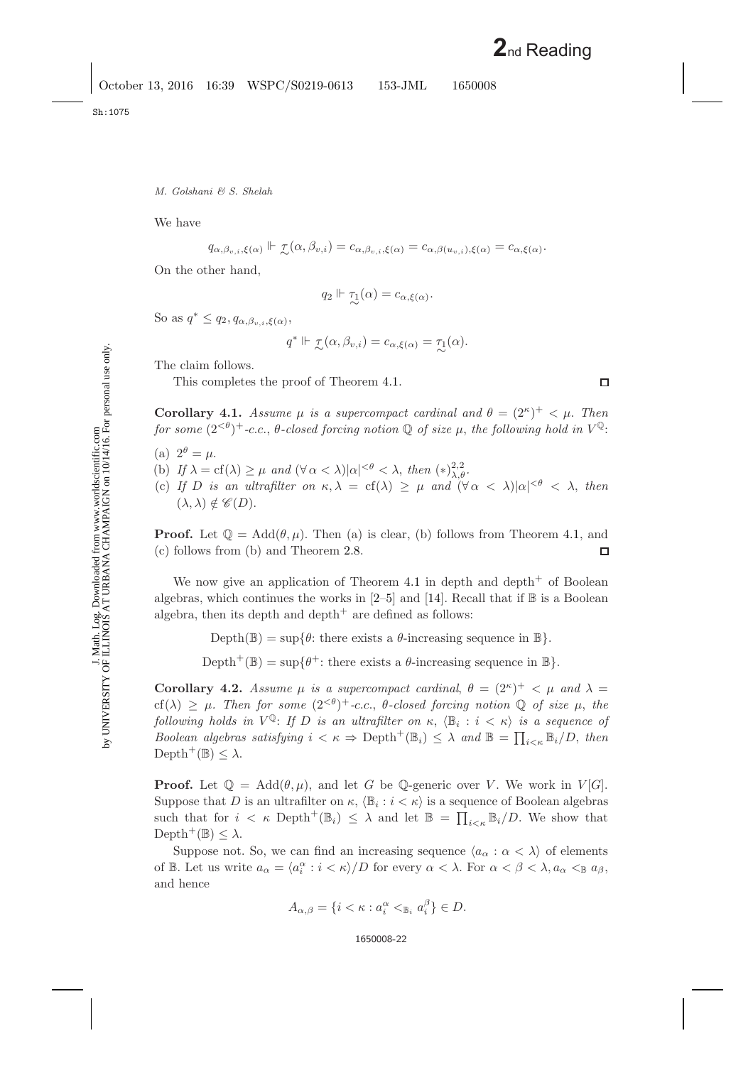We have

$$
q_{\alpha,\beta_{v,i},\xi(\alpha)} \Vdash \mathcal{I}(\alpha,\beta_{v,i}) = c_{\alpha,\beta_{v,i},\xi(\alpha)} = c_{\alpha,\beta(u_{v,i}),\xi(\alpha)} = c_{\alpha,\xi(\alpha)}.
$$

On the other hand,

$$
q_2 \Vdash \mathcal{T}_1(\alpha) = c_{\alpha,\xi(\alpha)}.
$$

So as  $q^* \leq q_2, q_{\alpha,\beta_{v,i},\xi(\alpha)},$ 

$$
q^* \Vdash \mathcal{I}(\alpha, \beta_{v,i}) = c_{\alpha, \xi(\alpha)} = \mathcal{I}_1(\alpha).
$$

The claim follows.

This completes the proof of Theorem [4.1.](#page-18-0)

**Corollary 4.1.** *Assume*  $\mu$  *is a supercompact cardinal and*  $\theta = (2^{\kappa})^+ < \mu$ . *Then for some*  $(2^{<\theta})^+$ -c.c.,  $\theta$ -closed forcing notion  $\mathbb Q$  of size  $\mu$ , the following hold in  $V^{\mathbb Q}$ .

- (a)  $2^{\theta} = \mu$ .
- (b) If  $\lambda = cf(\lambda) \ge \mu$  and  $(\forall \alpha < \lambda) | \alpha|^{< \theta} < \lambda$ , then  $(*)_{\lambda, \theta}^{2,2}$ .
- (c) If D is an ultrafilter on  $\kappa, \lambda = cf(\lambda) \geq \mu$  and  $(\forall \alpha < \lambda) | \alpha |^{<\theta} < \lambda$ , then  $(\lambda, \lambda) \notin \mathscr{C}(D).$

**Proof.** Let  $\mathbb{Q} = \text{Add}(\theta, \mu)$ . Then (a) is clear, (b) follows from Theorem [4.1,](#page-18-0) and (c) follows from (b) and Theorem [2.8.](#page-10-2)  $\Box$ 

We now give an application of Theorem [4.1](#page-18-0) in depth and depth<sup>+</sup> of Boolean algebras, which continues the works in  $[2-5]$  $[2-5]$  and  $[14]$ . Recall that if  $\mathbb B$  is a Boolean algebra, then its depth and depth<sup> $+$ </sup> are defined as follows:

Depth( $\mathbb{B}$ ) = sup $\{\theta:$  there exists a  $\theta$ -increasing sequence in  $\mathbb{B}\}.$ 

 $Depth^+(\mathbb{B}) = \sup\{\theta^+$ : there exists a  $\theta$ -increasing sequence in  $\mathbb{B}\}.$ 

**Corollary 4.2.** *Assume*  $\mu$  *is a supercompact cardinal*,  $\theta = (2^{\kappa})^+ < \mu$  *and*  $\lambda =$ cf( $\lambda$ )  $\geq \mu$ . Then for some  $(2^{<\theta})^+$ -c.c.,  $\theta$ -closed forcing notion  $\mathbb Q$  of size  $\mu$ , the *following holds in*  $V^{\mathbb{Q}}$ : *If*  $D$  *is an ultrafilter on*  $\kappa$ ,  $\langle \mathbb{B}_i : i < \kappa \rangle$  *is a sequence of Boolean algebras satisfying*  $i < \kappa \Rightarrow$  Depth<sup>+</sup>( $\mathbb{B}_i$ )  $\leq \lambda$  *and*  $\mathbb{B} = \prod_{i < \kappa} \mathbb{B}_i/D$ , *then*  $Depth^+(\mathbb{B})\leq \lambda$ .

**Proof.** Let  $\mathbb{Q} = \text{Add}(\theta, \mu)$ , and let G be Q-generic over V. We work in  $V[G]$ . Suppose that D is an ultrafilter on  $\kappa$ ,  $\langle \mathbb{B}_i : i \langle \kappa \rangle$  is a sequence of Boolean algebras such that for  $i < \kappa$  Depth<sup>+</sup>( $\mathbb{B}_i$ )  $\leq \lambda$  and let  $\mathbb{B} = \prod_{i<\kappa} \mathbb{B}_i/D$ . We show that  $Depth^+(\mathbb{B})\leq \lambda$ .

Suppose not. So, we can find an increasing sequence  $\langle a_{\alpha} : \alpha < \lambda \rangle$  of elements of B. Let us write  $a_{\alpha} = \langle a_i^{\alpha} : i < \kappa \rangle / D$  for every  $\alpha < \lambda$ . For  $\alpha < \beta < \lambda, a_{\alpha} <_{\mathbb{B}} a_{\beta}$ , and hence

$$
A_{\alpha,\beta} = \{ i < \kappa : a_i^{\alpha} <_{\mathbb{B}_i} a_i^{\beta} \} \in D.
$$

#### 1650008-22

 $\Box$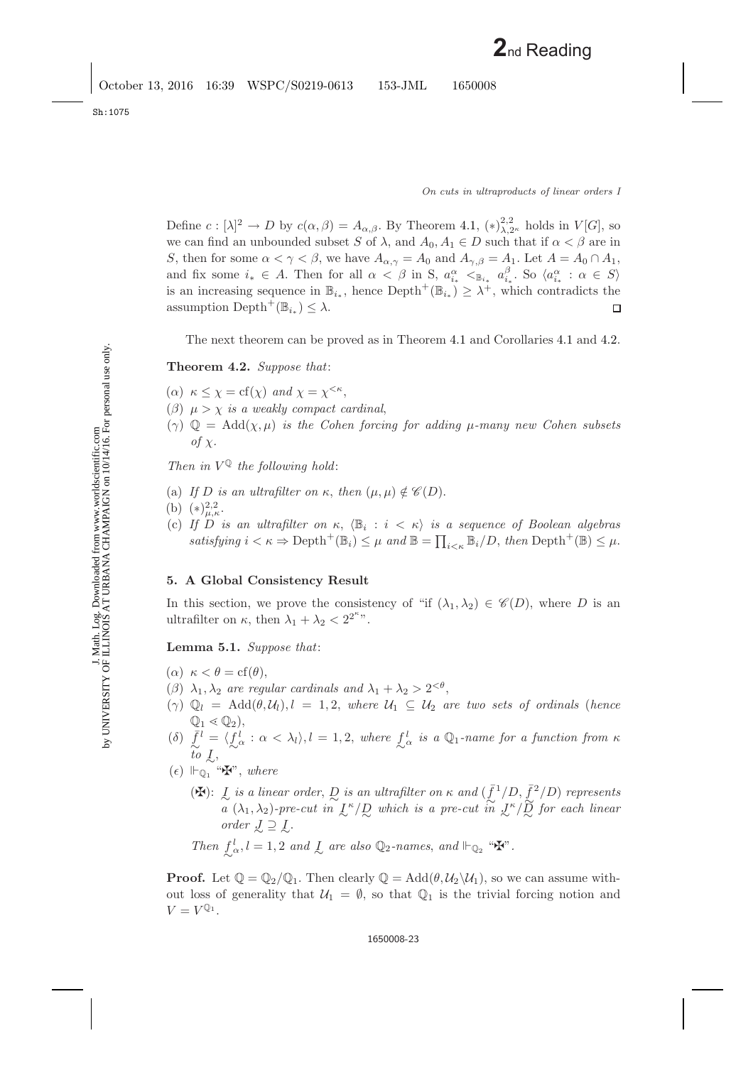Define  $c: [\lambda]^2 \to D$  by  $c(\alpha, \beta) = A_{\alpha, \beta}$ . By Theorem [4.1,](#page-18-0)  $(*)_{\lambda, 2^{\kappa}}^{2,2}$  holds in  $V[G]$ , so we can find an unbounded subset S of  $\lambda$ , and  $A_0, A_1 \in D$  such that if  $\alpha < \beta$  are in S, then for some  $\alpha < \gamma < \beta$ , we have  $A_{\alpha,\gamma} = A_0$  and  $A_{\gamma,\beta} = A_1$ . Let  $A = A_0 \cap A_1$ , and fix some  $i_* \in A$ . Then for all  $\alpha < \beta$  in S,  $a_{i_*}^{\alpha} <_{\mathbb{B}_{i_*}} a_{i_*}^{\beta}$ . So  $\langle a_{i_*}^{\alpha} : \alpha \in S \rangle$ is an increasing sequence in  $\mathbb{B}_{i_*}$ , hence  $Depth^+(\mathbb{B}_{i_*})\geq \lambda^+$ , which contradicts the assumption Depth<sup>+</sup>( $\mathbb{B}_{i_*}$ )  $\leq \lambda$ .  $\Box$ 

The next theorem can be proved as in Theorem [4.1](#page-18-0) and Corollaries [4.1](#page-9-0) and [4.2.](#page-9-1)

**Theorem 4.2.** *Suppose that*:

- ( $\alpha$ )  $\kappa \leq \chi = \text{cf}(\chi)$  *and*  $\chi = \chi^{<\kappa}$ ,
- (β) µ>χ *is a weakly compact cardinal*,
- (γ)  $\mathbb{Q} = \text{Add}(\chi, \mu)$  *is the Cohen forcing for adding*  $\mu$ -many new Cohen subsets *of* χ*.*

*Then in*  $V^{\mathbb{Q}}$  *the following hold:* 

- (a) If D is an ultrafilter on  $\kappa$ , then  $(\mu, \mu) \notin \mathscr{C}(D)$ .
- (b)  $(*)_{\mu,\kappa}^{2,2}.$
- (c) *If D is an ultrafilter on*  $\kappa$ ,  $\langle \mathbb{B}_i : i \langle \kappa \rangle \rangle$  *is a sequence of Boolean algebras satisfying*  $i < \kappa \Rightarrow \text{Depth}^+(\mathbb{B}_i) \leq \mu$  *and*  $\mathbb{B} = \prod_{i < \kappa} \mathbb{B}_i/D$ , *then*  $\text{Depth}^+(\mathbb{B}) \leq \mu$ .

### **5. A Global Consistency Result**

In this section, we prove the consistency of "if  $(\lambda_1, \lambda_2) \in \mathscr{C}(D)$ , where D is an ultrafilter on  $\kappa$ , then  $\lambda_1 + \lambda_2 < 2^{2^{\kappa}}$ .

**Lemma 5.1.** *Suppose that*:

- $(\alpha) \kappa < \theta = \text{cf}(\theta),$
- (β)  $\lambda_1, \lambda_2$  *are regular cardinals and*  $\lambda_1 + \lambda_2 > 2^{<\theta}$ ,
- $(\gamma)$   $\mathbb{Q}_l$  = Add $(\theta, \mathcal{U}_l)$ ,  $l = 1, 2$ , *where*  $\mathcal{U}_1 \subseteq \mathcal{U}_2$  *are two sets of ordinals (hence*  $\mathbb{Q}_1 \lessdot \mathbb{Q}_2$ ,
- (δ)  $\bar{f}^l = \langle f \rangle$  $\frac{l}{\alpha}$  :  $\alpha < \lambda_l$ ,  $l = 1, 2$ , where  $\int_{\alpha}$  $\alpha$  *is a* Q<sub>1</sub>-name for a function from  $\kappa$ *to* I ∼,
- $(\epsilon)$   $\Vdash_{\mathbb{Q}_1}$  " $\mathbf{F}$ ", where
	- ( $\mathbf{F}$ ): *L is a linear order*, *D is an ultrafilter on* κ *and* ( $\bar{f}^1/D$ ,  $\bar{f}^2/D$ ) *represents*<br>
	△ () ) are subject in L<sup>K</sup>/D which is a gree subject in LK/D for such linear *a*  $(\lambda_1, \lambda_2)$ -pre-cut in  $\frac{1}{2}$ <sup>κ</sup>/ $\frac{D}{2}$  which is a pre-cut in  $\frac{1}{2}$ <sup>κ</sup>/ $\frac{D}{2}$  for each linear *order*  $\mathcal{L} \supseteq \mathcal{L}$ . Then  $\int$  $\mathcal{L}_{\alpha}$ ,  $l = 1, 2$  and  $\mathcal{L}$  are also  $\mathbb{Q}_2$ -names, and  $\mathbb{H}_{\mathbb{Q}_2}$  " $\mathbf{F}$ ".

**Proof.** Let  $\mathbb{Q} = \mathbb{Q}_2/\mathbb{Q}_1$ . Then clearly  $\mathbb{Q} = \text{Add}(\theta, \mathcal{U}_2 \backslash \mathcal{U}_1)$ , so we can assume without loss of generality that  $U_1 = \emptyset$ , so that  $\mathbb{Q}_1$  is the trivial forcing notion and  $V = V^{\mathbb{Q}_1}.$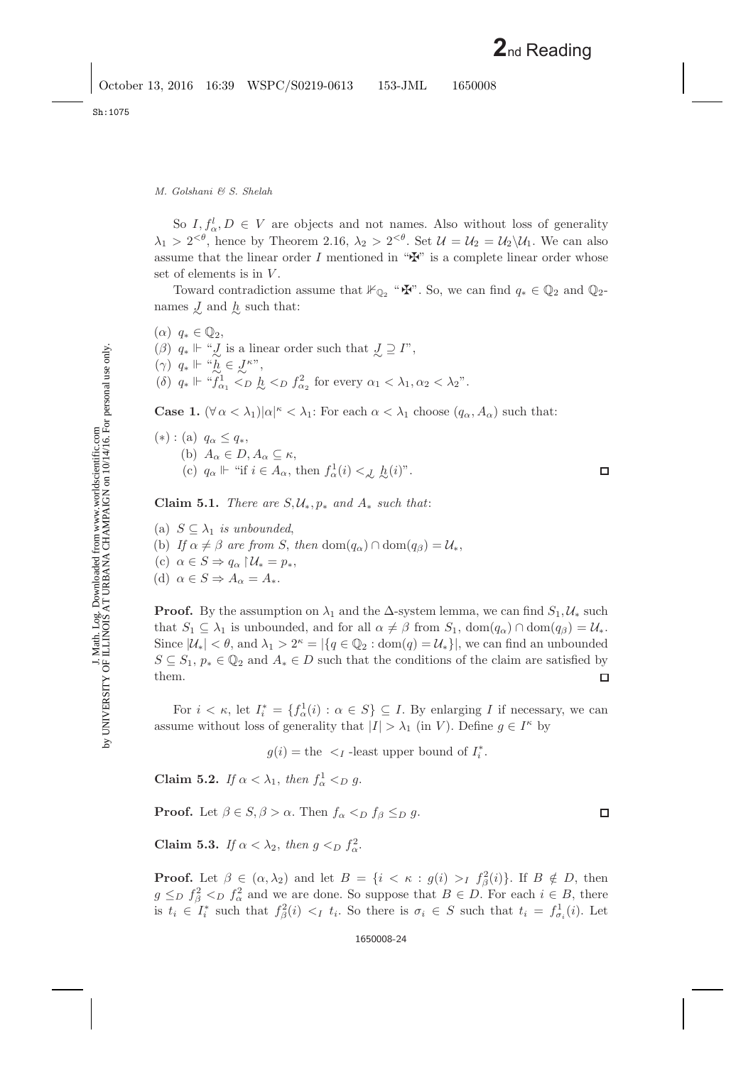J. Math. Log. Downloaded from www.worldscientific.com by UNIVERSITY OF ILLINOIS AT URBANA CHAMPAIGN on 10/14/16. For personal use only.

J. Math. Log. Downloaded from www.worldscientific.com<br>by UNIVERSITY OF ILLINOIS AT URBANA CHAMPAIGN on 10/14/16. For personal use only.

## *M. Golshani & S. Shelah*

So  $I, f_{\alpha}^l, D \in V$  are objects and not names. Also without loss of generality  $\lambda_1 > 2^{<\theta}$ , hence by Theorem 2.16,  $\lambda_2 > 2^{<\theta}$ . Set  $\mathcal{U} = \mathcal{U}_2 = \mathcal{U}_2 \backslash \mathcal{U}_1$ . We can also assume that the linear order I mentioned in " $\mathbf{\ddot{F}}$ " is a complete linear order whose set of elements is in  $V$ .

Toward contradiction assume that  $\mathbb{H}_{\mathbb{Q}_2}$  " $\mathbb{H}$ ". So, we can find  $q_* \in \mathbb{Q}_2$  and  $\mathbb{Q}_2$ names  $\mathcal{L}$  and  $\mathcal{h}$  such that:

- $(\alpha)$   $q_* \in \mathbb{Q}_2$ ,
- $(\beta)$   $q_* \Vdash \overset{\omega}{\cdot} J$  is a linear order such that  $\mathcal{J} \supseteq \mathcal{I}^n$ ,
- $(\gamma)$   $q_* \Vdash \text{``} h \in \mathcal{J}^{\kappa}$ ",
- (δ)  $q_* \Vdash ``f^1_{\alpha_1} <_D \underline{h} <_D f^2_{\alpha_2}$  for every  $\alpha_1 < \lambda_1, \alpha_2 < \lambda_2"$ .

**Case 1.**  $(\forall \alpha < \lambda_1)|\alpha|^{\kappa} < \lambda_1$ : For each  $\alpha < \lambda_1$  choose  $(q_\alpha, A_\alpha)$  such that:

\n- (\*) : (a) 
$$
q_{\alpha} \leq q_*
$$
,
\n- (b)  $A_{\alpha} \in D$ ,  $A_{\alpha} \subseteq \kappa$ ,
\n- (c)  $q_{\alpha} \Vdash$  "if  $i \in A_{\alpha}$ , then  $f_{\alpha}^1(i) < \mathcal{L} \mathcal{L}(i)$ ".
\n

**Claim 5.1.** *There are*  $S, \mathcal{U}_*, p_*$  *and*  $A_*$  *such that:* 

(a)  $S \subseteq \lambda_1$  *is unbounded*, (b) *If*  $\alpha \neq \beta$  *are from S*, *then* dom( $q_{\alpha}$ )  $\cap$  dom( $q_{\beta}$ ) =  $\mathcal{U}_{*}$ , (c)  $\alpha \in S \Rightarrow q_{\alpha} {\upharpoonright} \mathcal{U}_* = p_*,$ (d)  $\alpha \in S \Rightarrow A_{\alpha} = A_{*}.$ 

**Proof.** By the assumption on  $\lambda_1$  and the  $\Delta$ -system lemma, we can find  $S_1, \mathcal{U}_*$  such that  $S_1 \subseteq \lambda_1$  is unbounded, and for all  $\alpha \neq \beta$  from  $S_1$ ,  $dom(q_\alpha) \cap dom(q_\beta) = \mathcal{U}_*$ . Since  $|\mathcal{U}_*| < \theta$ , and  $\lambda_1 > 2^{\kappa} = |\{q \in \mathbb{Q}_2 : \text{dom}(q) = \mathcal{U}_* \}|$ , we can find an unbounded  $S \subseteq S_1$ ,  $p_* \in \mathbb{Q}_2$  and  $A_* \in D$  such that the conditions of the claim are satisfied by them.  $\Box$ 

For  $i < \kappa$ , let  $I_i^* = \{f_\alpha^1(i) : \alpha \in S\} \subseteq I$ . By enlarging I if necessary, we can assume without loss of generality that  $|I| > \lambda_1$  (in V). Define  $g \in I^{\kappa}$  by

 $g(i)$  = the  $\lt_I$ -least upper bound of  $I_i^*$ .

**Claim 5.2.** *If*  $\alpha < \lambda_1$ , *then*  $f^1_{\alpha} < p$  *g*.

**Proof.** Let  $\beta \in S$ ,  $\beta > \alpha$ . Then  $f_{\alpha} < D$   $f_{\beta} \leq D$  g.

**Claim 5.3.** *If*  $\alpha < \lambda_2$ , *then*  $g <_{D} f_{\alpha}^2$ .

**Proof.** Let  $\beta \in (\alpha, \lambda_2)$  and let  $B = \{i \le \kappa : g(i) > I \}$   $f_{\beta}^2(i)\}$ . If  $B \notin D$ , then  $g \leq_D f_\beta^2 \lt_D f_\alpha^2$  and we are done. So suppose that  $B \in D$ . For each  $i \in B$ , there is  $t_i \in I_i^*$  such that  $f_\beta^2(i) \leq I_i$  t<sub>i</sub>. So there is  $\sigma_i \in S$  such that  $t_i = f_{\sigma_i}^1(i)$ . Let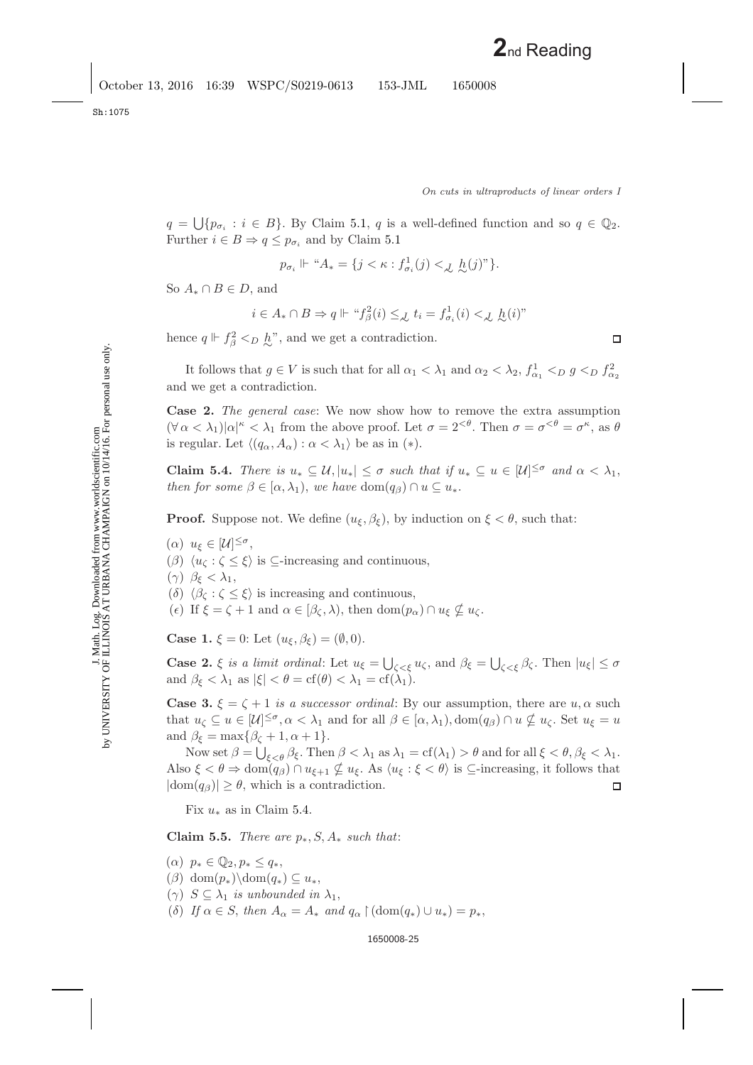J. Math. Log. Downloaded from www.worldscientific.com by UNIVERSITY OF ILLINOIS AT URBANA CHAMPAIGN on 10/14/16. For personal use only.

J. Math. Log. Downloaded from www.worldscientific.com<br>by UNIVERSITY OF ILLINOIS AT URBANA CHAMPAIGN on 10/14/16. For personal use only.

 $q = \bigcup \{p_{\sigma_i} : i \in B\}$ . By Claim [5.1,](#page-4-4) q is a well-defined function and so  $q \in \mathbb{Q}_2$ . Further  $i \in B \Rightarrow q \leq p_{\sigma_i}$  and by Claim [5.1](#page-4-4)

$$
p_{\sigma_i} \Vdash \text{``} A_* = \{ j < \kappa : f_{\sigma_i}^1(j) <_{\mathcal{L}} \mathcal{L}(j) \text{''} \}.
$$

So  $A_* \cap B \in D$ , and

$$
i \in A_* \cap B \Rightarrow q \Vdash ``f^2_{\beta}(i) \leq_{\mathcal{L}} t_i = f^1_{\sigma_i}(i) <_{\mathcal{L}} \underline{h}(i)"
$$

hence  $q \Vdash f^2_\beta \leq_D \underline{h}$ ", and we get a contradiction.

It follows that  $g \in V$  is such that for all  $\alpha_1 < \lambda_1$  and  $\alpha_2 < \lambda_2$ ,  $f_{\alpha_1}^1 <_{D} g <_{D} f_{\alpha_2}^2$ and we get a contradiction.

**Case 2.** *The general case*: We now show how to remove the extra assumption  $(\forall \alpha < \lambda_1) | \alpha |^{\kappa} < \lambda_1$  from the above proof. Let  $\sigma = 2^{<\theta}$ . Then  $\sigma = \sigma^{<\theta} = \sigma^{\kappa}$ , as  $\theta$ is regular. Let  $\langle (q_{\alpha}, A_{\alpha}) : \alpha < \lambda_1 \rangle$  be as in  $(*).$ 

**Claim 5.4.** *There is*  $u_* \subseteq \mathcal{U}, |u_*| \leq \sigma$  *such that if*  $u_* \subseteq u \in [\mathcal{U}]^{\leq \sigma}$  *and*  $\alpha < \lambda_1$ , *then for some*  $\beta \in [\alpha, \lambda_1)$ , *we have* dom $(q_\beta) \cap u \subseteq u_*$ .

**Proof.** Suppose not. We define  $(u_{\xi}, \beta_{\xi})$ , by induction on  $\xi < \theta$ , such that:

- ( $\alpha$ )  $u_{\xi} \in [\mathcal{U}]^{\leq \sigma}$ ,
- ( $\beta$ )  $\langle u_{\zeta} : \zeta \leq \xi \rangle$  is  $\subseteq$ -increasing and continuous,
- (γ)  $\beta_{\xi} < \lambda_1$ ,
- (δ)  $\langle \beta_{\zeta} : \zeta \leq \xi \rangle$  is increasing and continuous,
- (e) If  $\xi = \zeta + 1$  and  $\alpha \in [\beta_{\zeta}, \lambda)$ , then  $\text{dom}(p_{\alpha}) \cap u_{\xi} \nsubseteq u_{\zeta}$ .

**Case 1.**  $\xi = 0$ : Let  $(u_{\xi}, \beta_{\xi}) = (\emptyset, 0)$ .

**Case 2.**  $\xi$  *is a limit ordinal*: Let  $u_{\xi} = \bigcup_{\zeta < \xi} u_{\zeta}$ , and  $\beta_{\xi} = \bigcup_{\zeta < \xi} \beta_{\zeta}$ . Then  $|u_{\xi}| \leq \sigma$ and  $\beta_{\xi} < \lambda_1$  as  $|\xi| < \theta = \text{cf}(\theta) < \lambda_1 = \text{cf}(\lambda_1)$ .

**Case 3.**  $\xi = \zeta + 1$  *is a successor ordinal*: By our assumption, there are  $u, \alpha$  such that  $u_{\zeta} \subseteq u \in [\mathcal{U}]^{\leq \sigma}, \alpha < \lambda_1$  and for all  $\beta \in [\alpha, \lambda_1), \text{dom}(q_{\beta}) \cap u \nsubseteq u_{\zeta}$ . Set  $u_{\xi} = u$ and  $\beta_{\xi} = \max\{\beta_{\zeta} + 1, \alpha + 1\}.$ 

Now set  $\beta = \bigcup_{\xi < \theta} \beta_{\xi}$ . Then  $\beta < \lambda_1$  as  $\lambda_1 = \text{cf}(\lambda_1) > \theta$  and for all  $\xi < \theta, \beta_{\xi} < \lambda_1$ . Also  $\xi < \theta \Rightarrow \text{dom}(q_{\beta}) \cap u_{\xi+1} \nsubseteq u_{\xi}$ . As  $\langle u_{\xi} : \xi < \theta \rangle$  is  $\subseteq$ -increasing, it follows that  $|\text{dom}(q_\beta)| \geq \theta$ , which is a contradiction.  $\Box$ 

Fix  $u_*$  as in Claim [5.4.](#page-5-0)

**Claim 5.5.** *There are*  $p_*, S, A_*$  *such that:* 

- $(\alpha)$   $p_* \in \mathbb{Q}_2, p_* \leq q_*$  $(\beta)$  dom $(p_*)\dom(q_*) \subseteq u_*$ ,
- ( $\gamma$ )  $S \subseteq \lambda_1$  *is unbounded in*  $\lambda_1$ ,
- (δ) If  $\alpha \in S$ , then  $A_{\alpha} = A_{*}$  and  $q_{\alpha} \restriction (\text{dom}(q_{*}) \cup u_{*}) = p_{*}$ ,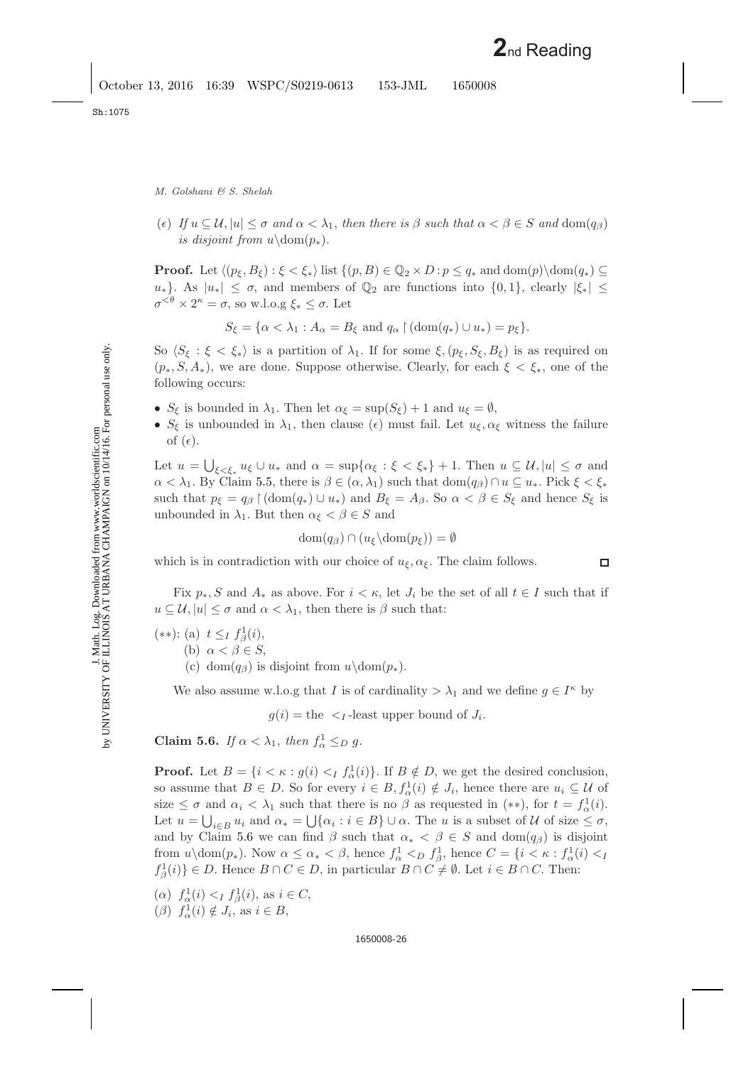( $\epsilon$ ) *If*  $u \subseteq U$ ,  $|u| \leq \sigma$  *and*  $\alpha < \lambda_1$ , *then there is*  $\beta$  *such that*  $\alpha < \beta \in S$  *and* dom( $q_{\beta}$ ) *is disjoint from*  $u \dom(p_*)$ .

**Proof.** Let  $\langle (p_{\xi}, B_{\xi}) : \xi < \xi_* \rangle$  list  $\{(p, B) \in \mathbb{Q}_2 \times D : p \leq q_* \text{ and } \text{dom}(p) \setminus \text{dom}(q_*) \subseteq$ u<sup>\*</sup>}. As  $|u_*| \leq \sigma$ , and members of  $\mathbb{Q}_2$  are functions into  $\{0, 1\}$ , clearly  $|\xi_*| \leq$  $\sigma^{<\theta} \times 2^{\kappa} = \sigma$ , so w.l.o.g  $\xi_* \leq \sigma$ . Let

$$
S_{\xi} = \{ \alpha < \lambda_1 : A_{\alpha} = B_{\xi} \text{ and } q_{\alpha} \upharpoonright (\text{dom}(q_*) \cup u_*) = p_{\xi} \}.
$$

So  $\langle S_{\xi} : \xi < \xi_* \rangle$  is a partition of  $\lambda_1$ . If for some  $\xi, (p_{\xi}, S_{\xi}, B_{\xi})$  is as required on  $(p_*, S, A_*)$ , we are done. Suppose otherwise. Clearly, for each  $\xi < \xi_*,$  one of the following occurs:

- $S_{\xi}$  is bounded in  $\lambda_1$ . Then let  $\alpha_{\xi} = \sup(S_{\xi}) + 1$  and  $u_{\xi} = \emptyset$ ,
- $S_{\xi}$  is unbounded in  $\lambda_1$ , then clause (*e*) must fail. Let  $u_{\xi}, \alpha_{\xi}$  witness the failure of  $(\epsilon)$ .

Let  $u = \bigcup_{\xi \leq \xi^*} u_{\xi} \cup u_*$  and  $\alpha = \sup\{\alpha_{\xi} : \xi < \xi_*\} + 1$ . Then  $u \subseteq \mathcal{U}, |u| \leq \sigma$  and  $\alpha < \lambda_1$ . By Claim [5.5,](#page-7-1) there is  $\beta \in (\alpha, \lambda_1)$  such that  $\text{dom}(q_\beta) \cap u \subseteq u_*$ . Pick  $\xi < \xi_*$ such that  $p_{\xi} = q_{\beta} \restriction (\text{dom}(q_*) \cup u_*)$  and  $B_{\xi} = A_{\beta}$ . So  $\alpha < \beta \in S_{\xi}$  and hence  $S_{\xi}$  is unbounded in  $\lambda_1$ . But then  $\alpha_{\xi} < \beta \in S$  and

$$
\text{dom}(q_{\beta}) \cap (u_{\xi} \setminus \text{dom}(p_{\xi})) = \emptyset
$$

which is in contradiction with our choice of  $u_{\xi}, \alpha_{\xi}$ . The claim follows.

Fix  $p_*, S$  and  $A_*$  as above. For  $i < \kappa$ , let  $J_i$  be the set of all  $t \in I$  such that if  $u \subseteq \mathcal{U}, |u| \leq \sigma$  and  $\alpha < \lambda_1$ , then there is  $\beta$  such that:

$$
(**): (a) \t t \leq_I f_{\beta}^1(i),
$$
  
(b)  $\alpha < \beta \in S$ ,

(c) dom( $q_\beta$ ) is disjoint from  $u\,\dom(p_*)$ .

We also assume w.l.o.g that I is of cardinality  $>\lambda_1$  and we define  $g \in I^{\kappa}$  by

 $g(i)$  = the  $\lt_I$ -least upper bound of  $J_i$ .

**Claim 5.6.** *If*  $\alpha < \lambda_1$ , *then*  $f^1_{\alpha} \leq_D g$ .

**Proof.** Let  $B = \{i \le \kappa : g(i) \le I \}$ , If  $B \notin D$ , we get the desired conclusion, so assume that  $B \in D$ . So for every  $i \in B$ ,  $f^1_\alpha(i) \notin J_i$ , hence there are  $u_i \subseteq \mathcal{U}$  of size  $\leq \sigma$  and  $\alpha_i < \lambda_1$  such that there is no  $\beta$  as requested in (\*\*), for  $t = f^1_\alpha(i)$ . Let  $u = \bigcup_{i \in B} u_i$  and  $\alpha_* = \bigcup \{ \alpha_i : i \in B \} \cup \alpha$ . The u is a subset of U of size  $\leq \sigma$ , and by Claim [5.6](#page-8-1) we can find  $\beta$  such that  $\alpha_* < \beta \in S$  and  $\text{dom}(q_\beta)$  is disjoint from  $u \, \text{dom}(p_*)$ . Now  $\alpha \leq \alpha_* < \beta$ , hence  $f^1_{\alpha} < D f^1_{\beta}$ , hence  $C = \{i \leq \kappa : f^1_{\alpha}(i) < p_i\}$  $f_{\beta}^{1}(i) \} \in D$ . Hence  $B \cap C \in D$ , in particular  $B \cap C \neq \emptyset$ . Let  $i \in B \cap C$ . Then:

(a)  $f^1_\alpha(i) <_I f^1_\beta(i)$ , as  $i \in C$ , (*β*)  $f^1_\alpha(i) \notin J_i$ , as  $i \in B$ ,

 $\Box$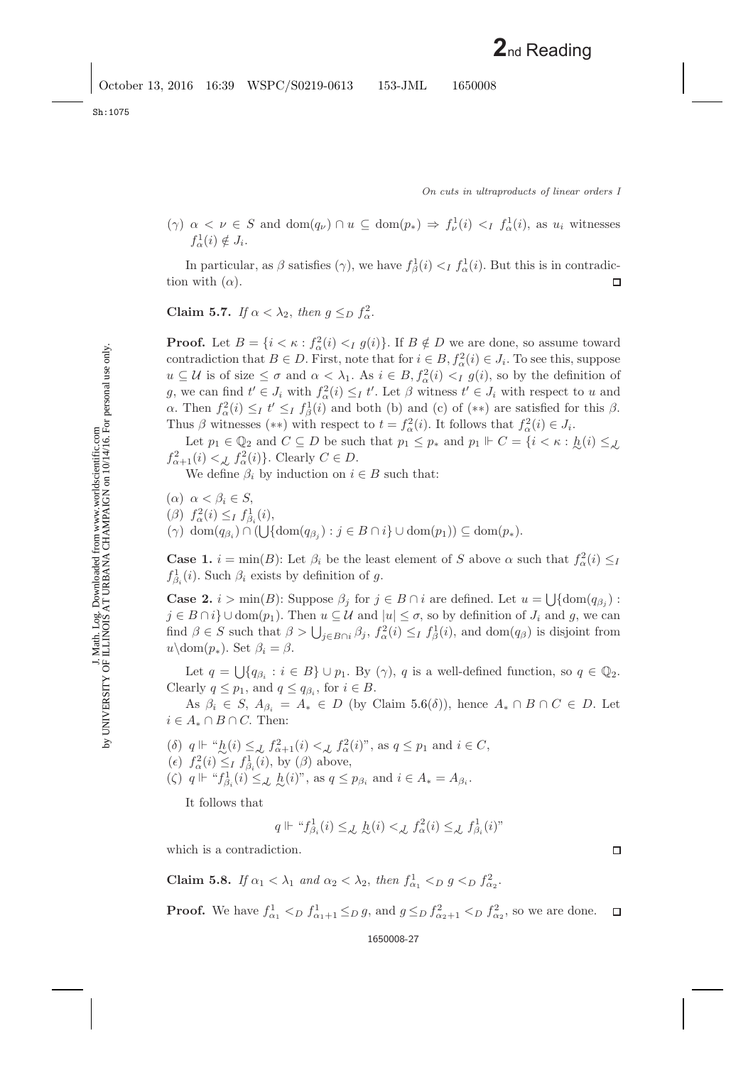Sh:1075

( $\gamma$ )  $\alpha < \nu \in S$  and  $\text{dom}(q_{\nu}) \cap u \subseteq \text{dom}(p_*) \implies f_{\nu}^1(i) < I$   $f_{\alpha}^1(i)$ , as  $u_i$  witnesses  $f^1_\alpha(i) \notin J_i.$ 

In particular, as  $\beta$  satisfies  $(\gamma)$ , we have  $f^1_\beta(i) < I$   $f^1_\alpha(i)$ . But this is in contradiction with  $(\alpha)$ .  $\Box$ 

**Claim 5.7.** *If*  $\alpha < \lambda_2$ , *then*  $g \leq_D f_{\alpha}^2$ .

**Proof.** Let  $B = \{i \le \kappa : f^2_\alpha(i) \leq I \}$ . If  $B \notin D$  we are done, so assume toward contradiction that  $B \in D$ . First, note that for  $i \in B$ ,  $f^2_\alpha(i) \in J_i$ . To see this, suppose  $u \subseteq \mathcal{U}$  is of size  $\leq \sigma$  and  $\alpha < \lambda_1$ . As  $i \in B$ ,  $f^2_\alpha(i) < I$  g(i), so by the definition of g, we can find  $t' \in J_i$  with  $f^2_\alpha(i) \leq I t'$ . Let  $\beta$  witness  $t' \in J_i$  with respect to u and α. Then  $f^2_\alpha(i) \leq_I t' \leq_I f^1_\beta(i)$  and both (b) and (c) of (\*\*) are satisfied for this  $\beta$ . Thus  $\beta$  witnesses (\*\*) with respect to  $t = f_{\alpha}^2(i)$ . It follows that  $f_{\alpha}^2(i) \in J_i$ .

Let  $p_1 \in \mathbb{Q}_2$  and  $C \subseteq D$  be such that  $p_1 \leq p_*$  and  $p_1 \Vdash C = \{i < \kappa : h(i) \leq \lambda\}$  $f_{\alpha+1}^2(i) < \mathcal{L} f_{\alpha}^2(i)$ . Clearly  $C \in D$ .

We define  $\beta_i$  by induction on  $i \in B$  such that:

( $\alpha$ )  $\alpha < \beta_i \in S$ , (*β*)  $f_{\alpha}^{2}(i) \leq I f_{\beta_{i}}^{1}(i)$ ,  $(\gamma) \; dom(q_{\beta_i}) \cap (\bigcup \{ dom(q_{\beta_j}) : j \in B \cap i \} \cup dom(p_1)) \subseteq dom(p_*).$ 

**Case 1.**  $i = \min(B)$ : Let  $\beta_i$  be the least element of S above  $\alpha$  such that  $f^2_{\alpha}(i) \leq p$  $f_{\beta_i}^1(i)$ . Such  $\beta_i$  exists by definition of g.

**Case 2.**  $i > \min(B)$ : Suppose  $\beta_j$  for  $j \in B \cap i$  are defined. Let  $u = \bigcup \{ \text{dom}(q_{\beta_j}) \mid j \in B \cap i \text{ and } j \in B \}$  $j \in B \cap i$  ∪ dom $(p_1)$ . Then  $u \subseteq \mathcal{U}$  and  $|u| \leq \sigma$ , so by definition of  $J_i$  and  $g$ , we can find  $\beta \in S$  such that  $\beta > \bigcup_{j \in B \cap i} \beta_j$ ,  $f^2_\alpha(i) \leq I f^1_\beta(i)$ , and dom $(q_\beta)$  is disjoint from  $u\backslash \text{dom}(p_*)$ . Set  $\beta_i = \beta$ .

Let  $q = \bigcup \{q_{\beta_i} : i \in B\} \cup p_1$ . By  $(\gamma)$ , q is a well-defined function, so  $q \in \mathbb{Q}_2$ . Clearly  $q \leq p_1$ , and  $q \leq q_{\beta_i}$ , for  $i \in B$ .

As  $\beta_i \in S$ ,  $A_{\beta_i} = A_* \in D$  (by Claim [5.6\(](#page-8-1) $\delta$ )), hence  $A_* \cap B \cap C \in D$ . Let  $i \in A_* \cap B \cap C.$  Then:

(δ)  $q \Vdash ``h(i) \leq_{\mathcal{L}} f_{\alpha+1}^2(i) <_{\mathcal{L}} f_{\alpha}^2(i)$ ", as  $q \leq p_1$  and  $i \in C$ , (*e*)  $f^2_\alpha(i) \leq I f^1_{\beta_i}(i)$ , by ( $\beta$ ) above, ( $\zeta$ )  $q \Vdash ``f^1_{\beta_i}(i) \leq \mathcal{L}$   $\underline{h}(i)"$ , as  $q \leq p_{\beta_i}$  and  $i \in A_* = A_{\beta_i}$ .

It follows that

$$
q \Vdash \text{``} f^1_{\beta_i}(i) \leq_{\mathcal{L}} \underline{h}(i) <_{\mathcal{L}} f^2_{\alpha}(i) \leq_{\mathcal{L}} f^1_{\beta_i}(i)
$$
"

which is a contradiction.

**Claim 5.8.** *If*  $\alpha_1 < \lambda_1$  *and*  $\alpha_2 < \lambda_2$ *, then*  $f_{\alpha_1}^1 <_{D} g <_{D} f_{\alpha_2}^2$ *.* 

**Proof.** We have  $f_{\alpha_1}^1 <_{D} f_{\alpha_1+1}^1 \leq_{D} g$ , and  $g \leq_{D} f_{\alpha_2+1}^2 <_{D} f_{\alpha_2}^2$ , so we are done.  $\Box$ 

 $\Box$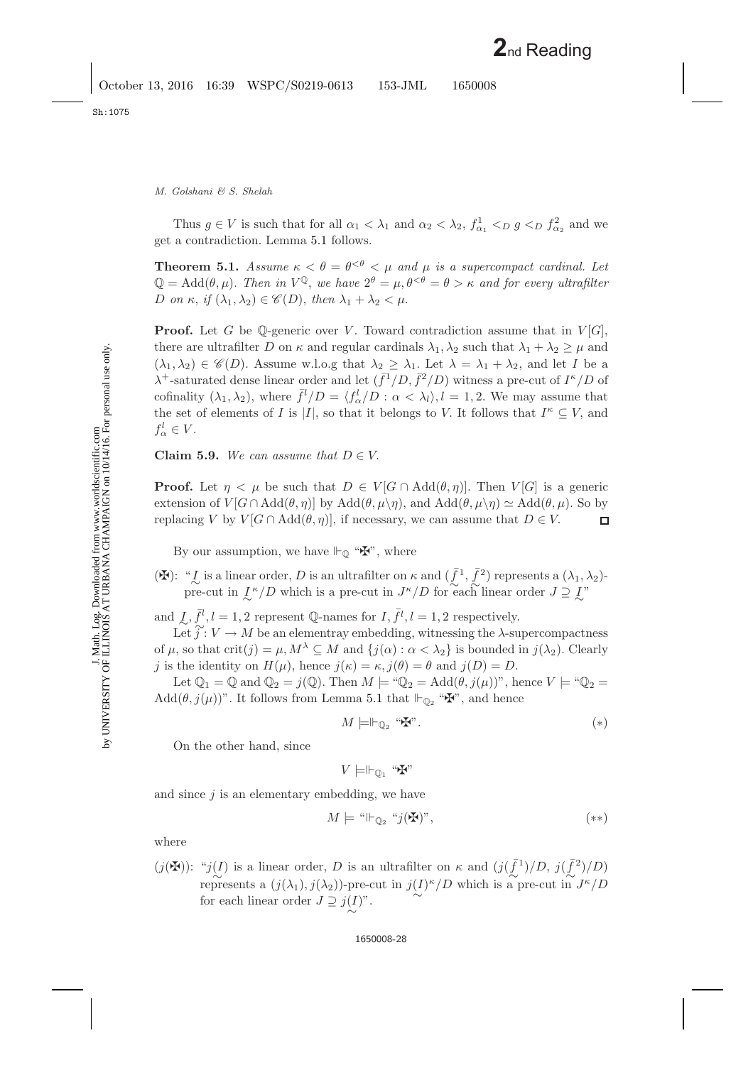<span id="page-27-0"></span>Thus  $g \in V$  is such that for all  $\alpha_1 < \lambda_1$  and  $\alpha_2 < \lambda_2$ ,  $f_{\alpha_1}^1 <_{D} g <_{D} f_{\alpha_2}^2$  and we get a contradiction. Lemma [5.1](#page-3-2) follows.

**Theorem 5.1.** *Assume*  $\kappa < \theta = \theta^{<\theta} < \mu$  *and*  $\mu$  *is a supercompact cardinal. Let*  $\mathbb{Q} = \text{Add}(\theta, \mu)$ . Then in  $V^{\mathbb{Q}}$ , we have  $2^{\theta} = \mu, \theta^{<\theta} = \theta > \kappa$  and for every ultrafilter D on  $\kappa$ , *if*  $(\lambda_1, \lambda_2) \in \mathscr{C}(D)$ , then  $\lambda_1 + \lambda_2 < \mu$ .

**Proof.** Let G be Q-generic over V. Toward contradiction assume that in  $V[G]$ , there are ultrafilter D on  $\kappa$  and regular cardinals  $\lambda_1, \lambda_2$  such that  $\lambda_1 + \lambda_2 \geq \mu$  and  $(\lambda_1, \lambda_2) \in \mathscr{C}(D)$ . Assume w.l.o.g that  $\lambda_2 \geq \lambda_1$ . Let  $\lambda = \lambda_1 + \lambda_2$ , and let I be a  $\lambda^+$ -saturated dense linear order and let  $(\bar{f}^1/D, \bar{f}^2/D)$  witness a pre-cut of  $I^{\kappa}/D$  of cofinality  $(\lambda_1, \lambda_2)$ , where  $\bar{f}^l/D = \langle f^l_{\alpha}/D : \alpha < \lambda_l \rangle, l = 1, 2$ . We may assume that the set of elements of I is |I|, so that it belongs to V. It follows that  $I^{\kappa} \subseteq V$ , and  $f_\alpha^l \in V$ .

**Claim 5.9.** *We can assume that*  $D \in V$ .

**Proof.** Let  $\eta < \mu$  be such that  $D \in V[G \cap \text{Add}(\theta, \eta)]$ . Then  $V[G]$  is a generic extension of  $V[G \cap \text{Add}(\theta, \eta)]$  by  $\text{Add}(\theta, \mu \setminus \eta)$ , and  $\text{Add}(\theta, \mu \setminus \eta) \simeq \text{Add}(\theta, \mu)$ . So by replacing V by  $V[G \cap Add(\theta, \eta)]$ , if necessary, we can assume that  $D \in V$ .  $\Box$ 

By our assumption, we have  $\Vdash_{\mathbb{O}} \mathcal{F}$ , where

( $\mathbf{F}$ ): " $\mathcal{L}$  is a linear order, D is an ultrafilter on  $\kappa$  and  $(\bar{f}^1, \bar{f}^2)$  represents a  $(\lambda_1, \lambda_2)$ pre-cut in  $\frac{1}{2} \mathcal{L}^n/D$  which is a pre-cut in  $J^{\kappa}/D$  for each linear order  $J \supseteq \frac{1}{2} \mathcal{L}^n$ 

and  $\overline{L}, \overline{f}^l, l = 1, 2$  represent Q-names for  $I, \overline{f}^l, l = 1, 2$  respectively.

Let  $\tilde{j}: V \to M$  be an elementray embedding, witnessing the  $\lambda$ -supercompactness of  $\mu$ , so that crit(j) =  $\mu$ ,  $M^{\lambda} \subseteq M$  and  $\{j(\alpha): \alpha < \lambda_2\}$  is bounded in  $j(\lambda_2)$ . Clearly j is the identity on  $H(\mu)$ , hence  $j(\kappa) = \kappa, j(\theta) = \theta$  and  $j(D) = D$ .

Let  $\mathbb{Q}_1 = \mathbb{Q}$  and  $\mathbb{Q}_2 = j(\mathbb{Q})$ . Then  $M \models \mathscr{C}_2 = \text{Add}(\theta, j(\mu))$ ", hence  $V \models \mathscr{C}_2 =$ Add $(\theta, j(\mu))$ ". It follows from Lemma [5.1](#page-3-2) that  $\mathbb{H}_{\mathbb{Q}_2}$  " $\mathbb{F}$ ", and hence

$$
M \models \vdash_{\mathbb{Q}_2} \text{``}\mathbf{F} \text{''}.
$$
 (\*)

On the other hand, since

$$
V\models\Vdash_{\mathbb{Q}_1}``\maltese"
$$

and since  $i$  is an elementary embedding, we have

$$
M \models \text{``}\Vdash_{\mathbb{Q}_2} \text{``}\textit{j}(\maltese) \text{''},\tag{**}
$$

where

(j( $\mathbf{F}$ )): "j(I) is a linear order, D is an ultrafilter on  $\kappa$  and  $(j(\bar{f}^1)/D, j(\bar{f}^2)/D)$ <br> $\sim$   $\sim$   $\sim$   $\sim$   $(i(\lambda), i(\lambda))$  are set in  $i(D\kappa/D)$  which is  $\sim$   $\sim$   $\sim$   $\sim$   $K/D$ represents a  $(j(\lambda_1), j(\lambda_2))$ -pre-cut in  $j(I)^{\kappa}/D$  which is a pre-cut in  $J^{\kappa}/D$ <br>for each linear order  $I \supset i(I)^{\kappa}$ for each linear order  $J \supseteq j(I)$ ".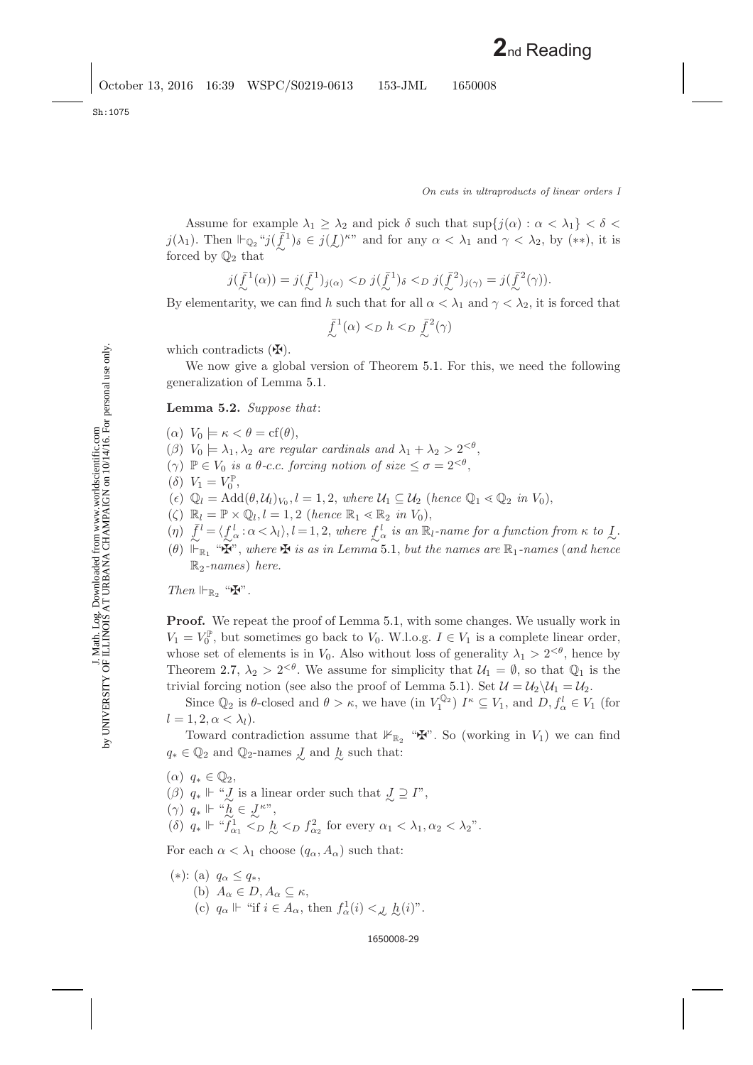Assume for example  $\lambda_1 \geq \lambda_2$  and pick  $\delta$  such that  $\sup\{j(\alpha): \alpha < \lambda_1\} < \delta <$  $j(\lambda_1)$ . Then  $\Vdash_{\mathbb{Q}_2} \mathscr{L}j(\bar{\mathcal{L}}^1)_{\delta} \in j(\mathcal{L})^{\kappa}$  and for any  $\alpha < \lambda_1$  and  $\gamma < \lambda_2$ , by  $(**)$ , it is forced by  $\mathbb{Q}_2$  that

$$
j(\bar{f}^1(\alpha)) = j(\bar{f}^1)_{j(\alpha)} <_{D} j(\bar{f}^1)_{\delta} <_{D} j(\bar{f}^2)_{j(\gamma)} = j(\bar{f}^2(\gamma)).
$$

By elementarity, we can find h such that for all  $\alpha < \lambda_1$  and  $\gamma < \lambda_2$ , it is forced that

$$
\bar{f}^1(\alpha) <_{D} h <_{D} \bar{f}^2(\gamma)
$$

which contradicts  $(\mathbf{\mathbf{\mathbf{\Psi}}})$ .

We now give a global version of Theorem [5.1.](#page-27-0) For this, we need the following generalization of Lemma [5.1.](#page-3-2)

**Lemma 5.2.** *Suppose that*:

$$
(\alpha) V_0 \models \kappa < \theta = \text{cf}(\theta),
$$

- (β)  $V_0 \models \lambda_1, \lambda_2$  *are regular cardinals and*  $\lambda_1 + \lambda_2 > 2^{<\theta}$ ,
- ( $\gamma$ )  $\mathbb{P} \in V_0$  *is a θ-c.c. forcing notion of size*  $\leq \sigma = 2^{<\theta}$ ,

$$
(\delta) V_1 = V_0^{\mathbb{P}},
$$

- (e)  $\mathbb{Q}_l = \text{Add}(\theta, \mathcal{U}_l)_{V_0}, l = 1, 2$ , where  $\mathcal{U}_1 \subseteq \mathcal{U}_2$  (hence  $\mathbb{Q}_1 \lessdot \mathbb{Q}_2$  *in*  $V_0$ ),
- $(\zeta) \mathbb{R}_l = \mathbb{P} \times \mathbb{Q}_l, l = 1, 2$  (*hence*  $\mathbb{R}_1 \leq \mathbb{R}_2$  *in*  $V_0$ ),
- $(n)$   $\bar{f}^l = \langle f^l_{\alpha} : \alpha < \lambda_l \rangle, l = 1, 2$ , where  $f^l_{\alpha}$  is an  $\mathbb{R}_l$ -name for a function from  $\kappa$  to  $\bar{f}$ .
- $(θ)$   $\mathbb{F}_{\mathbb{R}_1}$  " $\mathbf{H}$ ", where *H* is as in Lemma [5.1,](#page-3-2) but the names are  $\mathbb{R}_1$ -names (and hence R2*-names*) *here.*

*Then*  $\Vdash_{\mathbb{R}_2}$  "*H*".

**Proof.** We repeat the proof of Lemma [5.1,](#page-3-2) with some changes. We usually work in  $V_1 = V_0^{\mathbb{P}}$ , but sometimes go back to  $V_0$ . W.l.o.g.  $I \in V_1$  is a complete linear order, whose set of elements is in  $V_0$ . Also without loss of generality  $\lambda_1 > 2^{< \theta}$ , hence by Theorem [2.7,](#page-8-0)  $\lambda_2 > 2^{< \theta}$ . We assume for simplicity that  $\mathcal{U}_1 = \emptyset$ , so that  $\mathbb{Q}_1$  is the trivial forcing notion (see also the proof of Lemma [5.1\)](#page-3-2). Set  $\mathcal{U} = \mathcal{U}_2 \backslash \mathcal{U}_1 = \mathcal{U}_2$ .

Since  $\mathbb{Q}_2$  is  $\theta$ -closed and  $\theta > \kappa$ , we have (in  $V_1^{\mathbb{Q}_2}$ )  $I^{\kappa} \subseteq V_1$ , and  $D, f^l_{\alpha} \in V_1$  (for  $l = 1, 2, \alpha < \lambda_l$ ).

Toward contradiction assume that  $\mathbb{K}_{\mathbb{R}_2}$  " $\mathbb{H}$ ". So (working in  $V_1$ ) we can find  $q_* \in \mathbb{Q}_2$  and  $\mathbb{Q}_2$ -names  $\mathcal{L}$  and  $\mathcal{L}$  such that:

 $(\alpha)$   $q_* \in \mathbb{Q}_2$ , ( $\beta$ )  $q_* \Vdash "J$  is a linear order such that  $J \supseteq I$ ",  $(\gamma)$   $q_* \Vdash ``h \in \mathcal{L}^{\kappa}"$ , (δ)  $q_* \Vdash \text{``} f_{\alpha_1}^1 \leq_D \text{--} h \leq_D f_{\alpha_2}^2$  for every  $\alpha_1 < \lambda_1, \alpha_2 < \lambda_2$ ".

For each  $\alpha < \lambda_1$  choose  $(q_\alpha, A_\alpha)$  such that:

\n- (\*): (a) 
$$
q_{\alpha} \leq q_*
$$
,
\n- (b)  $A_{\alpha} \in D, A_{\alpha} \subseteq \kappa$ ,
\n- (c)  $q_{\alpha} \Vdash$  "if  $i \in A_{\alpha}$ , then  $f_{\alpha}^1(i) <_{\mathcal{L}} \mathcal{h}(i)$ ".
\n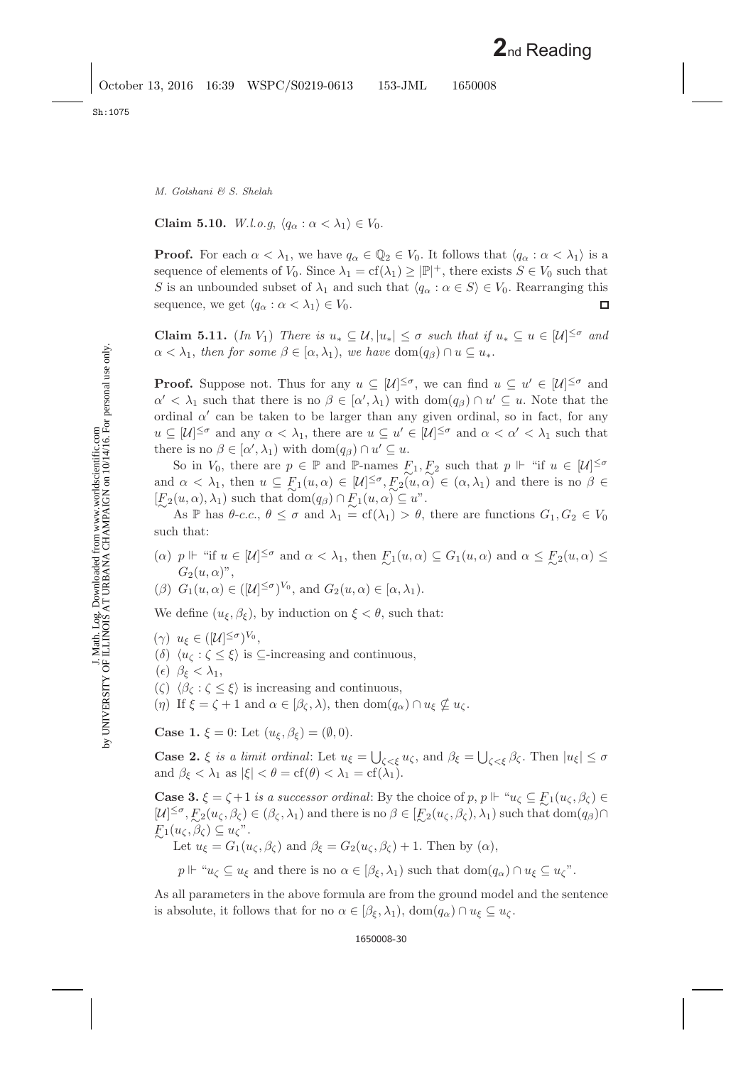**Claim 5.10.** *W.l.o.g*,  $\langle q_\alpha : \alpha < \lambda_1 \rangle \in V_0$ .

**Proof.** For each  $\alpha < \lambda_1$ , we have  $q_\alpha \in \mathbb{Q}_2 \in V_0$ . It follows that  $\langle q_\alpha : \alpha < \lambda_1 \rangle$  is a sequence of elements of  $V_0$ . Since  $\lambda_1 = \text{cf}(\lambda_1) \geq |\mathbb{P}|^+$ , there exists  $S \in V_0$  such that S is an unbounded subset of  $\lambda_1$  and such that  $\langle q_\alpha : \alpha \in S \rangle \in V_0$ . Rearranging this sequence, we get  $\langle q_\alpha : \alpha < \lambda_1 \rangle \in V_0$ .

**Claim 5.11.** (*In*  $V_1$ ) *There is*  $u_* \subseteq U$ ,  $|u_*| \leq \sigma$  *such that if*  $u_* \subseteq u \in [U]^{\leq \sigma}$  *and*  $\alpha < \lambda_1$ , *then for some*  $\beta \in [\alpha, \lambda_1)$ , *we have* dom $(q_\beta) \cap u \subseteq u_*$ .

**Proof.** Suppose not. Thus for any  $u \subseteq [U]^{\leq \sigma}$ , we can find  $u \subseteq u' \in [U]^{\leq \sigma}$  and  $\alpha' < \lambda_1$  such that there is no  $\beta \in [\alpha', \lambda_1)$  with  $\text{dom}(q_{\beta}) \cap u' \subseteq u$ . Note that the ordinal  $\alpha'$  can be taken to be larger than any given ordinal, so in fact, for any  $u \subseteq [\mathcal{U}]^{\leq \sigma}$  and any  $\alpha < \lambda_1$ , there are  $u \subseteq u' \in [\mathcal{U}]^{\leq \sigma}$  and  $\alpha < \alpha' < \lambda_1$  such that there is no  $\beta \in [\alpha', \lambda_1)$  with  $\text{dom}(q_{\beta}) \cap u' \subseteq u$ .

So in  $V_0$ , there are  $p \in \mathbb{P}$  and  $\mathbb{P}$ -names  $F_1, F_2$  such that  $p \Vdash ``if u \in [U]^{\leq \sigma}$ and  $\alpha < \lambda_1$ , then  $u \subseteq F_1(u, \alpha) \in [\mathcal{U}]^{\leq \sigma}, F_2(u, \alpha) \in (\alpha, \lambda_1)$  and there is no  $\beta \in \mathbb{F}$  $[F_2(u, \alpha), \lambda_1]$  such that  $\text{dom}(q_\beta) \cap F_1(u, \alpha) \subseteq u^v$ .

As P has  $\theta$ -c.c.,  $\theta \leq \sigma$  and  $\lambda_1 = \text{cf}(\lambda_1) > \theta$ , there are functions  $G_1, G_2 \in V_0$ such that:

(a)  $p \Vdash$  "if  $u \in [\mathcal{U}]^{\leq \sigma}$  and  $\alpha < \lambda_1$ , then  $\mathcal{L}_1(u, \alpha) \subseteq G_1(u, \alpha)$  and  $\alpha \leq \mathcal{L}_2(u, \alpha) \leq$  $G_2(u,\alpha)$ ",

$$
(\beta) G_1(u,\alpha) \in ([\mathcal{U}]^{\leq \sigma})^{V_0}, \text{ and } G_2(u,\alpha) \in [\alpha, \lambda_1).
$$

We define  $(u_{\xi}, \beta_{\xi})$ , by induction on  $\xi < \theta$ , such that:

- $(\gamma) u_{\xi} \in ([\mathcal{U}]^{\leq \sigma})^{V_0},$
- (δ)  $\langle u_{\zeta} : \zeta \leq \xi \rangle$  is  $\subseteq$ -increasing and continuous,
- (*e*)  $\beta_{\xi} < \lambda_1$ ,
- ( $\zeta$ )  $\langle \beta_{\zeta} : \zeta \leq \xi \rangle$  is increasing and continuous,
- (*η*) If  $\xi = \zeta + 1$  and  $\alpha \in [\beta_{\zeta}, \lambda)$ , then dom( $q_{\alpha}$ )  $\cap u_{\xi} \nsubseteq u_{\zeta}$ .

**Case 1.**  $\xi = 0$ : Let  $(u_{\xi}, \beta_{\xi}) = (\emptyset, 0)$ .

**Case 2.**  $\xi$  *is a limit ordinal*: Let  $u_{\xi} = \bigcup_{\zeta < \xi} u_{\zeta}$ , and  $\beta_{\xi} = \bigcup_{\zeta < \xi} \beta_{\zeta}$ . Then  $|u_{\xi}| \le \sigma$ and  $\beta_{\xi} < \lambda_1$  as  $|\xi| < \theta = cf(\theta) < \lambda_1 = cf(\lambda_1)$ .

**Case 3.**  $\xi = \zeta + 1$  *is a successor ordinal*: By the choice of p, p  $\Vdash "u_{\zeta} \subseteq F_1(u_{\zeta}, \beta_{\zeta}) \in$  $\lbrack \mathcal{U} \rbrack^{\leq \sigma}, E_2(u_\zeta, \beta_\zeta) \in (\beta_\zeta, \lambda_1)$  and there is no  $\beta \in [E_2(u_\zeta, \beta_\zeta), \lambda_1)$  such that  $\text{dom}(q_\beta) \cap$  $F_1(u_\zeta,\beta_\zeta) \subseteq u_\zeta$ ".

Let  $u_{\xi} = G_1(u_{\zeta}, \beta_{\zeta})$  and  $\beta_{\xi} = G_2(u_{\zeta}, \beta_{\zeta}) + 1$ . Then by  $(\alpha)$ ,

 $p \Vdash "u_{\zeta} \subseteq u_{\xi}$  and there is no  $\alpha \in [\beta_{\xi}, \lambda_1)$  such that  $dom(q_{\alpha}) \cap u_{\xi} \subseteq u_{\zeta}$ ".

As all parameters in the above formula are from the ground model and the sentence is absolute, it follows that for no  $\alpha \in [\beta_{\xi}, \lambda_1)$ ,  $dom(q_{\alpha}) \cap u_{\xi} \subseteq u_{\zeta}$ .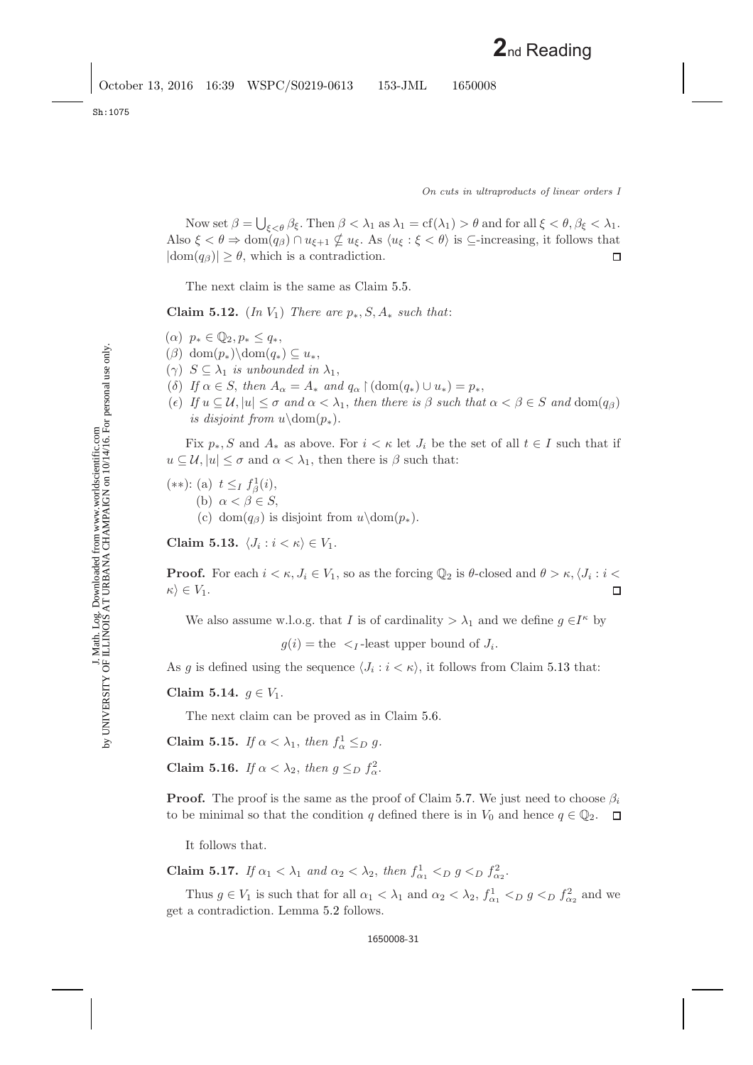J. Math. Log. Downloaded from www.worldscientific.com by UNIVERSITY OF ILLINOIS AT URBANA CHAMPAIGN on 10/14/16. For personal use only.

J. Math. Log. Downloaded from www.worldscientific.com<br>by UNIVERSITY OF ILLINOIS AT URBANA CHAMPAIGN on 10/14/16. For personal use only.

Now set  $\beta = \bigcup_{\xi < \theta} \beta_{\xi}$ . Then  $\beta < \lambda_1$  as  $\lambda_1 = \text{cf}(\lambda_1) > \theta$  and for all  $\xi < \theta, \beta_{\xi} < \lambda_1$ . Also  $\xi < \theta \Rightarrow \text{dom}(q_{\beta}) \cap u_{\xi+1} \nsubseteq u_{\xi}$ . As  $\langle u_{\xi} : \xi < \theta \rangle$  is  $\subseteq$ -increasing, it follows that  $|\text{dom}(q_\beta)| \geq \theta$ , which is a contradiction. □

The next claim is the same as Claim [5.5.](#page-7-1)

**Claim 5.12.** (*In*  $V_1$ ) *There are*  $p_*, S, A_*$  *such that:* 

- ( $\alpha$ )  $p_* \in \mathbb{Q}_2, p_* \leq q_*,$
- $(\beta)$  dom $(p_*)\dom(q_*) \subseteq u_*$ ,
- ( $\gamma$ )  $S \subseteq \lambda_1$  *is unbounded in*  $\lambda_1$ ,
- (δ) If  $\alpha \in S$ , then  $A_{\alpha} = A_{*}$  and  $q_{\alpha} \restriction (\text{dom}(q_{*}) \cup u_{*}) = p_{*}$ ,
- (e) If  $u \subseteq \mathcal{U}$ ,  $|u| \leq \sigma$  and  $\alpha < \lambda_1$ , then there is  $\beta$  such that  $\alpha < \beta \in S$  and  $dom(q_\beta)$ *is disjoint from*  $u\dom(p_*)$ .

Fix  $p_*, S$  and  $A_*$  as above. For  $i < \kappa$  let  $J_i$  be the set of all  $t \in I$  such that if  $u \subseteq \mathcal{U}, |u| \leq \sigma$  and  $\alpha < \lambda_1$ , then there is  $\beta$  such that:

$$
(**): (a) \t t \leq_I f_{\beta}^1(i),
$$
  
(b)  $\alpha < \beta \in S$ ,  
(c) dom $(q_{\beta})$  is disjoint from  $u \setminus \text{dom}(p_*)$ .

<span id="page-30-0"></span>**Claim 5.13.**  $\langle J_i : i \langle \kappa \rangle \in V_1$ .

**Proof.** For each  $i < \kappa, J_i \in V_1$ , so as the forcing  $\mathbb{Q}_2$  is  $\theta$ -closed and  $\theta > \kappa, \langle J_i : i <$  $\kappa \rangle \in V_1$ .

We also assume w.l.o.g. that I is of cardinality  $>\lambda_1$  and we define  $g \in I^{\kappa}$  by

 $g(i)$  = the  $\lt_I$ -least upper bound of  $J_i$ .

As g is defined using the sequence  $\langle J_i : i < \kappa \rangle$ , it follows from Claim [5.13](#page-30-0) that:

**Claim 5.14.**  $g \in V_1$ .

The next claim can be proved as in Claim [5.6.](#page-8-1)

**Claim 5.15.** *If*  $\alpha < \lambda_1$ , *then*  $f^1_\alpha \leq_D g$ .

**Claim 5.16.** *If*  $\alpha < \lambda_2$ , *then*  $g \leq_D f_{\alpha}^2$ .

**Proof.** The proof is the same as the proof of Claim [5.7.](#page-8-2) We just need to choose  $\beta_i$ to be minimal so that the condition q defined there is in  $V_0$  and hence  $q \in \mathbb{Q}_2$ .  $\Box$ 

It follows that.

**Claim 5.17.** *If*  $\alpha_1 < \lambda_1$  *and*  $\alpha_2 < \lambda_2$ *, then*  $f_{\alpha_1}^1 <_{D} g <_{D} f_{\alpha_2}^2$ *.* 

Thus  $g \in V_1$  is such that for all  $\alpha_1 < \lambda_1$  and  $\alpha_2 < \lambda_2$ ,  $f_{\alpha_1}^1 <_{D} g <_{D} f_{\alpha_2}^2$  and we get a contradiction. Lemma [5.2](#page-17-0) follows.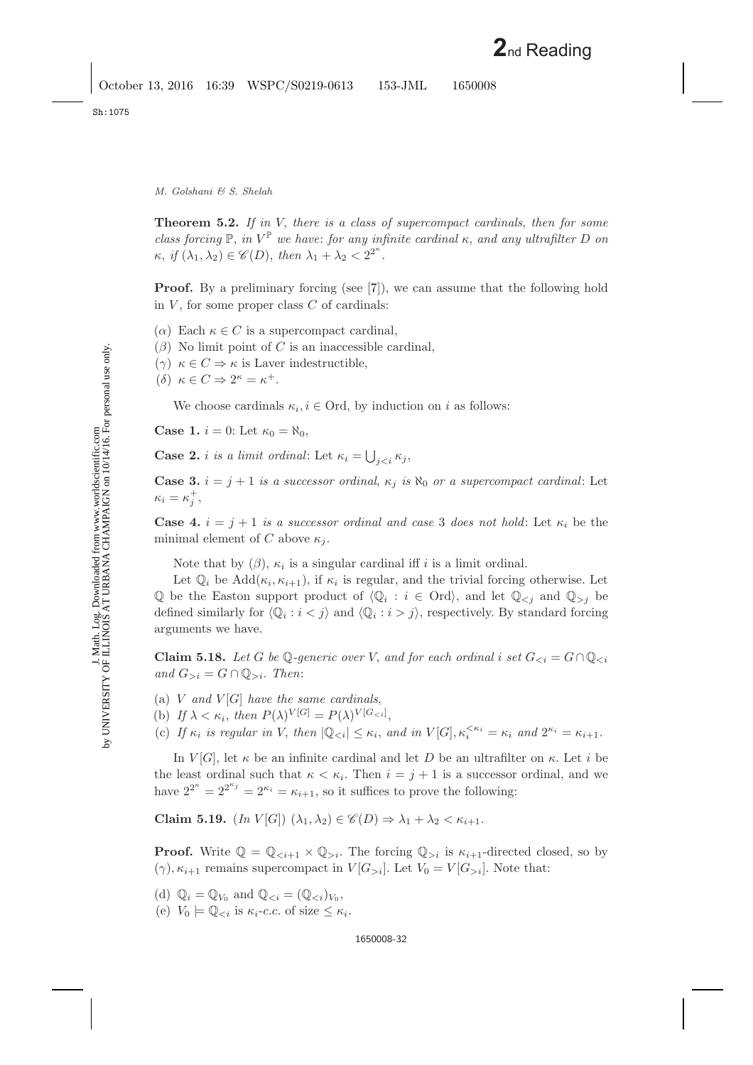<span id="page-31-0"></span>**Theorem 5.2.** *If in* V, *there is a class of supercompact cardinals*, *then for some class forcing*  $\mathbb{P}$ , *in*  $V^{\mathbb{P}}$  *we have: for any infinite cardinal*  $\kappa$ , *and any ultrafilter*  $D$  *on*  $\kappa$ , *if*  $(\lambda_1, \lambda_2) \in \mathscr{C}(D)$ , *then*  $\lambda_1 + \lambda_2 < 2^{2^{\kappa}}$ .

**Proof.** By a preliminary forcing (see [\[7\]](#page-33-13)), we can assume that the following hold in  $V$ , for some proper class  $C$  of cardinals:

- ( $\alpha$ ) Each  $\kappa \in C$  is a supercompact cardinal,
- $(\beta)$  No limit point of C is an inaccessible cardinal,
- (γ) κ ∈ C ⇒ κ is Laver indestructible,
- (δ)  $\kappa \in C \Rightarrow 2^{\kappa} = \kappa^+$ .

We choose cardinals  $\kappa_i, i \in \text{Ord}$ , by induction on i as follows:

**Case 1.**  $i = 0$ : Let  $\kappa_0 = \aleph_0$ ,

**Case 2.** *i is a limit ordinal*: Let  $\kappa_i = \bigcup_{j < i} \kappa_j$ ,

**Case 3.**  $i = j + 1$  *is a successor ordinal*,  $\kappa_j$  *is*  $\aleph_0$  *or a supercompact cardinal*: Let  $\kappa_i = \kappa_j^+,$ 

**Case 4.**  $i = j + 1$  *is a successor ordinal and case* 3 *does not hold*: Let  $\kappa_i$  be the minimal element of C above  $\kappa_i$ .

Note that by  $(\beta)$ ,  $\kappa_i$  is a singular cardinal iff i is a limit ordinal.

Let  $\mathbb{Q}_i$  be Add $(\kappa_i, \kappa_{i+1}),$  if  $\kappa_i$  is regular, and the trivial forcing otherwise. Let Q be the Easton support product of  $\langle \mathbb{Q}_i : i \in \text{Ord} \rangle$ , and let  $\mathbb{Q}_{\le j}$  and  $\mathbb{Q}_{>j}$  be defined similarly for  $\langle \mathbb{Q}_i : i < j \rangle$  and  $\langle \mathbb{Q}_i : i > j \rangle$ , respectively. By standard forcing arguments we have.

**Claim 5.18.** *Let* G *be* Q-generic over V, and for each ordinal i set  $G_{\leq i} = G \cap \mathbb{Q}_{\leq i}$ *and*  $G_{>i} = G \cap \mathbb{Q}_{>i}$ . *Then*:

(a)  $V$  *and*  $V[G]$  *have the same cardinals,* 

(b) If  $\lambda < \kappa_i$ , then  $P(\lambda)^{V[G]} = P(\lambda)^{V[G \lt i]}$ ,

(c) If  $\kappa_i$  is regular in V, then  $|\mathbb{Q}_{< i}| \leq \kappa_i$ , and in  $V[G], \kappa_i^{\leq \kappa_i} = \kappa_i$  and  $2^{\kappa_i} = \kappa_{i+1}$ .

In  $V[G]$ , let  $\kappa$  be an infinite cardinal and let D be an ultrafilter on  $\kappa$ . Let i be the least ordinal such that  $\kappa < \kappa_i$ . Then  $i = j + 1$  is a successor ordinal, and we have  $2^{2^{\kappa}} = 2^{2^{\kappa_j}} = 2^{\kappa_i} = \kappa_{i+1}$ , so it suffices to prove the following:

<span id="page-31-1"></span>**Claim 5.19.**  $(In\ V[G]) (\lambda_1, \lambda_2) \in \mathcal{C}(D) \Rightarrow \lambda_1 + \lambda_2 < \kappa_{i+1}$ .

**Proof.** Write  $\mathbb{Q} = \mathbb{Q}_{\leq i+1} \times \mathbb{Q}_{>i}$ . The forcing  $\mathbb{Q}_{>i}$  is  $\kappa_{i+1}$ -directed closed, so by  $(\gamma)$ ,  $\kappa_{i+1}$  remains supercompact in  $V[G_{>i}]$ . Let  $V_0 = V[G_{>i}]$ . Note that:

(d)  $\mathbb{Q}_i = \mathbb{Q}_{V_0}$  and  $\mathbb{Q}_{< i} = (\mathbb{Q}_{< i})_{V_0}$ ,

(e)  $V_0 \models \mathbb{Q}_{< i}$  is  $\kappa_i$ -c.c. of size  $\leq \kappa_i$ .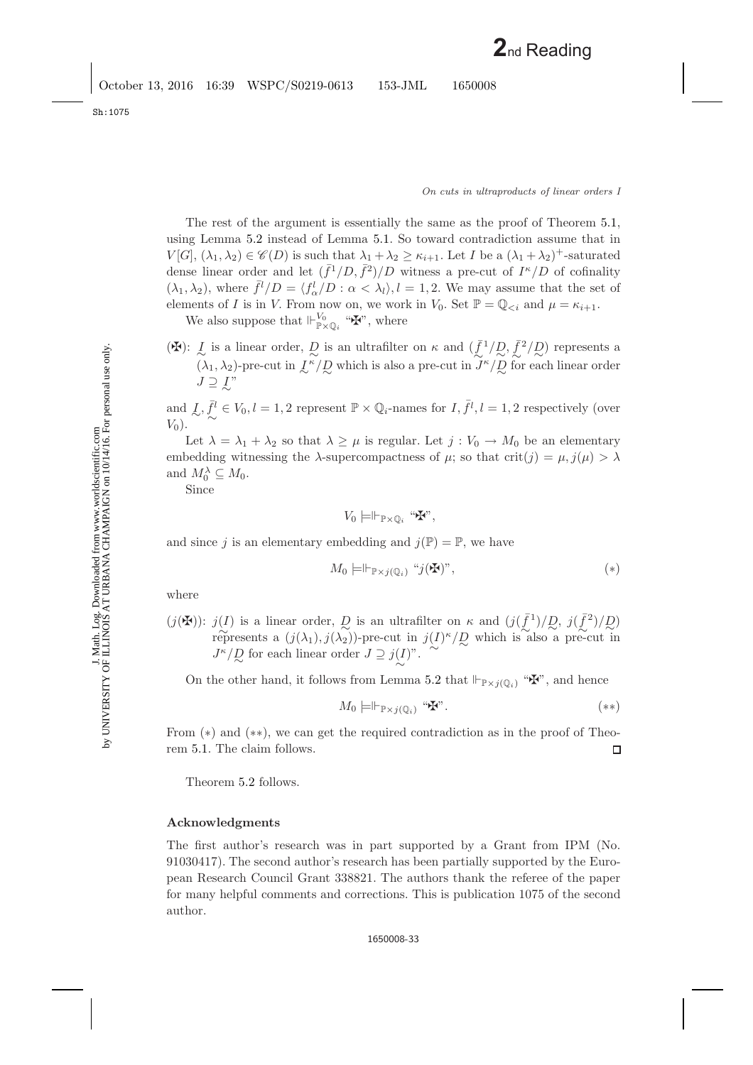Sh:1075

The rest of the argument is essentially the same as the proof of Theorem [5.1,](#page-27-0) using Lemma [5.2](#page-17-0) instead of Lemma [5.1.](#page-3-2) So toward contradiction assume that in  $V[G], (\lambda_1, \lambda_2) \in \mathscr{C}(D)$  is such that  $\lambda_1 + \lambda_2 \geq \kappa_{i+1}$ . Let I be a  $(\lambda_1 + \lambda_2)^+$ -saturated dense linear order and let  $(\bar{f}^1/D, \bar{f}^2)/D$  witness a pre-cut of  $I^{\kappa}/D$  of cofinality  $(\lambda_1, \lambda_2)$ , where  $\bar{f}^l/D = \langle f^l_{\alpha}/D : \alpha < \lambda_l \rangle, l = 1, 2$ . We may assume that the set of elements of I is in V. From now on, we work in  $V_0$ . Set  $\mathbb{P} = \mathbb{Q}_{\le i}$  and  $\mu = \kappa_{i+1}$ .

We also suppose that  $\Vdash_{\mathbb{P}\times\mathbb{Q}_i}^{\mathcal{V}_0}$  " $\mathbf{H}$ ", where

( $\mathbf{F}$ ):  $\mathcal{L}$  is a linear order,  $\mathcal{D}$  is an ultrafilter on  $\kappa$  and  $(\bar{f}^1/\mathcal{D}, \bar{f}^2/\mathcal{D})$  represents a  $(\lambda_1, \lambda_2)$ -pre-cut in  $\frac{1}{2} \sim \frac{N}{2}$  which is also a pre-cut in  $J^{\kappa}/\frac{D}{\infty}$  for each linear order  $J \supseteq J''$ 

and  $\overline{L}, \overline{f}^l \in V_0, l = 1, 2$  represent  $\mathbb{P} \times \mathbb{Q}_i$ -names for  $I, \overline{f}^l, l = 1, 2$  respectively (over  $V_0$ ).

Let  $\lambda = \lambda_1 + \lambda_2$  so that  $\lambda \geq \mu$  is regular. Let  $j: V_0 \to M_0$  be an elementary embedding witnessing the  $\lambda$ -supercompactness of  $\mu$ ; so that crit $(j) = \mu$ ,  $j(\mu) > \lambda$ and  $M_0^{\lambda} \subseteq M_0$ .

Since

$$
V_0 \models \Vdash_{\mathbb{P} \times \mathbb{Q}_i} \text{``}\mathbf{F}"
$$

and since j is an elementary embedding and  $j(\mathbb{P}) = \mathbb{P}$ , we have

$$
M_0 \models \Vdash_{\mathbb{P} \times j(\mathbb{Q}_i)} \text{``}j(\maltese) \text{''}, \tag{*}
$$

where

(j( $\mathbf{F}^{(1)}$ ): j(I) is a linear order, D is an ultrafilter on  $\kappa$  and  $(j(\bar{f}^1)/D, j(\bar{f}^2)/D)$ <br>represents a  $(i(\lambda))$  i( $(\lambda)$ ) pro cut in  $i(I)^{\kappa}/D$  which is also a pro cut in represents a  $(j(\lambda_1), j(\lambda_2))$ -pre-cut in  $j(I)^{\kappa}/D_{\infty}$  which is also a pre-cut in  $I^{\kappa}/D$  for each linear order  $I \supset i(I)^{\kappa} \sim$  $J^{\kappa}/D_{\!\!\sim}$  for each linear order  $J \supseteq j(I)^{v}$ .

On the other hand, it follows from Lemma [5.2](#page-17-0) that  $\Vdash_{\mathbb{P}\times j(\mathbb{Q}_i)}$  " $\mathbf{\Psi}$ ", and hence

$$
M_0 \models \Vdash_{\mathbb{P} \times j(\mathbb{Q}_i)} \text{``}\mathbf{H}\text{''}.
$$
\n
$$
(**)
$$

From (∗) and (∗∗), we can get the required contradiction as in the proof of Theorem [5.1.](#page-27-0) The claim follows. □

Theorem [5.2](#page-31-0) follows.

# **Acknowledgments**

The first author's research was in part supported by a Grant from IPM (No. 91030417). The second author's research has been partially supported by the European Research Council Grant 338821. The authors thank the referee of the paper for many helpful comments and corrections. This is publication 1075 of the second author.